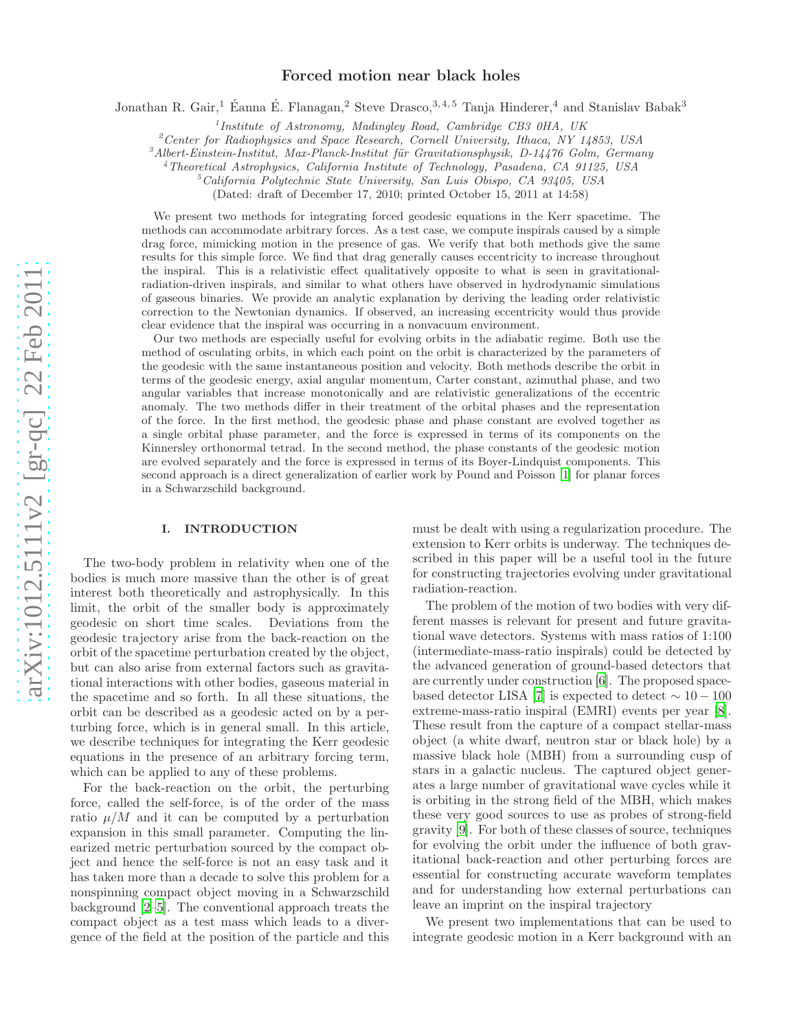# arXiv:1012.5111v2 [gr-qc] 22 Feb 2011 [arXiv:1012.5111v2 \[gr-qc\] 22 Feb 2011](http://arxiv.org/abs/1012.5111v2)

# Forced motion near black holes

Jonathan R. Gair,<sup>1</sup> Éanna É. Flanagan,<sup>2</sup> Steve Drasco,<sup>3,4,5</sup> Tanja Hinderer,<sup>4</sup> and Stanislav Babak<sup>3</sup>

<sup>1</sup> Institute of Astronomy, Madingley Road, Cambridge CB3 0HA, UK

<sup>2</sup>Center for Radiophysics and Space Research, Cornell University, Ithaca, NY 14853, USA

<sup>3</sup>Albert-Einstein-Institut, Max-Planck-Institut für Gravitationsphysik, D-14476 Golm, Germany<br><sup>4</sup>Theoretical Astrophysics, California Institute of Technology, Pasadena, CA 91125, USA<br><sup>5</sup>California Polytechnic State Unive

(Dated: draft of December 17, 2010; printed October 15, 2011 at 14:58)

We present two methods for integrating forced geodesic equations in the Kerr spacetime. The methods can accommodate arbitrary forces. As a test case, we compute inspirals caused by a simple drag force, mimicking motion in the presence of gas. We verify that both methods give the same results for this simple force. We find that drag generally causes eccentricity to increase throughout the inspiral. This is a relativistic effect qualitatively opposite to what is seen in gravitationalradiation-driven inspirals, and similar to what others have observed in hydrodynamic simulations of gaseous binaries. We provide an analytic explanation by deriving the leading order relativistic correction to the Newtonian dynamics. If observed, an increasing eccentricity would thus provide clear evidence that the inspiral was occurring in a nonvacuum environment.

Our two methods are especially useful for evolving orbits in the adiabatic regime. Both use the method of osculating orbits, in which each point on the orbit is characterized by the parameters of the geodesic with the same instantaneous position and velocity. Both methods describe the orbit in terms of the geodesic energy, axial angular momentum, Carter constant, azimuthal phase, and two angular variables that increase monotonically and are relativistic generalizations of the eccentric anomaly. The two methods differ in their treatment of the orbital phases and the representation of the force. In the first method, the geodesic phase and phase constant are evolved together as a single orbital phase parameter, and the force is expressed in terms of its components on the Kinnersley orthonormal tetrad. In the second method, the phase constants of the geodesic motion are evolved separately and the force is expressed in terms of its Boyer-Lindquist components. This second approach is a direct generalization of earlier work by Pound and Poisson [\[1](#page-27-0)] for planar forces in a Schwarzschild background.

# I. INTRODUCTION

The two-body problem in relativity when one of the bodies is much more massive than the other is of great interest both theoretically and astrophysically. In this limit, the orbit of the smaller body is approximately geodesic on short time scales. Deviations from the geodesic trajectory arise from the back-reaction on the orbit of the spacetime perturbation created by the object, but can also arise from external factors such as gravitational interactions with other bodies, gaseous material in the spacetime and so forth. In all these situations, the orbit can be described as a geodesic acted on by a perturbing force, which is in general small. In this article, we describe techniques for integrating the Kerr geodesic equations in the presence of an arbitrary forcing term, which can be applied to any of these problems.

For the back-reaction on the orbit, the perturbing force, called the self-force, is of the order of the mass ratio  $\mu/M$  and it can be computed by a perturbation expansion in this small parameter. Computing the linearized metric perturbation sourced by the compact object and hence the self-force is not an easy task and it has taken more than a decade to solve this problem for a nonspinning compact object moving in a Schwarzschild background [\[2](#page-27-1)[–5\]](#page-27-2). The conventional approach treats the compact object as a test mass which leads to a divergence of the field at the position of the particle and this

must be dealt with using a regularization procedure. The extension to Kerr orbits is underway. The techniques described in this paper will be a useful tool in the future for constructing trajectories evolving under gravitational radiation-reaction.

The problem of the motion of two bodies with very different masses is relevant for present and future gravitational wave detectors. Systems with mass ratios of 1:100 (intermediate-mass-ratio inspirals) could be detected by the advanced generation of ground-based detectors that are currently under construction [\[6](#page-27-3)]. The proposed space-based detector LISA [\[7\]](#page-27-4) is expected to detect  $\sim 10 - 100$ extreme-mass-ratio inspiral (EMRI) events per year [\[8\]](#page-27-5). These result from the capture of a compact stellar-mass object (a white dwarf, neutron star or black hole) by a massive black hole (MBH) from a surrounding cusp of stars in a galactic nucleus. The captured object generates a large number of gravitational wave cycles while it is orbiting in the strong field of the MBH, which makes these very good sources to use as probes of strong-field gravity [\[9\]](#page-27-6). For both of these classes of source, techniques for evolving the orbit under the influence of both gravitational back-reaction and other perturbing forces are essential for constructing accurate waveform templates and for understanding how external perturbations can leave an imprint on the inspiral trajectory

We present two implementations that can be used to integrate geodesic motion in a Kerr background with an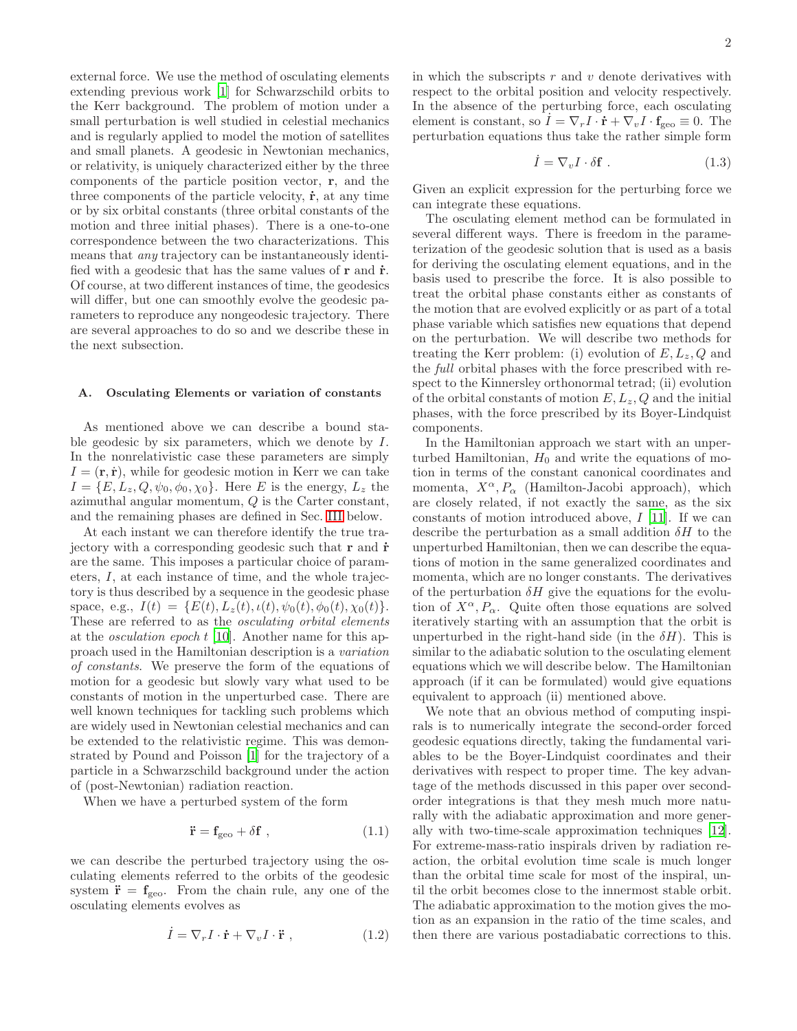external force. We use the method of osculating elements extending previous work [\[1\]](#page-27-0) for Schwarzschild orbits to the Kerr background. The problem of motion under a small perturbation is well studied in celestial mechanics and is regularly applied to model the motion of satellites and small planets. A geodesic in Newtonian mechanics, or relativity, is uniquely characterized either by the three components of the particle position vector, r, and the three components of the particle velocity,  $\dot{\mathbf{r}}$ , at any time or by six orbital constants (three orbital constants of the motion and three initial phases). There is a one-to-one correspondence between the two characterizations. This means that any trajectory can be instantaneously identified with a geodesic that has the same values of  $\mathbf{r}$  and  $\dot{\mathbf{r}}$ . Of course, at two different instances of time, the geodesics will differ, but one can smoothly evolve the geodesic parameters to reproduce any nongeodesic trajectory. There are several approaches to do so and we describe these in the next subsection.

#### A. Osculating Elements or variation of constants

As mentioned above we can describe a bound stable geodesic by six parameters, which we denote by I. In the nonrelativistic case these parameters are simply  $I = (\mathbf{r}, \dot{\mathbf{r}})$ , while for geodesic motion in Kerr we can take  $I = \{E, L_z, Q, \psi_0, \phi_0, \chi_0\}.$  Here E is the energy,  $L_z$  the azimuthal angular momentum, Q is the Carter constant, and the remaining phases are defined in Sec. [III](#page-7-0) below.

At each instant we can therefore identify the true trajectory with a corresponding geodesic such that  $\mathbf{r}$  and  $\dot{\mathbf{r}}$ are the same. This imposes a particular choice of parameters, I, at each instance of time, and the whole trajectory is thus described by a sequence in the geodesic phase space, e.g.,  $I(t) = \{E(t), L_z(t), \iota(t), \psi_0(t), \phi_0(t), \chi_0(t)\}.$ These are referred to as the osculating orbital elements at the *osculation epoch t* [\[10\]](#page-27-7). Another name for this approach used in the Hamiltonian description is a variation of constants. We preserve the form of the equations of motion for a geodesic but slowly vary what used to be constants of motion in the unperturbed case. There are well known techniques for tackling such problems which are widely used in Newtonian celestial mechanics and can be extended to the relativistic regime. This was demonstrated by Pound and Poisson [\[1\]](#page-27-0) for the trajectory of a particle in a Schwarzschild background under the action of (post-Newtonian) radiation reaction.

When we have a perturbed system of the form

$$
\ddot{\mathbf{r}} = \mathbf{f}_{\text{geo}} + \delta \mathbf{f} \tag{1.1}
$$

we can describe the perturbed trajectory using the osculating elements referred to the orbits of the geodesic system  $\ddot{\mathbf{r}} = \mathbf{f}_{\text{geo}}$ . From the chain rule, any one of the osculating elements evolves as

$$
\dot{I} = \nabla_r I \cdot \dot{\mathbf{r}} + \nabla_v I \cdot \ddot{\mathbf{r}} \,, \tag{1.2}
$$

in which the subscripts  $r$  and  $v$  denote derivatives with respect to the orbital position and velocity respectively. In the absence of the perturbing force, each osculating element is constant, so  $\dot{I} = \nabla_r I \cdot \dot{\mathbf{r}} + \nabla_v I \cdot \mathbf{f}_{\text{geo}} \equiv 0$ . The perturbation equations thus take the rather simple form

<span id="page-1-0"></span>
$$
\dot{I} = \nabla_v I \cdot \delta \mathbf{f} \tag{1.3}
$$

Given an explicit expression for the perturbing force we can integrate these equations.

The osculating element method can be formulated in several different ways. There is freedom in the parameterization of the geodesic solution that is used as a basis for deriving the osculating element equations, and in the basis used to prescribe the force. It is also possible to treat the orbital phase constants either as constants of the motion that are evolved explicitly or as part of a total phase variable which satisfies new equations that depend on the perturbation. We will describe two methods for treating the Kerr problem: (i) evolution of  $E, L_z, Q$  and the full orbital phases with the force prescribed with respect to the Kinnersley orthonormal tetrad; (ii) evolution of the orbital constants of motion  $E, L_z, Q$  and the initial phases, with the force prescribed by its Boyer-Lindquist components.

In the Hamiltonian approach we start with an unperturbed Hamiltonian,  $H_0$  and write the equations of motion in terms of the constant canonical coordinates and momenta,  $X^{\alpha}, P_{\alpha}$  (Hamilton-Jacobi approach), which are closely related, if not exactly the same, as the six constants of motion introduced above,  $I$  [\[11\]](#page-27-8). If we can describe the perturbation as a small addition  $\delta H$  to the unperturbed Hamiltonian, then we can describe the equations of motion in the same generalized coordinates and momenta, which are no longer constants. The derivatives of the perturbation  $\delta H$  give the equations for the evolution of  $X^{\alpha}, P_{\alpha}$ . Quite often those equations are solved iteratively starting with an assumption that the orbit is unperturbed in the right-hand side (in the  $\delta H$ ). This is similar to the adiabatic solution to the osculating element equations which we will describe below. The Hamiltonian approach (if it can be formulated) would give equations equivalent to approach (ii) mentioned above.

We note that an obvious method of computing inspirals is to numerically integrate the second-order forced geodesic equations directly, taking the fundamental variables to be the Boyer-Lindquist coordinates and their derivatives with respect to proper time. The key advantage of the methods discussed in this paper over secondorder integrations is that they mesh much more naturally with the adiabatic approximation and more generally with two-time-scale approximation techniques [\[12\]](#page-27-9). For extreme-mass-ratio inspirals driven by radiation reaction, the orbital evolution time scale is much longer than the orbital time scale for most of the inspiral, until the orbit becomes close to the innermost stable orbit. The adiabatic approximation to the motion gives the motion as an expansion in the ratio of the time scales, and then there are various postadiabatic corrections to this.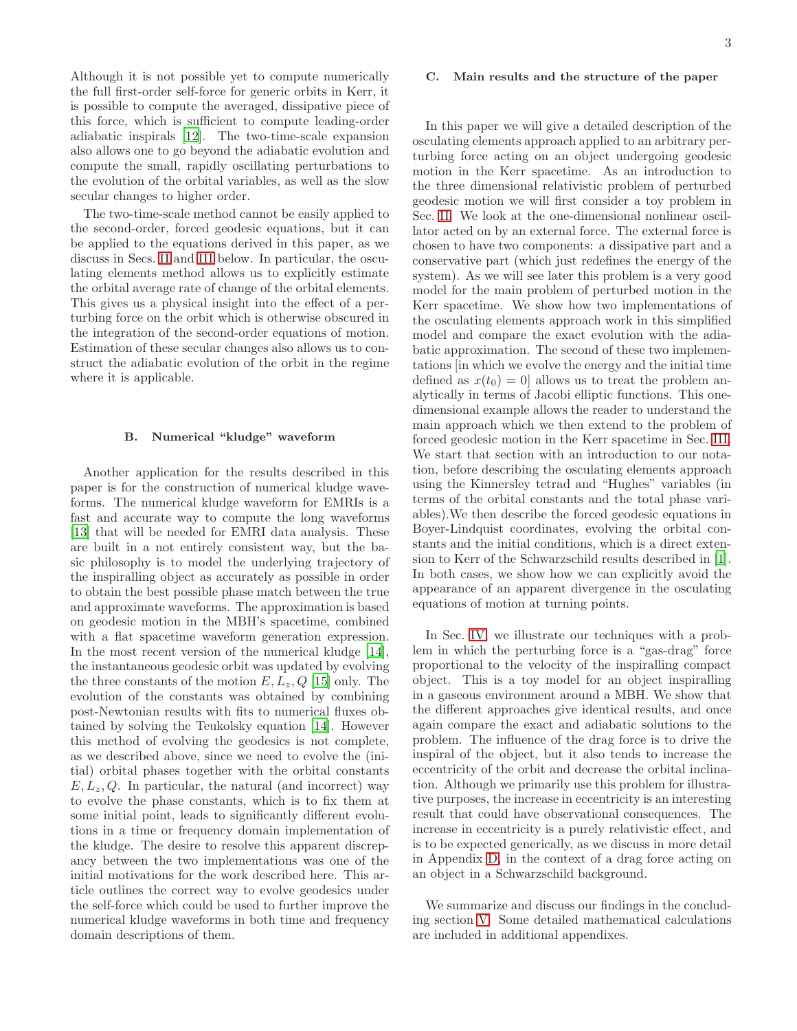Although it is not possible yet to compute numerically the full first-order self-force for generic orbits in Kerr, it is possible to compute the averaged, dissipative piece of this force, which is sufficient to compute leading-order adiabatic inspirals [\[12\]](#page-27-9). The two-time-scale expansion also allows one to go beyond the adiabatic evolution and compute the small, rapidly oscillating perturbations to the evolution of the orbital variables, as well as the slow secular changes to higher order.

The two-time-scale method cannot be easily applied to the second-order, forced geodesic equations, but it can be applied to the equations derived in this paper, as we discuss in Secs. [II](#page-3-0) and [III](#page-7-0) below. In particular, the osculating elements method allows us to explicitly estimate the orbital average rate of change of the orbital elements. This gives us a physical insight into the effect of a perturbing force on the orbit which is otherwise obscured in the integration of the second-order equations of motion. Estimation of these secular changes also allows us to construct the adiabatic evolution of the orbit in the regime where it is applicable.

# B. Numerical "kludge" waveform

Another application for the results described in this paper is for the construction of numerical kludge waveforms. The numerical kludge waveform for EMRIs is a fast and accurate way to compute the long waveforms [\[13\]](#page-27-10) that will be needed for EMRI data analysis. These are built in a not entirely consistent way, but the basic philosophy is to model the underlying trajectory of the inspiralling object as accurately as possible in order to obtain the best possible phase match between the true and approximate waveforms. The approximation is based on geodesic motion in the MBH's spacetime, combined with a flat spacetime waveform generation expression. In the most recent version of the numerical kludge [\[14\]](#page-27-11), the instantaneous geodesic orbit was updated by evolving the three constants of the motion  $E, L_z, Q$  [\[15\]](#page-27-12) only. The evolution of the constants was obtained by combining post-Newtonian results with fits to numerical fluxes obtained by solving the Teukolsky equation [\[14](#page-27-11)]. However this method of evolving the geodesics is not complete, as we described above, since we need to evolve the (initial) orbital phases together with the orbital constants  $E, L_z, Q$ . In particular, the natural (and incorrect) way to evolve the phase constants, which is to fix them at some initial point, leads to significantly different evolutions in a time or frequency domain implementation of the kludge. The desire to resolve this apparent discrepancy between the two implementations was one of the initial motivations for the work described here. This article outlines the correct way to evolve geodesics under the self-force which could be used to further improve the numerical kludge waveforms in both time and frequency domain descriptions of them.

## C. Main results and the structure of the paper

In this paper we will give a detailed description of the osculating elements approach applied to an arbitrary perturbing force acting on an object undergoing geodesic motion in the Kerr spacetime. As an introduction to the three dimensional relativistic problem of perturbed geodesic motion we will first consider a toy problem in Sec. [II.](#page-3-0) We look at the one-dimensional nonlinear oscillator acted on by an external force. The external force is chosen to have two components: a dissipative part and a conservative part (which just redefines the energy of the system). As we will see later this problem is a very good model for the main problem of perturbed motion in the Kerr spacetime. We show how two implementations of the osculating elements approach work in this simplified model and compare the exact evolution with the adiabatic approximation. The second of these two implementations [in which we evolve the energy and the initial time defined as  $x(t_0) = 0$  allows us to treat the problem analytically in terms of Jacobi elliptic functions. This onedimensional example allows the reader to understand the main approach which we then extend to the problem of forced geodesic motion in the Kerr spacetime in Sec. [III.](#page-7-0) We start that section with an introduction to our notation, before describing the osculating elements approach using the Kinnersley tetrad and "Hughes" variables (in terms of the orbital constants and the total phase variables).We then describe the forced geodesic equations in Boyer-Lindquist coordinates, evolving the orbital constants and the initial conditions, which is a direct extension to Kerr of the Schwarzschild results described in [\[1\]](#page-27-0). In both cases, we show how we can explicitly avoid the appearance of an apparent divergence in the osculating equations of motion at turning points.

In Sec. [IV,](#page-16-0) we illustrate our techniques with a problem in which the perturbing force is a "gas-drag" force proportional to the velocity of the inspiralling compact object. This is a toy model for an object inspiralling in a gaseous environment around a MBH. We show that the different approaches give identical results, and once again compare the exact and adiabatic solutions to the problem. The influence of the drag force is to drive the inspiral of the object, but it also tends to increase the eccentricity of the orbit and decrease the orbital inclination. Although we primarily use this problem for illustrative purposes, the increase in eccentricity is an interesting result that could have observational consequences. The increase in eccentricity is a purely relativistic effect, and is to be expected generically, as we discuss in more detail in Appendix [D,](#page-25-0) in the context of a drag force acting on an object in a Schwarzschild background.

We summarize and discuss our findings in the concluding section [V.](#page-18-0) Some detailed mathematical calculations are included in additional appendixes.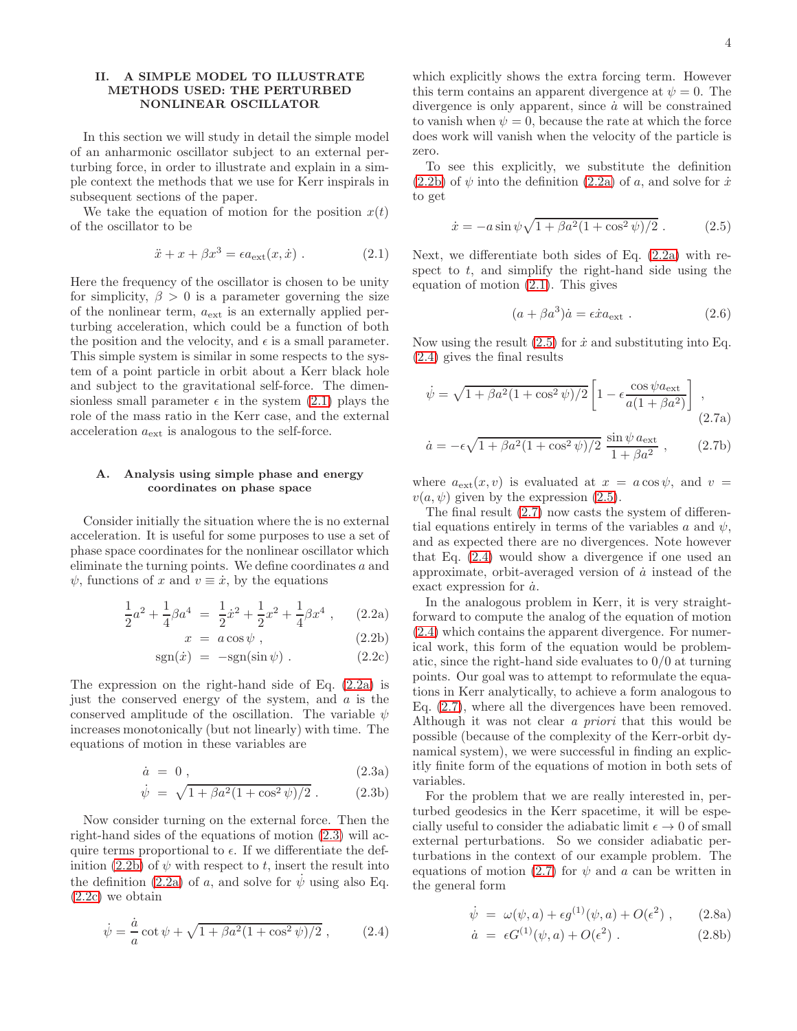# <span id="page-3-0"></span>II. A SIMPLE MODEL TO ILLUSTRATE METHODS USED: THE PERTURBED NONLINEAR OSCILLATOR

In this section we will study in detail the simple model of an anharmonic oscillator subject to an external perturbing force, in order to illustrate and explain in a simple context the methods that we use for Kerr inspirals in subsequent sections of the paper.

We take the equation of motion for the position  $x(t)$ of the oscillator to be

<span id="page-3-1"></span>
$$
\ddot{x} + x + \beta x^3 = \epsilon a_{\text{ext}}(x, \dot{x}) . \qquad (2.1)
$$

Here the frequency of the oscillator is chosen to be unity for simplicity,  $\beta > 0$  is a parameter governing the size of the nonlinear term,  $a_{\text{ext}}$  is an externally applied perturbing acceleration, which could be a function of both the position and the velocity, and  $\epsilon$  is a small parameter. This simple system is similar in some respects to the system of a point particle in orbit about a Kerr black hole and subject to the gravitational self-force. The dimensionless small parameter  $\epsilon$  in the system [\(2.1\)](#page-3-1) plays the role of the mass ratio in the Kerr case, and the external acceleration  $a_{\text{ext}}$  is analogous to the self-force.

# <span id="page-3-8"></span>A. Analysis using simple phase and energy coordinates on phase space

Consider initially the situation where the is no external acceleration. It is useful for some purposes to use a set of phase space coordinates for the nonlinear oscillator which eliminate the turning points. We define coordinates a and  $\psi$ , functions of x and  $v \equiv \dot{x}$ , by the equations

<span id="page-3-2"></span>
$$
\frac{1}{2}a^2 + \frac{1}{4}\beta a^4 = \frac{1}{2}\dot{x}^2 + \frac{1}{2}x^2 + \frac{1}{4}\beta x^4 ,
$$
 (2.2a)

$$
x = a \cos \psi , \qquad (2.2b)
$$

$$
sgn(\dot{x}) = -sgn(\sin \psi) . \qquad (2.2c)
$$

The expression on the right-hand side of Eq. [\(2.2a\)](#page-3-2) is just the conserved energy of the system, and a is the conserved amplitude of the oscillation. The variable  $\psi$ increases monotonically (but not linearly) with time. The equations of motion in these variables are

$$
\dot{a} = 0, \qquad (2.3a)
$$

$$
\dot{\psi} = \sqrt{1 + \beta a^2 (1 + \cos^2 \psi)/2} \,. \tag{2.3b}
$$

Now consider turning on the external force. Then the right-hand sides of the equations of motion [\(2.3\)](#page-3-3) will acquire terms proportional to  $\epsilon$ . If we differentiate the def-inition [\(2.2b\)](#page-3-2) of  $\psi$  with respect to t, insert the result into the definition [\(2.2a\)](#page-3-2) of a, and solve for  $\psi$  using also Eq. [\(2.2c\)](#page-3-2) we obtain

<span id="page-3-5"></span>
$$
\dot{\psi} = \frac{\dot{a}}{a} \cot \psi + \sqrt{1 + \beta a^2 (1 + \cos^2 \psi)/2} , \qquad (2.4)
$$

which explicitly shows the extra forcing term. However this term contains an apparent divergence at  $\psi = 0$ . The divergence is only apparent, since  $\dot{a}$  will be constrained to vanish when  $\psi = 0$ , because the rate at which the force does work will vanish when the velocity of the particle is zero.

To see this explicitly, we substitute the definition  $(2.2b)$  of  $\psi$  into the definition  $(2.2a)$  of a, and solve for  $\dot{x}$ to get

<span id="page-3-4"></span>
$$
\dot{x} = -a\sin\psi\sqrt{1 + \beta a^2 (1 + \cos^2\psi)/2} . \tag{2.5}
$$

Next, we differentiate both sides of Eq. [\(2.2a\)](#page-3-2) with respect to  $t$ , and simplify the right-hand side using the equation of motion [\(2.1\)](#page-3-1). This gives

<span id="page-3-6"></span>
$$
(a + \beta a^3)\dot{a} = \epsilon \dot{x} a_{\text{ext}} . \qquad (2.6)
$$

Now using the result  $(2.5)$  for  $\dot{x}$  and substituting into Eq. [\(2.4\)](#page-3-5) gives the final results

$$
\dot{\psi} = \sqrt{1 + \beta a^2 (1 + \cos^2 \psi)/2} \left[ 1 - \epsilon \frac{\cos \psi a_{\text{ext}}}{a(1 + \beta a^2)} \right],
$$
\n(2.7a)

$$
\dot{a} = -\epsilon \sqrt{1 + \beta a^2 (1 + \cos^2 \psi)/2} \frac{\sin \psi a_{\text{ext}}}{1 + \beta a^2} ,\qquad(2.7b)
$$

where  $a_{\text{ext}}(x, v)$  is evaluated at  $x = a \cos \psi$ , and  $v =$  $v(a, \psi)$  given by the expression [\(2.5\)](#page-3-4).

The final result [\(2.7\)](#page-3-6) now casts the system of differential equations entirely in terms of the variables a and  $\psi$ , and as expected there are no divergences. Note however that Eq. [\(2.4\)](#page-3-5) would show a divergence if one used an approximate, orbit-averaged version of  $\dot{a}$  instead of the exact expression for  $\dot{a}$ .

In the analogous problem in Kerr, it is very straightforward to compute the analog of the equation of motion [\(2.4\)](#page-3-5) which contains the apparent divergence. For numerical work, this form of the equation would be problematic, since the right-hand side evaluates to 0/0 at turning points. Our goal was to attempt to reformulate the equations in Kerr analytically, to achieve a form analogous to Eq. [\(2.7\)](#page-3-6), where all the divergences have been removed. Although it was not clear a priori that this would be possible (because of the complexity of the Kerr-orbit dynamical system), we were successful in finding an explicitly finite form of the equations of motion in both sets of variables.

<span id="page-3-3"></span>For the problem that we are really interested in, perturbed geodesics in the Kerr spacetime, it will be especially useful to consider the adiabatic limit  $\epsilon \to 0$  of small external perturbations. So we consider adiabatic perturbations in the context of our example problem. The equations of motion [\(2.7\)](#page-3-6) for  $\psi$  and a can be written in the general form

<span id="page-3-7"></span>
$$
\dot{\psi} = \omega(\psi, a) + \epsilon g^{(1)}(\psi, a) + O(\epsilon^2) , \qquad (2.8a)
$$

$$
\dot{a} = \epsilon G^{(1)}(\psi, a) + O(\epsilon^2) . \qquad (2.8b)
$$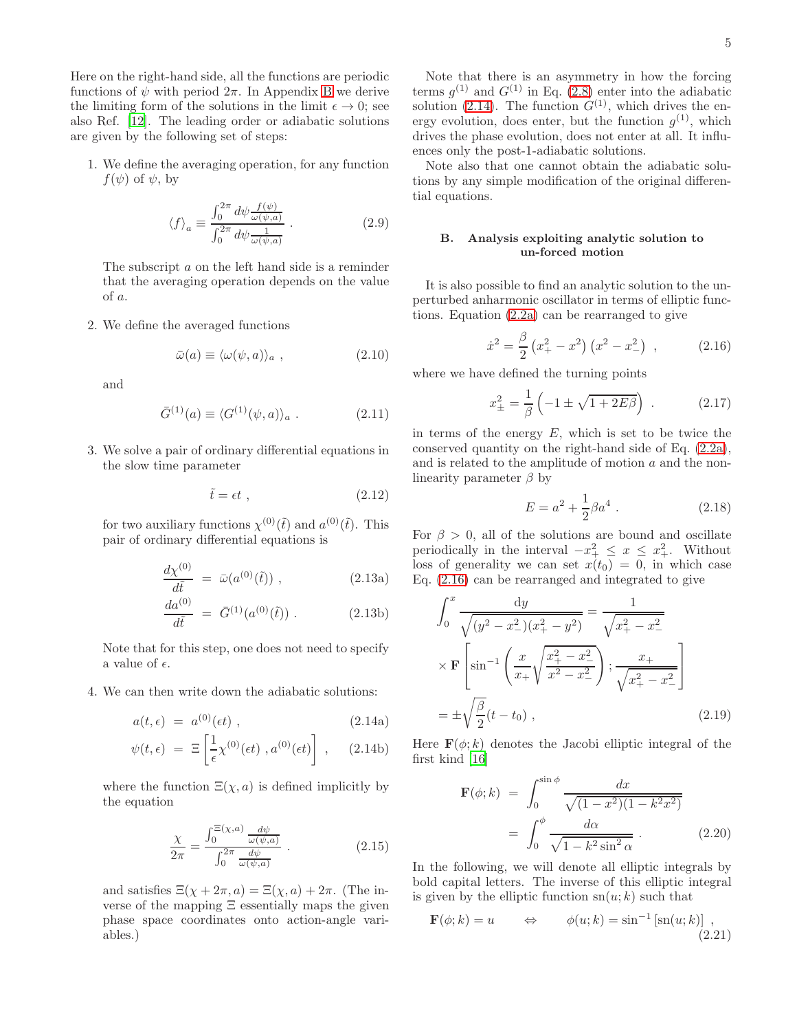Here on the right-hand side, all the functions are periodic functions of  $\psi$  with period  $2\pi$ . In Appendix [B](#page-23-0) we derive the limiting form of the solutions in the limit  $\epsilon \to 0$ ; see also Ref. [\[12\]](#page-27-9). The leading order or adiabatic solutions are given by the following set of steps:

1. We define the averaging operation, for any function  $f(\psi)$  of  $\psi$ , by

$$
\langle f \rangle_a \equiv \frac{\int_0^{2\pi} d\psi \frac{f(\psi)}{\omega(\psi, a)}}{\int_0^{2\pi} d\psi \frac{1}{\omega(\psi, a)}}.
$$
 (2.9)

The subscript a on the left hand side is a reminder that the averaging operation depends on the value of a.

2. We define the averaged functions

$$
\bar{\omega}(a) \equiv \langle \omega(\psi, a) \rangle_a , \qquad (2.10)
$$

and

$$
\bar{G}^{(1)}(a) \equiv \langle G^{(1)}(\psi, a) \rangle_a . \qquad (2.11)
$$

3. We solve a pair of ordinary differential equations in the slow time parameter

$$
\tilde{t} = \epsilon t \tag{2.12}
$$

for two auxiliary functions  $\chi^{(0)}(\tilde{t})$  and  $a^{(0)}(\tilde{t})$ . This pair of ordinary differential equations is

$$
\frac{d\chi^{(0)}}{d\tilde{t}} = \bar{\omega}(a^{(0)}(\tilde{t})) , \qquad (2.13a)
$$

$$
\frac{da^{(0)}}{d\tilde{t}} = \bar{G}^{(1)}(a^{(0)}(\tilde{t})) . \qquad (2.13b)
$$

Note that for this step, one does not need to specify a value of  $\epsilon$ .

4. We can then write down the adiabatic solutions:

$$
a(t,\epsilon) = a^{(0)}(\epsilon t) , \qquad (2.14a)
$$

$$
\psi(t,\epsilon) = \Xi \left[ \frac{1}{\epsilon} \chi^{(0)}(\epsilon t) , a^{(0)}(\epsilon t) \right] , \quad (2.14b)
$$

where the function  $\Xi(\chi, a)$  is defined implicitly by the equation

<span id="page-4-5"></span>
$$
\frac{\chi}{2\pi} = \frac{\int_0^{\Xi(\chi,a)} \frac{d\psi}{\omega(\psi,a)}}{\int_0^{2\pi} \frac{d\psi}{\omega(\psi,a)}}.
$$
\n(2.15)

and satisfies  $\Xi(\chi + 2\pi, a) = \Xi(\chi, a) + 2\pi$ . (The inverse of the mapping  $\Xi$  essentially maps the given phase space coordinates onto action-angle variables.)

Note that there is an asymmetry in how the forcing terms  $g^{(1)}$  and  $G^{(1)}$  in Eq. [\(2.8\)](#page-3-7) enter into the adiabatic solution [\(2.14\)](#page-4-0). The function  $G^{(1)}$ , which drives the energy evolution, does enter, but the function  $g^{(1)}$ , which drives the phase evolution, does not enter at all. It influences only the post-1-adiabatic solutions.

Note also that one cannot obtain the adiabatic solutions by any simple modification of the original differential equations.

## <span id="page-4-4"></span>B. Analysis exploiting analytic solution to un-forced motion

It is also possible to find an analytic solution to the unperturbed anharmonic oscillator in terms of elliptic functions. Equation [\(2.2a\)](#page-3-2) can be rearranged to give

<span id="page-4-1"></span>
$$
\dot{x}^2 = \frac{\beta}{2} \left( x_+^2 - x_-^2 \right) \left( x_-^2 - x_-^2 \right) , \qquad (2.16)
$$

where we have defined the turning points

$$
x_{\pm}^{2} = \frac{1}{\beta} \left( -1 \pm \sqrt{1 + 2E\beta} \right) . \tag{2.17}
$$

in terms of the energy  $E$ , which is set to be twice the conserved quantity on the right-hand side of Eq. [\(2.2a\)](#page-3-2), and is related to the amplitude of motion a and the nonlinearity parameter  $\beta$  by

$$
E = a^2 + \frac{1}{2}\beta a^4 \ . \tag{2.18}
$$

For  $\beta > 0$ , all of the solutions are bound and oscillate periodically in the interval  $-x_{+}^{2} \leq x \leq x_{+}^{2}$ . Without loss of generality we can set  $x(t_0) = 0$ , in which case Eq. [\(2.16\)](#page-4-1) can be rearranged and integrated to give

$$
\int_0^x \frac{dy}{\sqrt{(y^2 - x_-^2)(x_+^2 - y^2)}} = \frac{1}{\sqrt{x_+^2 - x_-^2}}
$$

$$
\times \mathbf{F} \left[ \sin^{-1} \left( \frac{x}{x_+} \sqrt{\frac{x_+^2 - x_-^2}{x^2 - x_-^2}} \right) ; \frac{x_+}{\sqrt{x_+^2 - x_-^2}} \right]
$$

$$
= \pm \sqrt{\frac{\beta}{2}} (t - t_0) , \qquad (2.19)
$$

<span id="page-4-0"></span>Here  $\mathbf{F}(\phi; k)$  denotes the Jacobi elliptic integral of the first kind [\[16\]](#page-27-13)

<span id="page-4-2"></span>
$$
\mathbf{F}(\phi; k) = \int_0^{\sin \phi} \frac{dx}{\sqrt{(1 - x^2)(1 - k^2 x^2)}}
$$

$$
= \int_0^{\phi} \frac{d\alpha}{\sqrt{1 - k^2 \sin^2 \alpha}}.
$$
(2.20)

In the following, we will denote all elliptic integrals by bold capital letters. The inverse of this elliptic integral is given by the elliptic function  $\mathrm{sn}(u; k)$  such that

<span id="page-4-3"></span>
$$
\mathbf{F}(\phi; k) = u \qquad \Leftrightarrow \qquad \phi(u; k) = \sin^{-1} \left[ \text{sn}(u; k) \right], \tag{2.21}
$$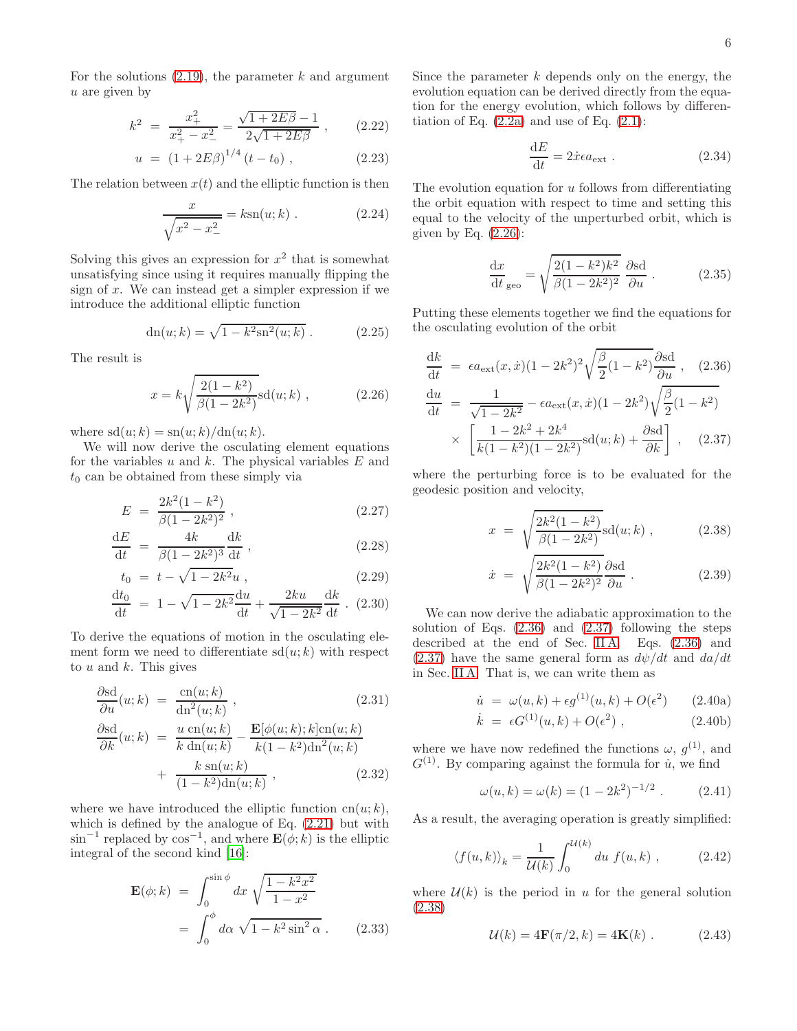For the solutions  $(2.19)$ , the parameter k and argument  $u$  are given by

$$
k^2 = \frac{x_+^2}{x_+^2 - x_-^2} = \frac{\sqrt{1 + 2E\beta} - 1}{2\sqrt{1 + 2E\beta}} \,, \qquad (2.22)
$$

$$
u = (1 + 2E\beta)^{1/4} (t - t_0) , \qquad (2.23)
$$

The relation between  $x(t)$  and the elliptic function is then

$$
\frac{x}{\sqrt{x^2 - x_{-}^2}} = k \operatorname{sn}(u; k) .
$$
 (2.24)

Solving this gives an expression for  $x^2$  that is somewhat unsatisfying since using it requires manually flipping the sign of  $x$ . We can instead get a simpler expression if we introduce the additional elliptic function

$$
dn(u; k) = \sqrt{1 - k^2 \operatorname{sn}^2(u; k)}.
$$
 (2.25)

The result is

<span id="page-5-0"></span>
$$
x = k \sqrt{\frac{2(1 - k^2)}{\beta(1 - 2k^2)}} \text{sd}(u; k) , \qquad (2.26)
$$

where  $sd(u; k) = sn(u; k)/dn(u; k)$ .

We will now derive the osculating element equations for the variables  $u$  and  $k$ . The physical variables  $E$  and  $t_0$  can be obtained from these simply via

<span id="page-5-6"></span>
$$
E = \frac{2k^2(1-k^2)}{\beta(1-2k^2)^2},
$$
\n(2.27)

$$
\frac{\mathrm{d}E}{\mathrm{d}t} = \frac{4k}{\beta(1 - 2k^2)^3} \frac{\mathrm{d}k}{\mathrm{d}t},\tag{2.28}
$$

$$
t_0 = t - \sqrt{1 - 2k^2}u, \tag{2.29}
$$

$$
\frac{dt_0}{dt} = 1 - \sqrt{1 - 2k^2} \frac{du}{dt} + \frac{2ku}{\sqrt{1 - 2k^2}} \frac{dk}{dt} \ . \ (2.30)
$$

To derive the equations of motion in the osculating element form we need to differentiate  $sd(u; k)$  with respect to  $u$  and  $k$ . This gives

<span id="page-5-3"></span>
$$
\frac{\partial \mathrm{sd}}{\partial u}(u;k) = \frac{\mathrm{cn}(u;k)}{\mathrm{dn}^2(u;k)},
$$
\n(2.31)  
\n
$$
\frac{\partial \mathrm{sd}}{\partial k}(u;k) = \frac{u \mathrm{cn}(u;k)}{k \mathrm{dn}(u;k)} - \frac{\mathbf{E}[\phi(u;k);k] \mathrm{cn}(u;k)}{k(1-k^2) \mathrm{dn}^2(u;k)} + \frac{k \mathrm{sn}(u;k)}{(1-k^2) \mathrm{dn}(u;k)},
$$
\n(2.32)

where we have introduced the elliptic function  $cn(u; k)$ , which is defined by the analogue of Eq. [\(2.21\)](#page-4-3) but with  $\sin^{-1}$  replaced by  $\cos^{-1}$ , and where  $\mathbf{E}(\phi;k)$  is the elliptic integral of the second kind [\[16](#page-27-13)]:

<span id="page-5-4"></span>
$$
\mathbf{E}(\phi; k) = \int_0^{\sin \phi} dx \sqrt{\frac{1 - k^2 x^2}{1 - x^2}}
$$

$$
= \int_0^{\phi} d\alpha \sqrt{1 - k^2 \sin^2 \alpha} . \qquad (2.33)
$$

Since the parameter  $k$  depends only on the energy, the evolution equation can be derived directly from the equation for the energy evolution, which follows by differentiation of Eq.  $(2.2a)$  and use of Eq.  $(2.1)$ :

$$
\frac{\mathrm{d}E}{\mathrm{d}t} = 2\dot{x}\epsilon a_{\text{ext}}\ .\tag{2.34}
$$

The evolution equation for  $u$  follows from differentiating the orbit equation with respect to time and setting this equal to the velocity of the unperturbed orbit, which is given by Eq.  $(2.26)$ :

$$
\frac{\mathrm{d}x}{\mathrm{d}t}_{\mathrm{geo}} = \sqrt{\frac{2(1-k^2)k^2}{\beta(1-2k^2)^2}} \frac{\partial \mathrm{sd}}{\partial u} . \tag{2.35}
$$

Putting these elements together we find the equations for the osculating evolution of the orbit

<span id="page-5-1"></span>
$$
\frac{dk}{dt} = \epsilon a_{ext}(x, \dot{x})(1 - 2k^2)^2 \sqrt{\frac{\beta}{2}(1 - k^2)} \frac{\partial s}{\partial u}, \quad (2.36)
$$
  

$$
\frac{du}{dt} = \frac{1}{\sqrt{1 - 2k^2}} - \epsilon a_{ext}(x, \dot{x})(1 - 2k^2) \sqrt{\frac{\beta}{2}(1 - k^2)}
$$
  

$$
\times \left[ \frac{1 - 2k^2 + 2k^4}{k(1 - k^2)(1 - 2k^2)} s d(u; k) + \frac{\partial s d}{\partial k} \right], \quad (2.37)
$$

where the perturbing force is to be evaluated for the geodesic position and velocity,

<span id="page-5-2"></span>
$$
x = \sqrt{\frac{2k^2(1-k^2)}{\beta(1-2k^2)}} \text{sd}(u;k) , \qquad (2.38)
$$

$$
\dot{x} = \sqrt{\frac{2k^2(1-k^2)}{\beta(1-2k^2)^2}} \frac{\partial \text{sd}}{\partial u}.
$$
 (2.39)

We can now derive the adiabatic approximation to the solution of Eqs.  $(2.36)$  and  $(2.37)$  following the steps described at the end of Sec. [II A.](#page-3-8) Eqs.  $(2.36)$  and  $(2.37)$  have the same general form as  $d\psi/dt$  and  $da/dt$ in Sec. [II A.](#page-3-8) That is, we can write them as

<span id="page-5-5"></span>
$$
\dot{u} = \omega(u,k) + \epsilon g^{(1)}(u,k) + O(\epsilon^2) \qquad (2.40a)
$$

$$
\dot{k} = \epsilon G^{(1)}(u, k) + O(\epsilon^2) , \qquad (2.40b)
$$

where we have now redefined the functions  $\omega, g^{(1)}$ , and  $G^{(1)}$ . By comparing against the formula for  $\dot{u}$ , we find

$$
\omega(u,k) = \omega(k) = (1 - 2k^2)^{-1/2} . \qquad (2.41)
$$

As a result, the averaging operation is greatly simplified:

$$
\langle f(u,k)\rangle_k = \frac{1}{\mathcal{U}(k)} \int_0^{\mathcal{U}(k)} du f(u,k) , \qquad (2.42)
$$

where  $\mathcal{U}(k)$  is the period in u for the general solution [\(2.38\)](#page-5-2)

$$
\mathcal{U}(k) = 4\mathbf{F}(\pi/2, k) = 4\mathbf{K}(k) . \qquad (2.43)
$$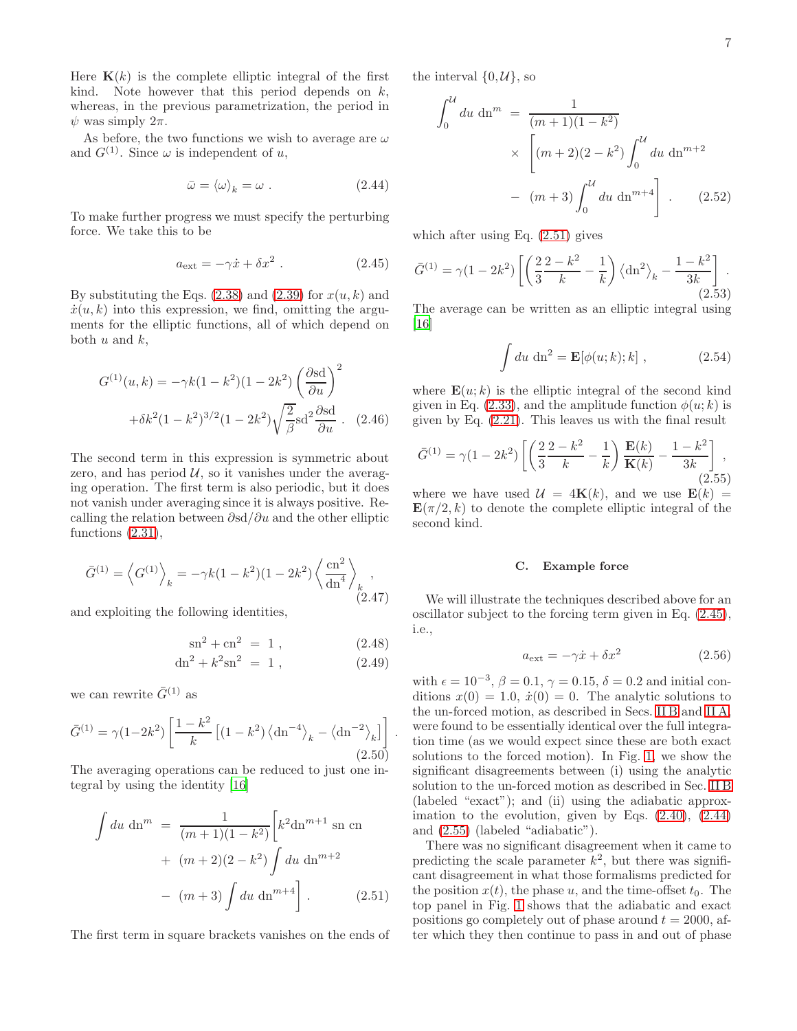Here  $K(k)$  is the complete elliptic integral of the first kind. Note however that this period depends on  $k$ , whereas, in the previous parametrization, the period in  $\psi$  was simply  $2\pi$ .

As before, the two functions we wish to average are  $\omega$ and  $G^{(1)}$ . Since  $\omega$  is independent of u,

<span id="page-6-2"></span>
$$
\bar{\omega} = \langle \omega \rangle_k = \omega . \tag{2.44}
$$

To make further progress we must specify the perturbing force. We take this to be

<span id="page-6-1"></span>
$$
a_{\text{ext}} = -\gamma \dot{x} + \delta x^2 \ . \tag{2.45}
$$

By substituting the Eqs.  $(2.38)$  and  $(2.39)$  for  $x(u, k)$  and  $\dot{x}(u, k)$  into this expression, we find, omitting the arguments for the elliptic functions, all of which depend on both  $u$  and  $k$ ,

$$
G^{(1)}(u,k) = -\gamma k(1 - k^2)(1 - 2k^2) \left(\frac{\partial \text{sd}}{\partial u}\right)^2
$$

$$
+ \delta k^2 (1 - k^2)^{3/2} (1 - 2k^2) \sqrt{\frac{2}{\beta}} \text{sd}^2 \frac{\partial \text{sd}}{\partial u}. \quad (2.46)
$$

The second term in this expression is symmetric about zero, and has period  $U$ , so it vanishes under the averaging operation. The first term is also periodic, but it does not vanish under averaging since it is always positive. Recalling the relation between  $\partial s d/\partial u$  and the other elliptic functions [\(2.31\)](#page-5-3),

$$
\bar{G}^{(1)} = \left\langle G^{(1)} \right\rangle_k = -\gamma k (1 - k^2)(1 - 2k^2) \left\langle \frac{\text{cn}^2}{\text{dn}^4} \right\rangle_k,
$$
\n(2.47)

and exploiting the following identities,

$$
sn^2 + cn^2 = 1 , \t(2.48)
$$

$$
dn^2 + k^2 sn^2 = 1 , \t(2.49)
$$

.

we can rewrite  $\bar{G}^{(1)}$  as

$$
\bar{G}^{(1)} = \gamma (1 - 2k^2) \left[ \frac{1 - k^2}{k} \left[ (1 - k^2) \left\langle \mathrm{dn}^{-4} \right\rangle_k - \left\langle \mathrm{dn}^{-2} \right\rangle_k \right] \right] \tag{2.50}
$$

The averaging operations can be reduced to just one integral by using the identity [\[16\]](#page-27-13)

<span id="page-6-0"></span>
$$
\int du \, \mathrm{d}n^m = \frac{1}{(m+1)(1-k^2)} \left[ k^2 \mathrm{d}n^{m+1} \, \mathrm{sn} \, \mathrm{cn} \right. \n+ (m+2)(2-k^2) \int du \, \mathrm{d}n^{m+2} \n- (m+3) \int du \, \mathrm{d}n^{m+4} \right]. \tag{2.51}
$$

The first term in square brackets vanishes on the ends of

the interval  $\{0, \mathcal{U}\}\$ , so

$$
\int_0^{\mathcal{U}} du \, \mathrm{d} \mathbf{n}^m = \frac{1}{(m+1)(1-k^2)} \times \left[ (m+2)(2-k^2) \int_0^{\mathcal{U}} du \, \mathrm{d} \mathbf{n}^{m+2} - (m+3) \int_0^{\mathcal{U}} du \, \mathrm{d} \mathbf{n}^{m+4} \right].
$$
 (2.52)

which after using Eq. [\(2.51\)](#page-6-0) gives

$$
\bar{G}^{(1)} = \gamma (1 - 2k^2) \left[ \left( \frac{2}{3} \frac{2 - k^2}{k} - \frac{1}{k} \right) \langle \mathrm{dn}^2 \rangle_k - \frac{1 - k^2}{3k} \right].
$$
\n(2.53)

The average can be written as an elliptic integral using [\[16\]](#page-27-13)

$$
\int du \, \mathrm{dn}^2 = \mathbf{E}[\phi(u;k);k] \,, \tag{2.54}
$$

where  $\mathbf{E}(u; k)$  is the elliptic integral of the second kind given in Eq. [\(2.33\)](#page-5-4), and the amplitude function  $\phi(u; k)$  is given by Eq. [\(2.21\)](#page-4-3). This leaves us with the final result

<span id="page-6-3"></span>
$$
\bar{G}^{(1)} = \gamma (1 - 2k^2) \left[ \left( \frac{2}{3} \frac{2 - k^2}{k} - \frac{1}{k} \right) \frac{\mathbf{E}(k)}{\mathbf{K}(k)} - \frac{1 - k^2}{3k} \right],
$$
\n(2.55)

where we have used  $\mathcal{U} = 4\mathbf{K}(k)$ , and we use  $\mathbf{E}(k) =$  $\mathbf{E}(\pi/2, k)$  to denote the complete elliptic integral of the second kind.

## C. Example force

We will illustrate the techniques described above for an oscillator subject to the forcing term given in Eq. [\(2.45\)](#page-6-1), i.e.,

$$
a_{\text{ext}} = -\gamma \dot{x} + \delta x^2 \tag{2.56}
$$

with  $\epsilon = 10^{-3}$ ,  $\beta = 0.1$ ,  $\gamma = 0.15$ ,  $\delta = 0.2$  and initial conditions  $x(0) = 1.0, \dot{x}(0) = 0$ . The analytic solutions to the un-forced motion, as described in Secs. [II B](#page-4-4) and [II A,](#page-3-8) were found to be essentially identical over the full integration time (as we would expect since these are both exact solutions to the forced motion). In Fig. [1,](#page-7-1) we show the significant disagreements between (i) using the analytic solution to the un-forced motion as described in Sec. [II B](#page-4-4) (labeled "exact"); and (ii) using the adiabatic approximation to the evolution, given by Eqs.  $(2.40)$ ,  $(2.44)$ and [\(2.55\)](#page-6-3) (labeled "adiabatic").

There was no significant disagreement when it came to predicting the scale parameter  $k^2$ , but there was significant disagreement in what those formalisms predicted for the position  $x(t)$ , the phase u, and the time-offset  $t_0$ . The top panel in Fig. [1](#page-7-1) shows that the adiabatic and exact positions go completely out of phase around  $t = 2000$ , after which they then continue to pass in and out of phase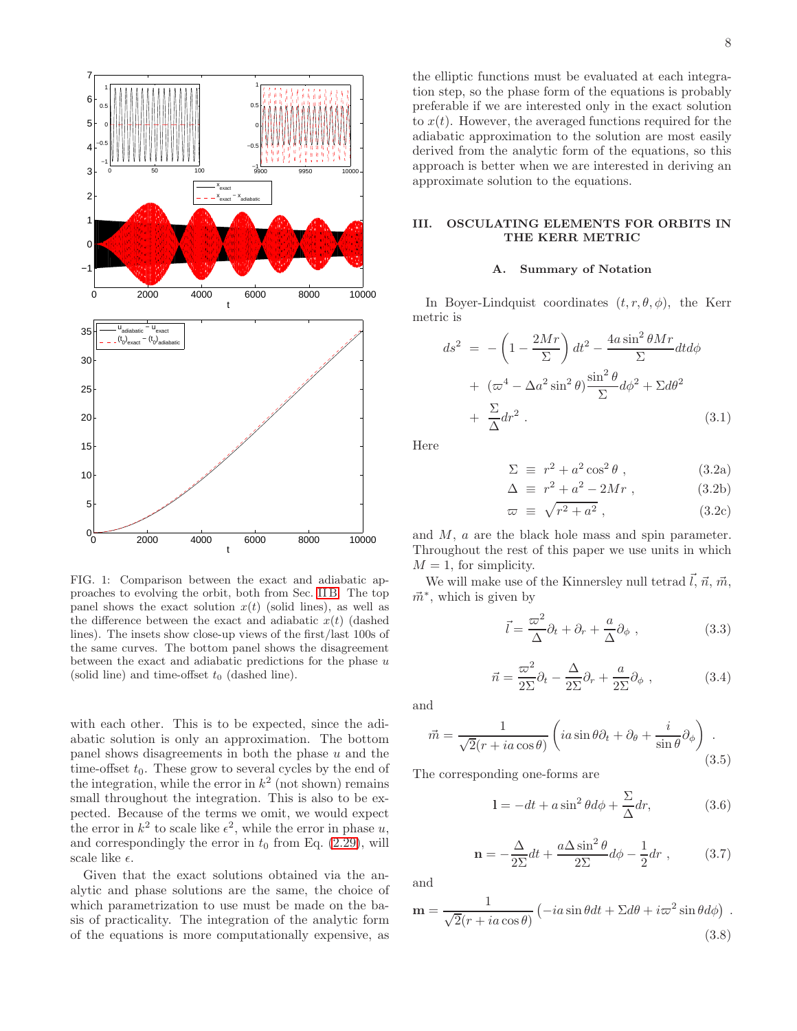

<span id="page-7-1"></span>FIG. 1: Comparison between the exact and adiabatic approaches to evolving the orbit, both from Sec. [II B.](#page-4-4) The top panel shows the exact solution  $x(t)$  (solid lines), as well as the difference between the exact and adiabatic  $x(t)$  (dashed lines). The insets show close-up views of the first/last 100s of the same curves. The bottom panel shows the disagreement between the exact and adiabatic predictions for the phase  $u$ (solid line) and time-offset  $t_0$  (dashed line).

with each other. This is to be expected, since the adiabatic solution is only an approximation. The bottom panel shows disagreements in both the phase  $u$  and the time-offset  $t_0$ . These grow to several cycles by the end of the integration, while the error in  $k^2$  (not shown) remains small throughout the integration. This is also to be expected. Because of the terms we omit, we would expect the error in  $k^2$  to scale like  $\epsilon^2$ , while the error in phase u, and correspondingly the error in  $t_0$  from Eq. [\(2.29\)](#page-5-6), will scale like  $\epsilon$ .

Given that the exact solutions obtained via the analytic and phase solutions are the same, the choice of which parametrization to use must be made on the basis of practicality. The integration of the analytic form of the equations is more computationally expensive, as

the elliptic functions must be evaluated at each integration step, so the phase form of the equations is probably preferable if we are interested only in the exact solution to  $x(t)$ . However, the averaged functions required for the adiabatic approximation to the solution are most easily derived from the analytic form of the equations, so this approach is better when we are interested in deriving an approximate solution to the equations.

# <span id="page-7-0"></span>III. OSCULATING ELEMENTS FOR ORBITS IN THE KERR METRIC

## A. Summary of Notation

In Boyer-Lindquist coordinates  $(t, r, \theta, \phi)$ , the Kerr metric is

$$
ds^{2} = -\left(1 - \frac{2Mr}{\Sigma}\right)dt^{2} - \frac{4a\sin^{2}\theta Mr}{\Sigma}dt d\phi
$$

$$
+ \left(\varpi^{4} - \Delta a^{2}\sin^{2}\theta\right)\frac{\sin^{2}\theta}{\Sigma}d\phi^{2} + \Sigma d\theta^{2}
$$

$$
+ \frac{\Sigma}{\Delta}dr^{2}. \tag{3.1}
$$

<span id="page-7-4"></span>Here

$$
\Sigma \equiv r^2 + a^2 \cos^2 \theta , \qquad (3.2a)
$$

$$
\Delta \equiv r^2 + a^2 - 2Mr \;, \tag{3.2b}
$$

$$
\varpi \equiv \sqrt{r^2 + a^2} \,, \tag{3.2c}
$$

and M, a are the black hole mass and spin parameter. Throughout the rest of this paper we use units in which  $M = 1$ , for simplicity.

We will make use of the Kinnersley null tetrad  $\vec{l}, \vec{n}, \vec{m}$ ,  $\vec{m}^*$ , which is given by

$$
\vec{l} = \frac{\omega^2}{\Delta} \partial_t + \partial_r + \frac{a}{\Delta} \partial_\phi , \qquad (3.3)
$$

$$
\vec{n} = \frac{\varpi^2}{2\Sigma} \partial_t - \frac{\Delta}{2\Sigma} \partial_r + \frac{a}{2\Sigma} \partial_\phi , \qquad (3.4)
$$

and

$$
\vec{m} = \frac{1}{\sqrt{2}(r + ia\cos\theta)} \left( ia\sin\theta \partial_t + \partial_\theta + \frac{i}{\sin\theta} \partial_\phi \right) .
$$
\n(3.5)

The corresponding one-forms are

<span id="page-7-2"></span>
$$
1 = -dt + a\sin^2\theta d\phi + \frac{\Sigma}{\Delta}dr,\tag{3.6}
$$

$$
\mathbf{n} = -\frac{\Delta}{2\Sigma}dt + \frac{a\Delta\sin^2\theta}{2\Sigma}d\phi - \frac{1}{2}dr , \qquad (3.7)
$$

and

<span id="page-7-3"></span>
$$
\mathbf{m} = \frac{1}{\sqrt{2}(r + ia\cos\theta)} \left( -ia\sin\theta dt + \Sigma d\theta + i\varpi^2 \sin\theta d\phi \right) .
$$
\n(3.8)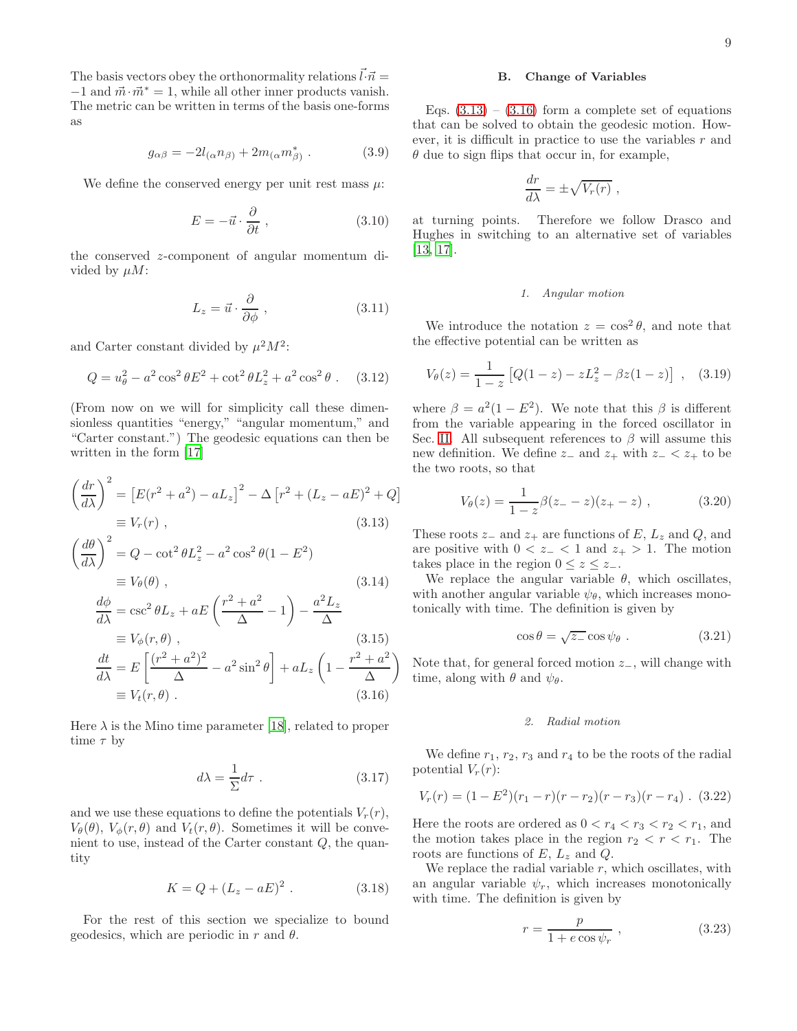The basis vectors obey the orthonormality relations  $\vec{l}\cdot\vec{n} =$  $-1$  and  $\vec{m} \cdot \vec{m}^* = 1$ , while all other inner products vanish. The metric can be written in terms of the basis one-forms as

$$
g_{\alpha\beta} = -2l_{(\alpha}n_{\beta)} + 2m_{(\alpha}m_{\beta)}^* \tag{3.9}
$$

We define the conserved energy per unit rest mass  $\mu$ :

$$
E = -\vec{u} \cdot \frac{\partial}{\partial t} , \qquad (3.10)
$$

the conserved z-component of angular momentum divided by  $\mu M$ :

$$
L_z = \vec{u} \cdot \frac{\partial}{\partial \phi} , \qquad (3.11)
$$

and Carter constant divided by  $\mu^2 M^2$ :

$$
Q = u_{\theta}^{2} - a^{2} \cos^{2} \theta E^{2} + \cot^{2} \theta L_{z}^{2} + a^{2} \cos^{2} \theta .
$$
 (3.12)

(From now on we will for simplicity call these dimensionless quantities "energy," "angular momentum," and "Carter constant.") The geodesic equations can then be written in the form [\[17\]](#page-27-14)

$$
\left(\frac{dr}{d\lambda}\right)^2 = \left[E(r^2 + a^2) - aL_z\right]^2 - \Delta\left[r^2 + (L_z - aE)^2 + Q\right]
$$

$$
\equiv V_r(r) , \qquad (3.13)
$$

$$
\left(\frac{d\theta}{d\lambda}\right)^2 = Q - \cot^2 \theta L_z^2 - a^2 \cos^2 \theta (1 - E^2)
$$
  

$$
\equiv V_\theta(\theta) , \qquad (3.14)
$$

$$
\frac{d\phi}{d\lambda} = \csc^2 \theta L_z + aE\left(\frac{r^2 + a^2}{\Delta} - 1\right) - \frac{a^2 L_z}{\Delta}
$$

$$
\equiv V_{\phi}(r, \theta), \qquad (3.15)
$$

$$
\frac{dt}{d\lambda} = E \left[ \frac{(r^2 + a^2)^2}{\Delta} - a^2 \sin^2 \theta \right] + aL_z \left( 1 - \frac{r^2 + a^2}{\Delta} \right)
$$

$$
= V_t(r, \theta) .
$$
\n(3.16)

Here  $\lambda$  is the Mino time parameter [\[18](#page-27-15)], related to proper time  $\tau$  by

<span id="page-8-6"></span>
$$
d\lambda = \frac{1}{\Sigma} d\tau \ . \tag{3.17}
$$

<span id="page-8-5"></span><span id="page-8-1"></span> $\setminus$ 

and we use these equations to define the potentials  $V_r(r)$ ,  $V_{\theta}(\theta)$ ,  $V_{\phi}(r, \theta)$  and  $V_t(r, \theta)$ . Sometimes it will be convenient to use, instead of the Carter constant Q, the quantity

<span id="page-8-4"></span>
$$
K = Q + (L_z - aE)^2.
$$
 (3.18)

For the rest of this section we specialize to bound geodesics, which are periodic in r and  $\theta$ .

#### B. Change of Variables

Eqs.  $(3.13) - (3.16)$  $(3.13) - (3.16)$  form a complete set of equations that can be solved to obtain the geodesic motion. However, it is difficult in practice to use the variables  $r$  and  $\theta$  due to sign flips that occur in, for example,

$$
\frac{dr}{d\lambda} = \pm \sqrt{V_r(r)} ,
$$

at turning points. Therefore we follow Drasco and Hughes in switching to an alternative set of variables [\[13,](#page-27-10) [17\]](#page-27-14).

# 1. Angular motion

We introduce the notation  $z = \cos^2 \theta$ , and note that the effective potential can be written as

<span id="page-8-8"></span>
$$
V_{\theta}(z) = \frac{1}{1-z} \left[ Q(1-z) - zL_z^2 - \beta z(1-z) \right] , \quad (3.19)
$$

where  $\beta = a^2(1 - E^2)$ . We note that this  $\beta$  is different from the variable appearing in the forced oscillator in Sec. [II.](#page-3-0) All subsequent references to  $\beta$  will assume this new definition. We define  $z_$  and  $z_+$  with  $z_$  <  $z_+$  to be the two roots, so that

<span id="page-8-7"></span>
$$
V_{\theta}(z) = \frac{1}{1-z}\beta(z-z)(z_{+}-z) , \qquad (3.20)
$$

<span id="page-8-0"></span>These roots  $z_-\text{ and } z_+\text{ are functions of } E, L_z \text{ and } Q, \text{ and } Q$ are positive with  $0 < z_{-} < 1$  and  $z_{+} > 1$ . The motion takes place in the region  $0 \leq z \leq z_-\$ .

<span id="page-8-2"></span>We replace the angular variable  $\theta$ , which oscillates, with another angular variable  $\psi_{\theta}$ , which increases monotonically with time. The definition is given by

<span id="page-8-3"></span>
$$
\cos \theta = \sqrt{z_{-}} \cos \psi_{\theta} . \qquad (3.21)
$$

Note that, for general forced motion  $z_$ , will change with time, along with  $\theta$  and  $\psi_{\theta}$ .

### 2. Radial motion

We define  $r_1, r_2, r_3$  and  $r_4$  to be the roots of the radial potential  $V_r(r)$ :

<span id="page-8-9"></span>
$$
V_r(r) = (1 - E^2)(r_1 - r)(r - r_2)(r - r_3)(r - r_4).
$$
 (3.22)

Here the roots are ordered as  $0 < r_4 < r_3 < r_2 < r_1$ , and the motion takes place in the region  $r_2 < r < r_1$ . The roots are functions of  $E, L_z$  and  $Q$ .

We replace the radial variable  $r$ , which oscillates, with an angular variable  $\psi_r$ , which increases monotonically with time. The definition is given by

<span id="page-8-10"></span>
$$
r = \frac{p}{1 + e \cos \psi_r} , \qquad (3.23)
$$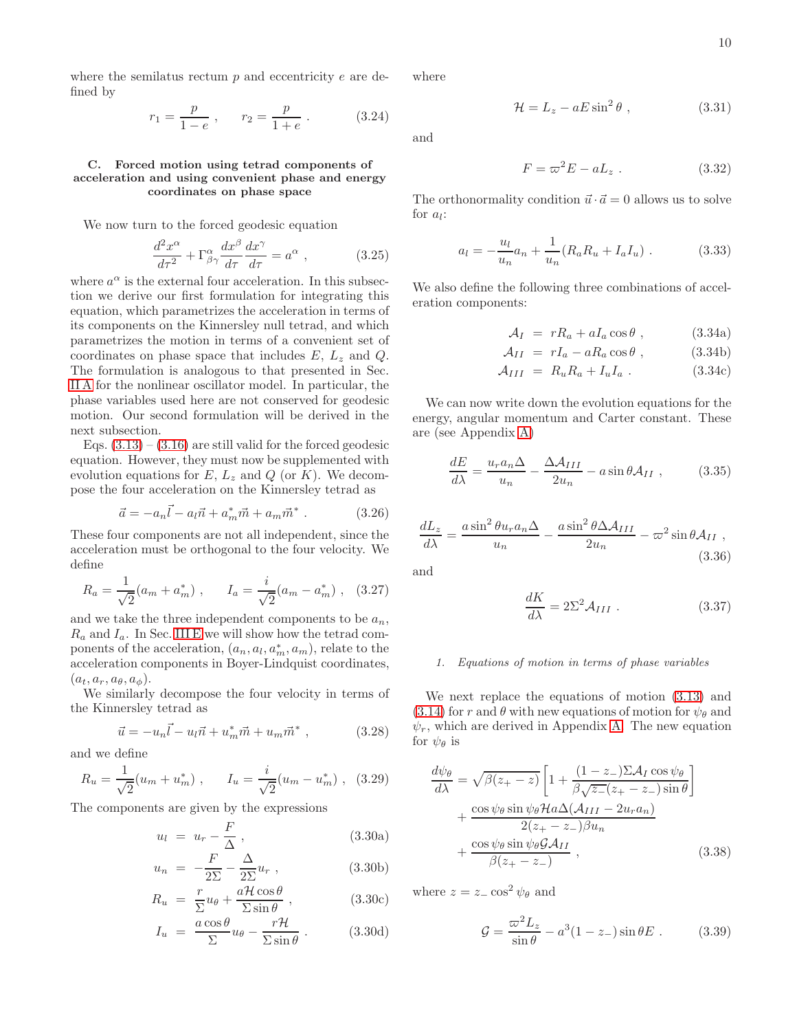$(3.31)$ 

where the semilatus rectum  $p$  and eccentricity  $e$  are defined by

<span id="page-9-0"></span>
$$
r_1 = \frac{p}{1 - e} , \qquad r_2 = \frac{p}{1 + e} . \tag{3.24}
$$

## <span id="page-9-1"></span>C. Forced motion using tetrad components of acceleration and using convenient phase and energy coordinates on phase space

We now turn to the forced geodesic equation

$$
\frac{d^2x^{\alpha}}{d\tau^2} + \Gamma^{\alpha}_{\beta\gamma}\frac{dx^{\beta}}{d\tau}\frac{dx^{\gamma}}{d\tau} = a^{\alpha} ,\qquad (3.25)
$$

where  $a^{\alpha}$  is the external four acceleration. In this subsection we derive our first formulation for integrating this equation, which parametrizes the acceleration in terms of its components on the Kinnersley null tetrad, and which parametrizes the motion in terms of a convenient set of coordinates on phase space that includes  $E, L_z$  and  $Q$ . The formulation is analogous to that presented in Sec. [II A](#page-3-8) for the nonlinear oscillator model. In particular, the phase variables used here are not conserved for geodesic motion. Our second formulation will be derived in the next subsection.

Eqs.  $(3.13) - (3.16)$  $(3.13) - (3.16)$  are still valid for the forced geodesic equation. However, they must now be supplemented with evolution equations for  $E, L_z$  and  $Q$  (or  $K$ ). We decompose the four acceleration on the Kinnersley tetrad as

<span id="page-9-5"></span>
$$
\vec{a} = -a_n \vec{l} - a_l \vec{n} + a_m^* \vec{m} + a_m \vec{m}^* . \qquad (3.26)
$$

These four components are not all independent, since the acceleration must be orthogonal to the four velocity. We define

$$
R_a = \frac{1}{\sqrt{2}} (a_m + a_m^*) \ , \qquad I_a = \frac{i}{\sqrt{2}} (a_m - a_m^*) \ , \quad (3.27)
$$

and we take the three independent components to be  $a_n$ ,  $R_a$  and  $I_a$ . In Sec. [III E](#page-14-0) we will show how the tetrad components of the acceleration,  $(a_n, a_l, a_m^*, a_m)$ , relate to the acceleration components in Boyer-Lindquist coordinates,  $(a_t, a_r, a_\theta, a_\phi).$ 

We similarly decompose the four velocity in terms of the Kinnersley tetrad as

$$
\vec{u} = -u_n \vec{l} - u_l \vec{n} + u_m^* \vec{m} + u_m \vec{m}^*,
$$
 (3.28)

and we define

$$
R_u = \frac{1}{\sqrt{2}} (u_m + u_m^*), \qquad I_u = \frac{i}{\sqrt{2}} (u_m - u_m^*), \quad (3.29)
$$

The components are given by the expressions

$$
u_l = u_r - \frac{F}{\Delta} \,, \tag{3.30a}
$$

$$
u_n = -\frac{F}{2\Sigma} - \frac{\Delta}{2\Sigma} u_r , \qquad (3.30b)
$$

$$
R_u = \frac{r}{\Sigma}u_\theta + \frac{a\mathcal{H}\cos\theta}{\Sigma\sin\theta}, \qquad (3.30c)
$$

$$
I_u = \frac{a \cos \theta}{\Sigma} u_\theta - \frac{r \mathcal{H}}{\Sigma \sin \theta} . \quad (3.30d)
$$

where

and

<span id="page-9-11"></span>
$$
F = \omega^2 E - aL_z \tag{3.32}
$$

The orthonormality condition  $\vec{u} \cdot \vec{a} = 0$  allows us to solve for  $a_l$ :

<span id="page-9-10"></span> $\mathcal{H} = L_z - aE \sin^2 \theta$ ,

<span id="page-9-6"></span>
$$
a_l = -\frac{u_l}{u_n} a_n + \frac{1}{u_n} (R_a R_u + I_a I_u) \ . \tag{3.33}
$$

We also define the following three combinations of acceleration components:

<span id="page-9-12"></span><span id="page-9-9"></span>
$$
\mathcal{A}_I = rR_a + aI_a \cos \theta , \qquad (3.34a)
$$

$$
A_{II} = rI_a - aR_a \cos \theta , \qquad (3.34b)
$$

$$
\mathcal{A}_{III} = R_u R_a + I_u I_a . \qquad (3.34c)
$$

We can now write down the evolution equations for the energy, angular momentum and Carter constant. These are (see Appendix [A\)](#page-19-0)

<span id="page-9-2"></span>
$$
\frac{dE}{d\lambda} = \frac{u_r a_n \Delta}{u_n} - \frac{\Delta A_{III}}{2u_n} - a \sin \theta A_{II} \tag{3.35}
$$

<span id="page-9-8"></span>
$$
\frac{dL_z}{d\lambda} = \frac{a\sin^2\theta u_r a_n \Delta}{u_n} - \frac{a\sin^2\theta \Delta A_{III}}{2u_n} - \varpi^2 \sin\theta A_{II} ,
$$
\n(3.36)

and

<span id="page-9-3"></span>
$$
\frac{dK}{d\lambda} = 2\Sigma^2 \mathcal{A}_{III} \ . \tag{3.37}
$$

# 1. Equations of motion in terms of phase variables

We next replace the equations of motion [\(3.13\)](#page-8-0) and [\(3.14\)](#page-8-2) for r and  $\theta$  with new equations of motion for  $\psi_{\theta}$  and  $\psi_r$ , which are derived in Appendix [A.](#page-19-0) The new equation for  $\psi_{\theta}$  is

<span id="page-9-7"></span>
$$
\frac{d\psi_{\theta}}{d\lambda} = \sqrt{\beta(z_{+} - z)} \left[ 1 + \frac{(1 - z_{-})\Sigma A_{I} \cos \psi_{\theta}}{\beta \sqrt{z_{-}}(z_{+} - z_{-}) \sin \theta} \right] \n+ \frac{\cos \psi_{\theta} \sin \psi_{\theta} \mathcal{H} a \Delta (\mathcal{A}_{III} - 2u_{r} a_{n})}{2(z_{+} - z_{-}) \beta u_{n}} \n+ \frac{\cos \psi_{\theta} \sin \psi_{\theta} \mathcal{G} \mathcal{A}_{II}}{\beta(z_{+} - z_{-})},
$$
\n(3.38)

where  $z = z_{\text{-}} \cos^2 \psi_{\theta}$  and

<span id="page-9-4"></span>
$$
\mathcal{G} = \frac{\varpi^2 L_z}{\sin \theta} - a^3 (1 - z_-) \sin \theta E . \qquad (3.39)
$$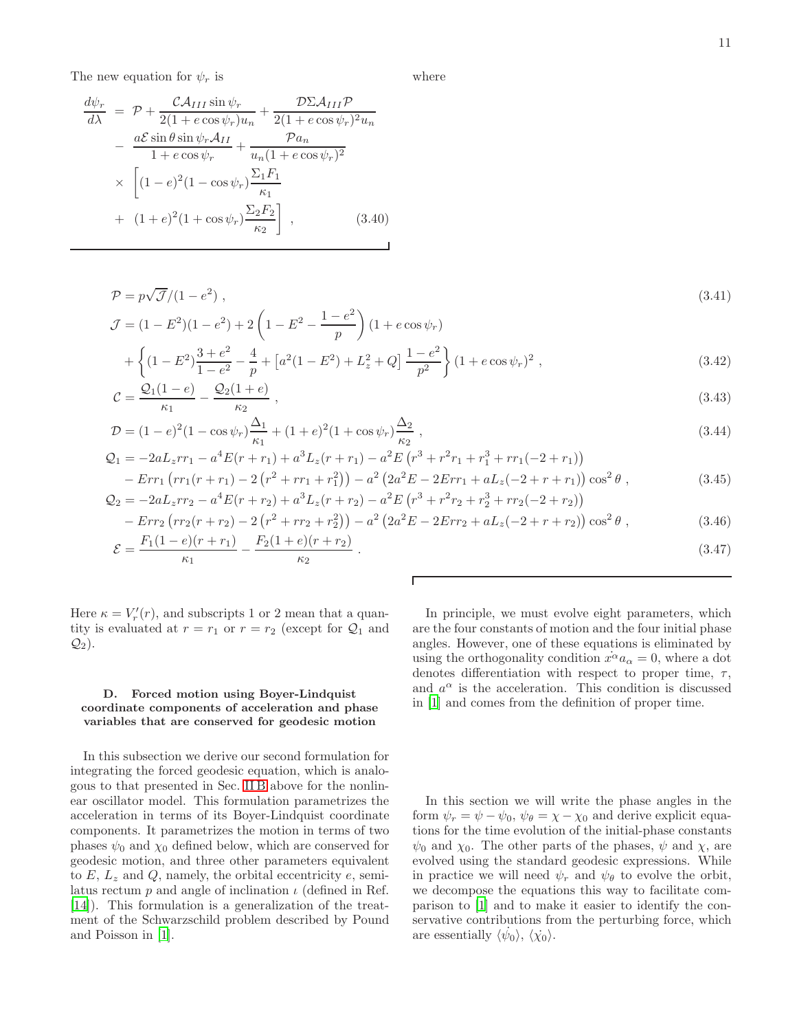<span id="page-10-2"></span>11

The new equation for  $\psi_r$  is

where

<span id="page-10-1"></span>
$$
\frac{d\psi_r}{d\lambda} = \mathcal{P} + \frac{\mathcal{C}\mathcal{A}_{III} \sin \psi_r}{2(1 + e \cos \psi_r)u_n} + \frac{\mathcal{D}\Sigma\mathcal{A}_{III}\mathcal{P}}{2(1 + e \cos \psi_r)^2 u_n} \n- \frac{a\mathcal{E} \sin \theta \sin \psi_r \mathcal{A}_{II}}{1 + e \cos \psi_r} + \frac{\mathcal{P}a_n}{u_n(1 + e \cos \psi_r)^2} \n\times \left[ (1 - e)^2 (1 - \cos \psi_r) \frac{\Sigma_1 F_1}{\kappa_1} + (1 + e)^2 (1 + \cos \psi_r) \frac{\Sigma_2 F_2}{\kappa_2} \right],
$$
\n(3.40)

$$
\mathcal{P} = p\sqrt{\mathcal{J}}/(1 - e^2) ,
$$
\n
$$
\mathcal{J} = (1 - E^2)(1 - e^2) + 2\left(1 - E^2 - \frac{1 - e^2}{p}\right)(1 + e\cos\psi_r)
$$
\n(3.41)

$$
+\left\{(1-E^2)\frac{3+e^2}{1-e^2}-\frac{4}{p}+\left[a^2(1-E^2)+L_z^2+Q\right]\frac{1-e^2}{p^2}\right\}(1+e\cos\psi_r)^2\,,\tag{3.42}
$$

$$
C = \frac{\mathcal{Q}_1(1-e)}{\kappa_1} - \frac{\mathcal{Q}_2(1+e)}{\kappa_2} \,,\tag{3.43}
$$

$$
\mathcal{D} = (1 - e)^2 (1 - \cos \psi_r) \frac{\Delta_1}{\kappa_1} + (1 + e)^2 (1 + \cos \psi_r) \frac{\Delta_2}{\kappa_2},
$$
\n(3.44)

$$
Q_1 = -2aL_zrr_1 - a^4E(r+r_1) + a^3L_z(r+r_1) - a^2E(r^3 + r^2r_1 + r_1^3 + rr_1(-2+r_1))
$$
  
- 
$$
Err_1\left(rr_1(r+r_1) - 2\left(r^2 + rr_1 + r_1^2\right)\right) - a^2\left(2a^2E - 2Err_1 + aL_z(-2+r+r_1)\right)\cos^2\theta,
$$
 (3.45)

$$
Q_2 = -2aL_zrr_2 - a^4E(r + r_2) + a^3L_z(r + r_2) - a^2E(r^3 + r^2r_2 + r_2^3 + rr_2(-2 + r_2))
$$
  
- 
$$
Err_2\left(r_2(r + r_2) - 2\left(r^2 + rr_2 + r_2^2\right)\right) - a^2\left(2a^2E - 2Err_2 + aL_z(-2 + r + r_2)\right)\cos^2\theta,
$$
 (3.46)

$$
\mathcal{E} = \frac{F_1(1-e)(r+r_1)}{\kappa_1} - \frac{F_2(1+e)(r+r_2)}{\kappa_2} \,. \tag{3.47}
$$

Here  $\kappa = V'_r(r)$ , and subscripts 1 or 2 mean that a quantity is evaluated at  $r = r_1$  or  $r = r_2$  (except for  $\mathcal{Q}_1$  and  $\mathcal{Q}_2$ ).

# <span id="page-10-0"></span>D. Forced motion using Boyer-Lindquist coordinate components of acceleration and phase variables that are conserved for geodesic motion

In this subsection we derive our second formulation for integrating the forced geodesic equation, which is analogous to that presented in Sec. [II B](#page-4-4) above for the nonlinear oscillator model. This formulation parametrizes the acceleration in terms of its Boyer-Lindquist coordinate components. It parametrizes the motion in terms of two phases  $\psi_0$  and  $\chi_0$  defined below, which are conserved for geodesic motion, and three other parameters equivalent to  $E, L_z$  and  $Q$ , namely, the orbital eccentricity  $e$ , semilatus rectum p and angle of inclination  $\iota$  (defined in Ref. [\[14\]](#page-27-11)). This formulation is a generalization of the treatment of the Schwarzschild problem described by Pound and Poisson in [\[1\]](#page-27-0).

In principle, we must evolve eight parameters, which are the four constants of motion and the four initial phase angles. However, one of these equations is eliminated by using the orthogonality condition  $\dot{x}^{\alpha} a_{\alpha} = 0$ , where a dot denotes differentiation with respect to proper time,  $\tau$ , and  $a^{\alpha}$  is the acceleration. This condition is discussed in [\[1](#page-27-0)] and comes from the definition of proper time.

In this section we will write the phase angles in the form  $\psi_r = \psi - \psi_0$ ,  $\psi_\theta = \chi - \chi_0$  and derive explicit equations for the time evolution of the initial-phase constants  $\psi_0$  and  $\chi_0$ . The other parts of the phases,  $\psi$  and  $\chi$ , are evolved using the standard geodesic expressions. While in practice we will need  $\psi_r$  and  $\psi_\theta$  to evolve the orbit, we decompose the equations this way to facilitate comparison to [\[1\]](#page-27-0) and to make it easier to identify the conservative contributions from the perturbing force, which are essentially  $\langle \dot{\psi}_0 \rangle$ ,  $\langle \dot{\chi}_0 \rangle$ .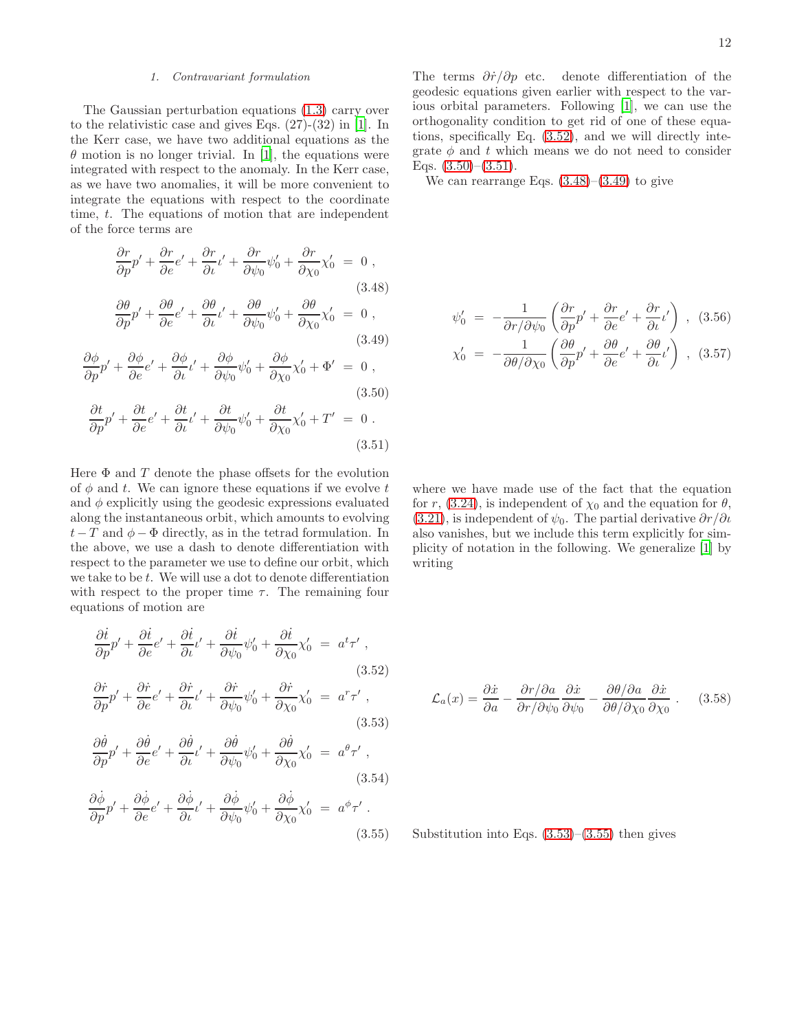#### 1. Contravariant formulation

The Gaussian perturbation equations [\(1.3\)](#page-1-0) carry over to the relativistic case and gives Eqs. (27)-(32) in [\[1\]](#page-27-0). In the Kerr case, we have two additional equations as the  $\theta$  motion is no longer trivial. In [\[1](#page-27-0)], the equations were integrated with respect to the anomaly. In the Kerr case, as we have two anomalies, it will be more convenient to integrate the equations with respect to the coordinate time, t. The equations of motion that are independent of the force terms are

<span id="page-11-1"></span>
$$
\frac{\partial r}{\partial p}p' + \frac{\partial r}{\partial e}e' + \frac{\partial r}{\partial t}\iota' + \frac{\partial r}{\partial \psi_0}\psi'_0 + \frac{\partial r}{\partial \chi_0}\chi'_0 = 0,
$$
\n(3.48)

$$
\frac{\partial \theta}{\partial p}p' + \frac{\partial \theta}{\partial e}e' + \frac{\partial \theta}{\partial t}t' + \frac{\partial \theta}{\partial \psi_0}\psi'_0 + \frac{\partial \theta}{\partial \chi_0}\chi'_0 = 0,
$$
\n(3.49)

$$
\frac{\partial \phi}{\partial p}p' + \frac{\partial \phi}{\partial e}e' + \frac{\partial \phi}{\partial t}\iota' + \frac{\partial \phi}{\partial \psi_0}\psi'_0 + \frac{\partial \phi}{\partial \chi_0}\chi'_0 + \Phi' = 0,
$$
\n(3.50)

$$
\frac{\partial t}{\partial p}p' + \frac{\partial t}{\partial e}e' + \frac{\partial t}{\partial t}t' + \frac{\partial t}{\partial \psi_0}\psi'_0 + \frac{\partial t}{\partial \chi_0}\chi'_0 + T' = 0.
$$
\n(3.51)

Here  $\Phi$  and  $T$  denote the phase offsets for the evolution of  $\phi$  and t. We can ignore these equations if we evolve t and  $\phi$  explicitly using the geodesic expressions evaluated along the instantaneous orbit, which amounts to evolving  $t-T$  and  $\phi - \Phi$  directly, as in the tetrad formulation. In the above, we use a dash to denote differentiation with respect to the parameter we use to define our orbit, which we take to be t. We will use a dot to denote differentiation with respect to the proper time  $\tau$ . The remaining four equations of motion are

<span id="page-11-0"></span>
$$
\frac{\partial \dot{t}}{\partial p}p' + \frac{\partial \dot{t}}{\partial e}e' + \frac{\partial \dot{t}}{\partial t}\iota' + \frac{\partial \dot{t}}{\partial \psi_0}\psi'_0 + \frac{\partial \dot{t}}{\partial \chi_0}\chi'_0 = a^t\tau',
$$
\n(3.52)\n
$$
\frac{\partial \dot{r}}{\partial p}p' + \frac{\partial \dot{r}}{\partial e}e' + \frac{\partial \dot{r}}{\partial t}\iota' + \frac{\partial \dot{r}}{\partial \psi_0}\psi'_0 + \frac{\partial \dot{r}}{\partial \chi_0}\chi'_0 = a^r\tau',
$$
\n(3.53)

$$
\frac{\partial \dot{\theta}}{\partial p}p' + \frac{\partial \dot{\theta}}{\partial e}e' + \frac{\partial \dot{\theta}}{\partial t}t' + \frac{\partial \dot{\theta}}{\partial \psi_0}\psi'_0 + \frac{\partial \dot{\theta}}{\partial \chi_0}\chi'_0 = a^{\theta} \tau',\tag{3.54}
$$

$$
\frac{\partial \dot{\phi}}{\partial p}p' + \frac{\partial \dot{\phi}}{\partial e}e' + \frac{\partial \dot{\phi}}{\partial t}t' + \frac{\partial \dot{\phi}}{\partial \psi_0}\psi'_0 + \frac{\partial \dot{\phi}}{\partial \chi_0}\chi'_0 = a^{\phi}\tau'.
$$
\n(3.55)

The terms  $\partial \dot{r}/\partial p$  etc. denote differentiation of the geodesic equations given earlier with respect to the various orbital parameters. Following [\[1](#page-27-0)], we can use the orthogonality condition to get rid of one of these equations, specifically Eq. [\(3.52\)](#page-11-0), and we will directly integrate  $\phi$  and t which means we do not need to consider Eqs.  $(3.50)$ – $(3.51)$ .

We can rearrange Eqs.  $(3.48)$ – $(3.49)$  to give

 $\partial\theta/\partial\chi_0$ 

<span id="page-11-2"></span>
$$
\psi_0' = -\frac{1}{\partial r/\partial \psi_0} \left( \frac{\partial r}{\partial p} p' + \frac{\partial r}{\partial e} e' + \frac{\partial r}{\partial t} t' \right) , (3.56)
$$
  

$$
\chi_0' = -\frac{1}{\partial \theta/\partial \chi_0} \left( \frac{\partial \theta}{\partial p} p' + \frac{\partial \theta}{\partial e} e' + \frac{\partial \theta}{\partial t} t' \right) , (3.57)
$$

where we have made use of the fact that the equation for r, [\(3.24\)](#page-9-0), is independent of  $\chi_0$  and the equation for  $\theta$ , [\(3.21\)](#page-8-3), is independent of  $\psi_0$ . The partial derivative  $\partial r/\partial u$ also vanishes, but we include this term explicitly for simplicity of notation in the following. We generalize [\[1](#page-27-0)] by writing

$$
\mathcal{L}_a(x) = \frac{\partial \dot{x}}{\partial a} - \frac{\partial r}{\partial r/\partial \psi_0} \frac{\partial \dot{x}}{\partial \psi_0} - \frac{\partial \theta/\partial a}{\partial \theta/\partial \chi_0} \frac{\partial \dot{x}}{\partial \chi_0} .
$$
 (3.58)

Substitution into Eqs.  $(3.53)$ – $(3.55)$  then gives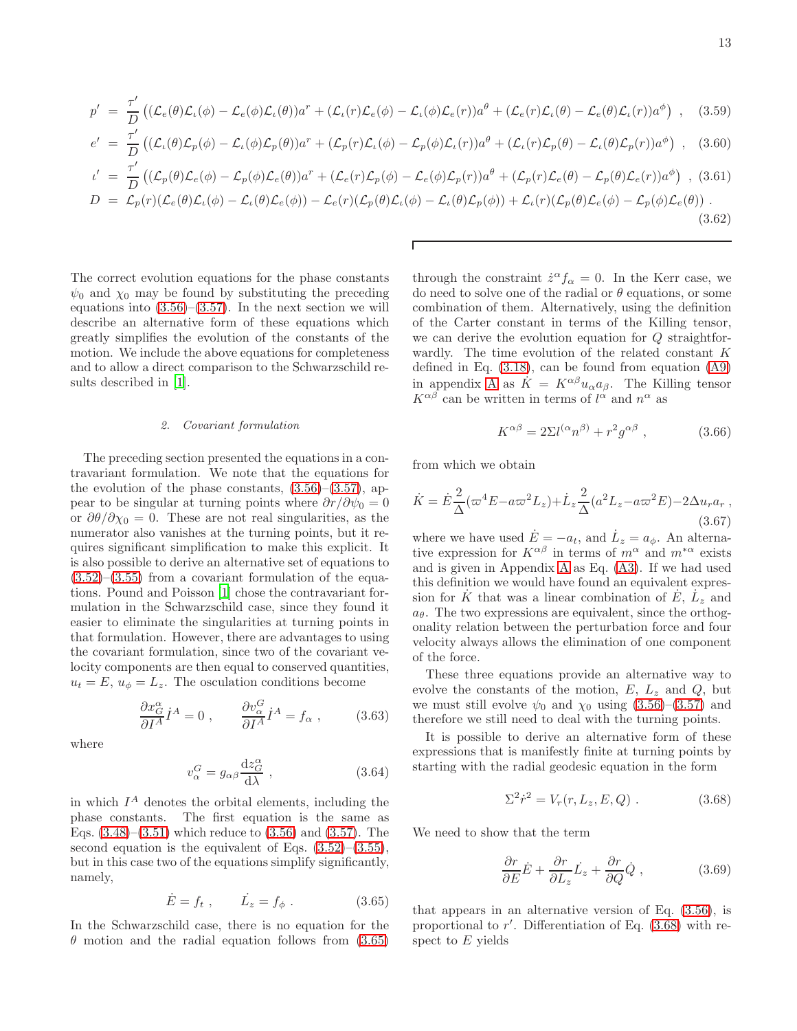(3.62)

<span id="page-12-3"></span>
$$
p' = \frac{\tau'}{D} \left( (\mathcal{L}_e(\theta) \mathcal{L}_\iota(\phi) - \mathcal{L}_e(\phi) \mathcal{L}_\iota(\theta)) a^r + (\mathcal{L}_\iota(r) \mathcal{L}_e(\phi) - \mathcal{L}_\iota(\phi) \mathcal{L}_e(r)) a^\theta + (\mathcal{L}_e(r) \mathcal{L}_\iota(\theta) - \mathcal{L}_e(\theta) \mathcal{L}_\iota(r)) a^\phi \right) , \quad (3.59)
$$

$$
e' = \frac{\tau'}{D} \left( (\mathcal{L}_\iota(\theta) \mathcal{L}_p(\phi) - \mathcal{L}_\iota(\phi) \mathcal{L}_p(\theta)) a^r + (\mathcal{L}_p(r) \mathcal{L}_\iota(\phi) - \mathcal{L}_p(\phi) \mathcal{L}_\iota(r)) a^\theta + (\mathcal{L}_\iota(r) \mathcal{L}_p(\theta) - \mathcal{L}_\iota(\theta) \mathcal{L}_p(r)) a^\phi \right) , \quad (3.60)
$$

$$
\iota' = \frac{\tau'}{D} \left( (\mathcal{L}_p(\theta) \mathcal{L}_e(\phi) - \mathcal{L}_p(\phi) \mathcal{L}_e(\theta)) a^r + (\mathcal{L}_e(r) \mathcal{L}_p(\phi) - \mathcal{L}_e(\phi) \mathcal{L}_p(r)) a^{\theta} + (\mathcal{L}_p(r) \mathcal{L}_e(\theta) - \mathcal{L}_p(\theta) \mathcal{L}_e(r)) a^{\phi} \right) , (3.61)
$$
  
\n
$$
D = \mathcal{L}_p(r) (\mathcal{L}_e(\theta) \mathcal{L}_\iota(\phi) - \mathcal{L}_\iota(\theta) \mathcal{L}_e(\phi)) - \mathcal{L}_e(r) (\mathcal{L}_p(\theta) \mathcal{L}_\iota(\phi) - \mathcal{L}_\iota(\theta) \mathcal{L}_p(\phi)) + \mathcal{L}_\iota(r) (\mathcal{L}_p(\theta) \mathcal{L}_e(\phi) - \mathcal{L}_p(\phi) \mathcal{L}_e(\theta)) .
$$

The correct evolution equations for the phase constants  $\psi_0$  and  $\chi_0$  may be found by substituting the preceding equations into  $(3.56)$ – $(3.57)$ . In the next section we will describe an alternative form of these equations which greatly simplifies the evolution of the constants of the motion. We include the above equations for completeness and to allow a direct comparison to the Schwarzschild results described in [\[1\]](#page-27-0).

## 2. Covariant formulation

The preceding section presented the equations in a contravariant formulation. We note that the equations for the evolution of the phase constants,  $(3.56)$ – $(3.57)$ , appear to be singular at turning points where  $\partial r/\partial \psi_0 = 0$ or  $\partial \theta / \partial \chi_0 = 0$ . These are not real singularities, as the numerator also vanishes at the turning points, but it requires significant simplification to make this explicit. It is also possible to derive an alternative set of equations to  $(3.52)$ – $(3.55)$  from a covariant formulation of the equations. Pound and Poisson [\[1](#page-27-0)] chose the contravariant formulation in the Schwarzschild case, since they found it easier to eliminate the singularities at turning points in that formulation. However, there are advantages to using the covariant formulation, since two of the covariant velocity components are then equal to conserved quantities,  $u_t = E$ ,  $u_{\phi} = L_z$ . The osculation conditions become

$$
\frac{\partial x_G^{\alpha}}{\partial I^A} \dot{I}^A = 0 \;, \qquad \frac{\partial v_\alpha^G}{\partial I^A} \dot{I}^A = f_\alpha \;, \tag{3.63}
$$

where

$$
v_{\alpha}^{G} = g_{\alpha\beta} \frac{\mathrm{d}z_{G}^{\alpha}}{\mathrm{d}\lambda} , \qquad (3.64)
$$

in which  $I^A$  denotes the orbital elements, including the phase constants. The first equation is the same as Eqs.  $(3.48)$ – $(3.51)$  which reduce to  $(3.56)$  and  $(3.57)$ . The second equation is the equivalent of Eqs.  $(3.52)$ – $(3.55)$ , but in this case two of the equations simplify significantly, namely,

<span id="page-12-0"></span>
$$
\dot{E} = f_t , \qquad \dot{L}_z = f_\phi . \tag{3.65}
$$

In the Schwarzschild case, there is no equation for the  $\theta$  motion and the radial equation follows from [\(3.65\)](#page-12-0)

through the constraint  $\dot{z}^{\alpha} f_{\alpha} = 0$ . In the Kerr case, we do need to solve one of the radial or  $\theta$  equations, or some combination of them. Alternatively, using the definition of the Carter constant in terms of the Killing tensor, we can derive the evolution equation for Q straightforwardly. The time evolution of the related constant K defined in Eq.  $(3.18)$ , can be found from equation  $(A9)$ in appendix [A](#page-19-0) as  $K = K^{\alpha\beta} u_{\alpha} a_{\beta}$ . The Killing tensor  $K^{\alpha\beta}$  can be written in terms of  $l^{\alpha}$  and  $n^{\alpha}$  as

$$
K^{\alpha\beta} = 2\Sigma l^{(\alpha}n^{\beta)} + r^2 g^{\alpha\beta} , \qquad (3.66)
$$

from which we obtain

$$
\dot{K} = \dot{E}\frac{2}{\Delta}(\varpi^4 E - a\varpi^2 L_z) + \dot{L}_z \frac{2}{\Delta}(a^2 L_z - a\varpi^2 E) - 2\Delta u_r a_r ,
$$
\n(3.67)

where we have used  $\dot{E} = -a_t$ , and  $\dot{L}_z = a_\phi$ . An alternative expression for  $K^{\alpha\beta}$  in terms of  $m^{\alpha}$  and  $m^{*\alpha}$  exists and is given in Appendix [A](#page-19-0) as Eq. [\(A3\)](#page-19-1). If we had used this definition we would have found an equivalent expression for  $\dot{K}$  that was a linear combination of  $\dot{E}$ ,  $\dot{L}_z$  and  $a_{\theta}$ . The two expressions are equivalent, since the orthogonality relation between the perturbation force and four velocity always allows the elimination of one component of the force.

These three equations provide an alternative way to evolve the constants of the motion,  $E, L_z$  and  $Q$ , but we must still evolve  $\psi_0$  and  $\chi_0$  using  $(3.56)-(3.57)$  $(3.56)-(3.57)$  and therefore we still need to deal with the turning points.

It is possible to derive an alternative form of these expressions that is manifestly finite at turning points by starting with the radial geodesic equation in the form

<span id="page-12-1"></span>
$$
\Sigma^2 \dot{r}^2 = V_r(r, L_z, E, Q) \ . \tag{3.68}
$$

We need to show that the term

<span id="page-12-2"></span>
$$
\frac{\partial r}{\partial E}\dot{E} + \frac{\partial r}{\partial L_z}\dot{L_z} + \frac{\partial r}{\partial Q}\dot{Q} ,\qquad (3.69)
$$

that appears in an alternative version of Eq. [\(3.56\)](#page-11-2), is proportional to  $r'$ . Differentiation of Eq.  $(3.68)$  with respect to  $E$  yields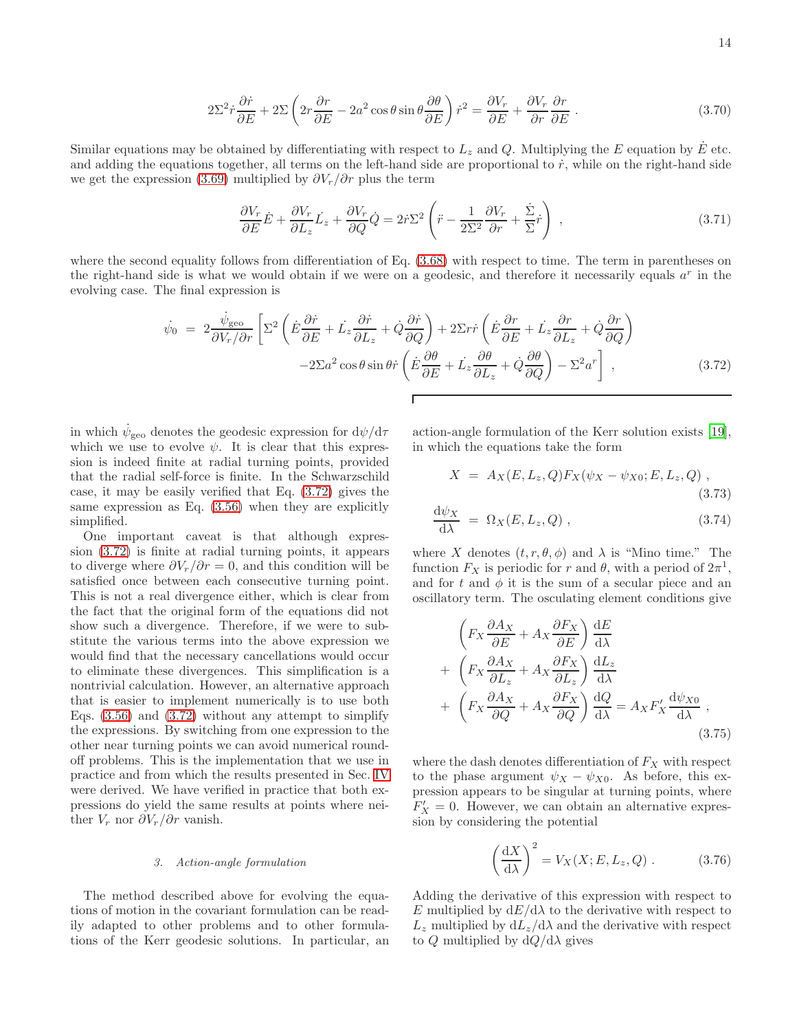$$
2\Sigma^2 \dot{r} \frac{\partial \dot{r}}{\partial E} + 2\Sigma \left(2r \frac{\partial r}{\partial E} - 2a^2 \cos \theta \sin \theta \frac{\partial \theta}{\partial E}\right) \dot{r}^2 = \frac{\partial V_r}{\partial E} + \frac{\partial V_r}{\partial r} \frac{\partial r}{\partial E}.
$$
 (3.70)

Similar equations may be obtained by differentiating with respect to  $L_z$  and Q. Multiplying the E equation by  $\dot{E}$  etc. and adding the equations together, all terms on the left-hand side are proportional to  $\dot{r}$ , while on the right-hand side we get the expression [\(3.69\)](#page-12-2) multiplied by  $\partial V_r/\partial r$  plus the term

$$
\frac{\partial V_r}{\partial E}\dot{E} + \frac{\partial V_r}{\partial L_z}\dot{L}_z + \frac{\partial V_r}{\partial Q}\dot{Q} = 2\dot{r}\Sigma^2 \left(\ddot{r} - \frac{1}{2\Sigma^2}\frac{\partial V_r}{\partial r} + \frac{\dot{\Sigma}}{\Sigma}\dot{r}\right) ,\qquad (3.71)
$$

where the second equality follows from differentiation of Eq.  $(3.68)$  with respect to time. The term in parentheses on the right-hand side is what we would obtain if we were on a geodesic, and therefore it necessarily equals  $a<sup>r</sup>$  in the evolving case. The final expression is

<span id="page-13-0"></span>
$$
\dot{\psi}_0 = 2 \frac{\dot{\psi}_{\text{geo}}}{\partial V_r / \partial r} \left[ \Sigma^2 \left( \dot{E} \frac{\partial \dot{r}}{\partial E} + \dot{L}_z \frac{\partial \dot{r}}{\partial L_z} + \dot{Q} \frac{\partial \dot{r}}{\partial Q} \right) + 2 \Sigma r \dot{r} \left( \dot{E} \frac{\partial r}{\partial E} + \dot{L}_z \frac{\partial r}{\partial L_z} + \dot{Q} \frac{\partial r}{\partial Q} \right) - 2 \Sigma a^2 \cos \theta \sin \theta \dot{r} \left( \dot{E} \frac{\partial \theta}{\partial E} + \dot{L}_z \frac{\partial \theta}{\partial L_z} + \dot{Q} \frac{\partial \theta}{\partial Q} \right) - \Sigma^2 a^r \right],
$$
\n(3.72)

in which  $\dot{\psi}_{\rm geo}$  denotes the geodesic expression for  $d\psi/d\tau$ which we use to evolve  $\psi$ . It is clear that this expression is indeed finite at radial turning points, provided that the radial self-force is finite. In the Schwarzschild case, it may be easily verified that Eq. [\(3.72\)](#page-13-0) gives the same expression as Eq. [\(3.56\)](#page-11-2) when they are explicitly simplified.

One important caveat is that although expression [\(3.72\)](#page-13-0) is finite at radial turning points, it appears to diverge where  $\partial V_r/\partial r = 0$ , and this condition will be satisfied once between each consecutive turning point. This is not a real divergence either, which is clear from the fact that the original form of the equations did not show such a divergence. Therefore, if we were to substitute the various terms into the above expression we would find that the necessary cancellations would occur to eliminate these divergences. This simplification is a nontrivial calculation. However, an alternative approach that is easier to implement numerically is to use both Eqs.  $(3.56)$  and  $(3.72)$  without any attempt to simplify the expressions. By switching from one expression to the other near turning points we can avoid numerical roundoff problems. This is the implementation that we use in practice and from which the results presented in Sec. [IV](#page-16-0) were derived. We have verified in practice that both expressions do yield the same results at points where neither  $V_r$  nor  $\partial V_r/\partial r$  vanish.

#### 3. Action-angle formulation

The method described above for evolving the equations of motion in the covariant formulation can be readily adapted to other problems and to other formulations of the Kerr geodesic solutions. In particular, an action-angle formulation of the Kerr solution exists [\[19\]](#page-27-16), in which the equations take the form

$$
X = A_X(E, L_z, Q) F_X(\psi_X - \psi_{X0}; E, L_z, Q) ,
$$
\n(3.73)

$$
\frac{\mathrm{d}\psi_X}{\mathrm{d}\lambda} = \Omega_X(E, L_z, Q) \,, \tag{3.74}
$$

where X denotes  $(t, r, \theta, \phi)$  and  $\lambda$  is "Mino time." The function  $F_X$  is periodic for r and  $\theta$ , with a period of  $2\pi^1$ , and for t and  $\phi$  it is the sum of a secular piece and an oscillatory term. The osculating element conditions give

<span id="page-13-2"></span>
$$
\left(F_X \frac{\partial A_X}{\partial E} + A_X \frac{\partial F_X}{\partial E}\right) \frac{\mathrm{d}E}{\mathrm{d}\lambda} + \left(F_X \frac{\partial A_X}{\partial L_z} + A_X \frac{\partial F_X}{\partial L_z}\right) \frac{\mathrm{d}L_z}{\mathrm{d}\lambda} + \left(F_X \frac{\partial A_X}{\partial Q} + A_X \frac{\partial F_X}{\partial Q}\right) \frac{\mathrm{d}Q}{\mathrm{d}\lambda} = A_X F'_X \frac{\mathrm{d}\psi_{X0}}{\mathrm{d}\lambda},\tag{3.75}
$$

where the dash denotes differentiation of  $F_X$  with respect to the phase argument  $\psi_X - \psi_{X0}$ . As before, this expression appears to be singular at turning points, where  $F'_X = 0$ . However, we can obtain an alternative expression by considering the potential

<span id="page-13-1"></span>
$$
\left(\frac{\mathrm{d}X}{\mathrm{d}\lambda}\right)^2 = V_X(X; E, L_z, Q) . \tag{3.76}
$$

Adding the derivative of this expression with respect to E multiplied by  $dE/d\lambda$  to the derivative with respect to  $L_z$  multiplied by  $dL_z/d\lambda$  and the derivative with respect to Q multiplied by  $dQ/d\lambda$  gives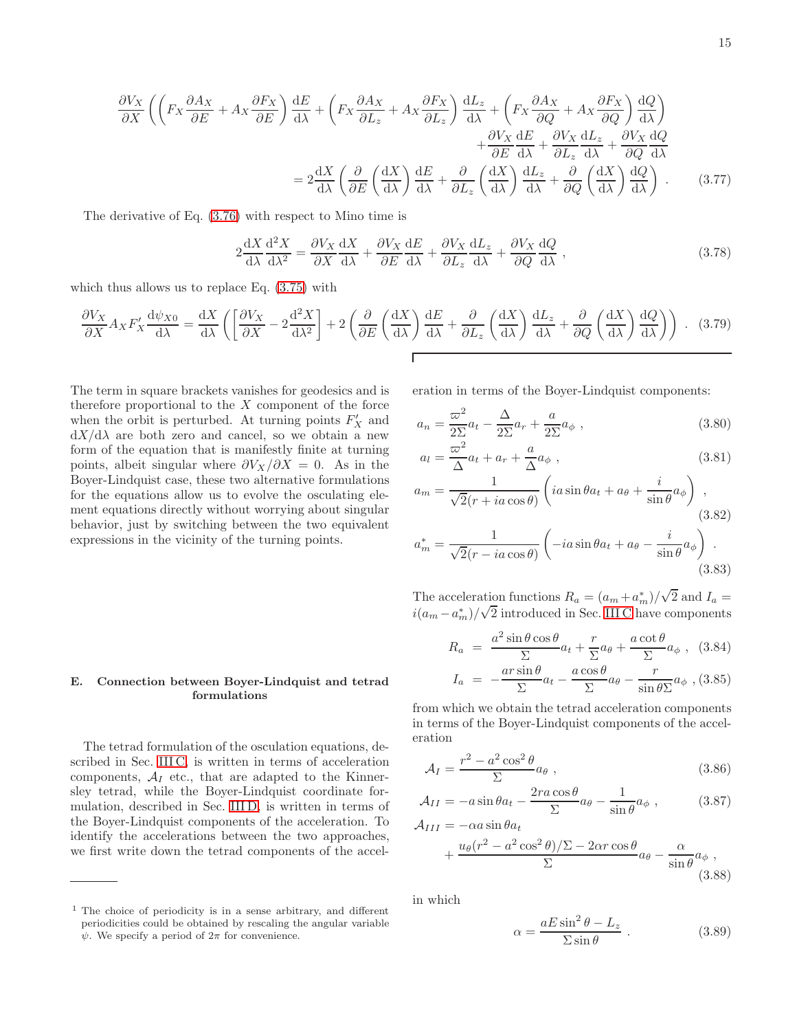$$
\frac{\partial V_X}{\partial X} \left( \left( F_X \frac{\partial A_X}{\partial E} + A_X \frac{\partial F_X}{\partial E} \right) \frac{dE}{d\lambda} + \left( F_X \frac{\partial A_X}{\partial L_z} + A_X \frac{\partial F_X}{\partial L_z} \right) \frac{dL_z}{d\lambda} + \left( F_X \frac{\partial A_X}{\partial Q} + A_X \frac{\partial F_X}{\partial Q} \right) \frac{dQ}{d\lambda} \right) \n+ \frac{\partial V_X}{\partial E} \frac{dE}{d\lambda} + \frac{\partial V_X}{\partial L_z} \frac{dL_z}{d\lambda} + \frac{\partial V_X}{\partial Q} \frac{dQ}{d\lambda} \n= 2 \frac{dX}{d\lambda} \left( \frac{\partial}{\partial E} \left( \frac{dX}{d\lambda} \right) \frac{dE}{d\lambda} + \frac{\partial}{\partial L_z} \left( \frac{dX}{d\lambda} \right) \frac{dL_z}{d\lambda} + \frac{\partial}{\partial Q} \left( \frac{dX}{d\lambda} \right) \frac{dQ}{d\lambda} \right).
$$
\n(3.77)

The derivative of Eq. [\(3.76\)](#page-13-1) with respect to Mino time is

$$
2\frac{\mathrm{d}X}{\mathrm{d}\lambda}\frac{\mathrm{d}^2X}{\mathrm{d}\lambda^2} = \frac{\partial V_X}{\partial X}\frac{\mathrm{d}X}{\mathrm{d}\lambda} + \frac{\partial V_X}{\partial E}\frac{\mathrm{d}E}{\mathrm{d}\lambda} + \frac{\partial V_X}{\partial L_z}\frac{\mathrm{d}L_z}{\mathrm{d}\lambda} + \frac{\partial V_X}{\partial Q}\frac{\mathrm{d}Q}{\mathrm{d}\lambda} \,,\tag{3.78}
$$

which thus allows us to replace Eq. [\(3.75\)](#page-13-2) with

$$
\frac{\partial V_X}{\partial X} A_X F'_X \frac{d\psi_{X0}}{d\lambda} = \frac{dX}{d\lambda} \left( \left[ \frac{\partial V_X}{\partial X} - 2 \frac{d^2 X}{d\lambda^2} \right] + 2 \left( \frac{\partial}{\partial E} \left( \frac{dX}{d\lambda} \right) \frac{dE}{d\lambda} + \frac{\partial}{\partial L_z} \left( \frac{dX}{d\lambda} \right) \frac{dL_z}{d\lambda} + \frac{\partial}{\partial Q} \left( \frac{dX}{d\lambda} \right) \frac{dQ}{d\lambda} \right) \right) .
$$
 (3.79)

The term in square brackets vanishes for geodesics and is therefore proportional to the  $X$  component of the force when the orbit is perturbed. At turning points  $F'_X$  and  $dX/d\lambda$  are both zero and cancel, so we obtain a new form of the equation that is manifestly finite at turning points, albeit singular where  $\partial V_X/\partial X = 0$ . As in the Boyer-Lindquist case, these two alternative formulations for the equations allow us to evolve the osculating element equations directly without worrying about singular behavior, just by switching between the two equivalent expressions in the vicinity of the turning points.

## <span id="page-14-0"></span>E. Connection between Boyer-Lindquist and tetrad formulations

The tetrad formulation of the osculation equations, described in Sec. [III C,](#page-9-1) is written in terms of acceleration components,  $A_I$  etc., that are adapted to the Kinnersley tetrad, while the Boyer-Lindquist coordinate formulation, described in Sec. [III D,](#page-10-0) is written in terms of the Boyer-Lindquist components of the acceleration. To identify the accelerations between the two approaches, we first write down the tetrad components of the acceleration in terms of the Boyer-Lindquist components:

$$
a_n = \frac{\omega^2}{2\Sigma} a_t - \frac{\Delta}{2\Sigma} a_r + \frac{a}{2\Sigma} a_\phi , \qquad (3.80)
$$

$$
a_l = \frac{\omega^2}{\Delta} a_t + a_r + \frac{a}{\Delta} a_\phi , \qquad (3.81)
$$

$$
a_m = \frac{1}{\sqrt{2}(r + ia\cos\theta)} \left( ia\sin\theta a_t + a_\theta + \frac{i}{\sin\theta} a_\phi \right) ,
$$
\n(3.82)

$$
a_m^* = \frac{1}{\sqrt{2}(r - ia\cos\theta)} \left( -ia\sin\theta a_t + a_\theta - \frac{i}{\sin\theta} a_\phi \right) . \tag{3.83}
$$

The acceleration functions  $R_a = (a_m + a_m^*)/\sqrt{2}$  and  $I_a =$  $i(a_m - a_m^*)/\sqrt{2}$  introduced in Sec. [III C](#page-9-1) have components

$$
R_a = \frac{a^2 \sin \theta \cos \theta}{\Sigma} a_t + \frac{r}{\Sigma} a_\theta + \frac{a \cot \theta}{\Sigma} a_\phi , \quad (3.84)
$$
  
 
$$
a r \sin \theta = a \cos \theta
$$

$$
I_a = -\frac{ar\sin\theta}{\Sigma}a_t - \frac{a\cos\theta}{\Sigma}a_\theta - \frac{r}{\sin\theta\Sigma}a_\phi
$$
, (3.85)

from which we obtain the tetrad acceleration components in terms of the Boyer-Lindquist components of the acceleration

$$
\mathcal{A}_I = \frac{r^2 - a^2 \cos^2 \theta}{\Sigma} a_\theta \tag{3.86}
$$

$$
\mathcal{A}_{II} = -a\sin\theta a_t - \frac{2ra\cos\theta}{\Sigma}a_\theta - \frac{1}{\sin\theta}a_\phi ,\qquad(3.87)
$$

$$
\mathcal{A}_{III} = -\alpha a \sin \theta a_t + \frac{u_\theta (r^2 - a^2 \cos^2 \theta)/\Sigma - 2\alpha r \cos \theta}{\Sigma} a_\theta - \frac{\alpha}{\sin \theta} a_\phi ,
$$
\n(3.88)

in which

$$
\alpha = \frac{aE\sin^2\theta - L_z}{\Sigma\sin\theta} \ . \tag{3.89}
$$

 $<sup>1</sup>$  The choice of periodicity is in a sense arbitrary, and different</sup> periodicities could be obtained by rescaling the angular variable  $\psi$ . We specify a period of  $2\pi$  for convenience.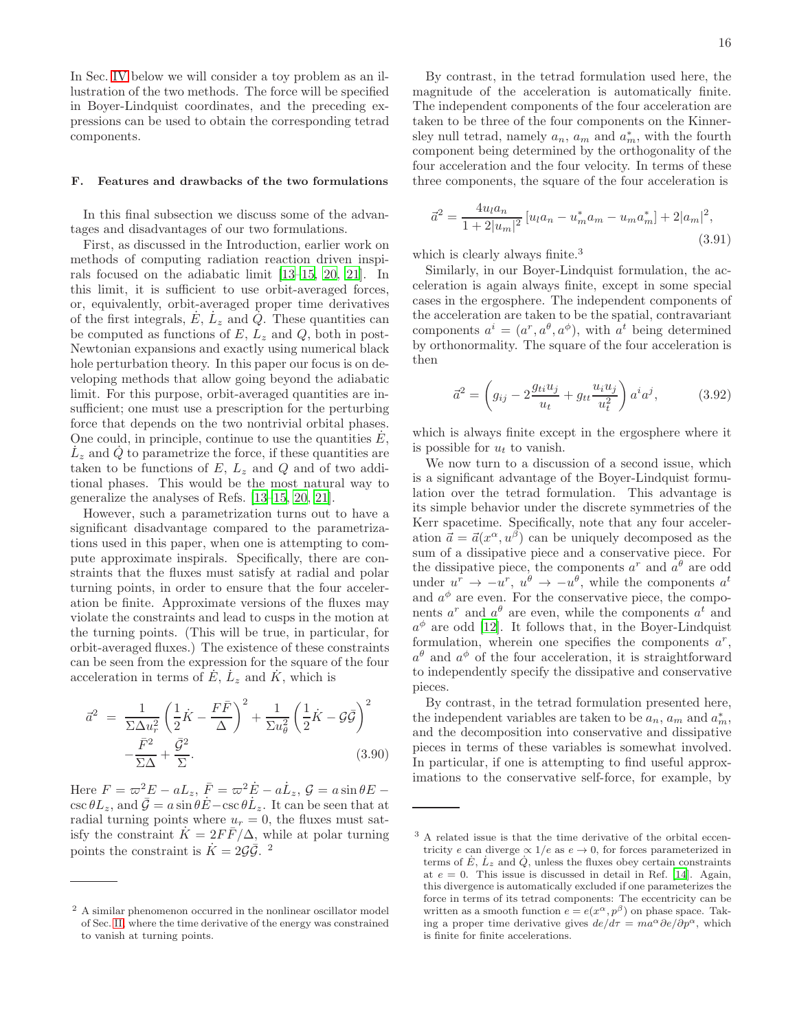In Sec. [IV](#page-16-0) below we will consider a toy problem as an illustration of the two methods. The force will be specified in Boyer-Lindquist coordinates, and the preceding expressions can be used to obtain the corresponding tetrad components.

#### F. Features and drawbacks of the two formulations

In this final subsection we discuss some of the advantages and disadvantages of our two formulations.

First, as discussed in the Introduction, earlier work on methods of computing radiation reaction driven inspirals focused on the adiabatic limit [\[13](#page-27-10)[–15,](#page-27-12) [20,](#page-27-17) [21](#page-27-18)]. In this limit, it is sufficient to use orbit-averaged forces, or, equivalently, orbit-averaged proper time derivatives of the first integrals,  $\dot{E}$ ,  $\dot{L}_z$  and  $\dot{Q}$ . These quantities can be computed as functions of  $E, L_z$  and  $Q$ , both in post-Newtonian expansions and exactly using numerical black hole perturbation theory. In this paper our focus is on developing methods that allow going beyond the adiabatic limit. For this purpose, orbit-averaged quantities are insufficient; one must use a prescription for the perturbing force that depends on the two nontrivial orbital phases. One could, in principle, continue to use the quantities  $\dot{E}$ ,  $\dot{L}_z$  and  $\dot{Q}$  to parametrize the force, if these quantities are taken to be functions of  $E, L_z$  and  $Q$  and of two additional phases. This would be the most natural way to generalize the analyses of Refs. [\[13](#page-27-10)[–15](#page-27-12), [20](#page-27-17), [21](#page-27-18)].

However, such a parametrization turns out to have a significant disadvantage compared to the parametrizations used in this paper, when one is attempting to compute approximate inspirals. Specifically, there are constraints that the fluxes must satisfy at radial and polar turning points, in order to ensure that the four acceleration be finite. Approximate versions of the fluxes may violate the constraints and lead to cusps in the motion at the turning points. (This will be true, in particular, for orbit-averaged fluxes.) The existence of these constraints can be seen from the expression for the square of the four acceleration in terms of  $\dot{E}$ ,  $\dot{L}_z$  and  $\dot{K}$ , which is

$$
\vec{a}^2 = \frac{1}{\Sigma \Delta u_r^2} \left( \frac{1}{2} \dot{K} - \frac{F \bar{F}}{\Delta} \right)^2 + \frac{1}{\Sigma u_\theta^2} \left( \frac{1}{2} \dot{K} - \mathcal{G} \bar{\mathcal{G}} \right)^2
$$

$$
-\frac{\bar{F}^2}{\Sigma \Delta} + \frac{\bar{\mathcal{G}}^2}{\Sigma}.
$$
(3.90)

Here  $F = \omega^2 E - aL_z$ ,  $\bar{F} = \omega^2 \dot{E} - a\dot{L}_z$ ,  $\mathcal{G} = a \sin \theta E - aL_z$  $\csc \theta L_z$ , and  $\bar{\mathcal{G}} = a \sin \theta \dot{E} - \csc \theta L_z$ . It can be seen that at radial turning points where  $u_r = 0$ , the fluxes must satisfy the constraint  $\ddot{K} = 2F\bar{F}/\Delta$ , while at polar turning points the constraint is  $\dot{K} = 2\mathcal{G}\bar{\mathcal{G}}$ .<sup>2</sup>

By contrast, in the tetrad formulation used here, the magnitude of the acceleration is automatically finite. The independent components of the four acceleration are taken to be three of the four components on the Kinnersley null tetrad, namely  $a_n$ ,  $a_m$  and  $a_m^*$ , with the fourth component being determined by the orthogonality of the four acceleration and the four velocity. In terms of these three components, the square of the four acceleration is

$$
\vec{a}^2 = \frac{4u_l a_n}{1 + 2|u_m|^2} \left[ u_l a_n - u_m^* a_m - u_m a_m^* \right] + 2|a_m|^2,
$$
\n(3.91)

which is clearly always finite.<sup>3</sup>

Similarly, in our Boyer-Lindquist formulation, the acceleration is again always finite, except in some special cases in the ergosphere. The independent components of the acceleration are taken to be the spatial, contravariant components  $a^i = (a^r, a^{\theta}, a^{\phi})$ , with  $a^t$  being determined by orthonormality. The square of the four acceleration is then

$$
\vec{a}^2 = \left(g_{ij} - 2\frac{g_{ti}u_j}{u_t} + g_{tt}\frac{u_iu_j}{u_t^2}\right)a^i a^j,
$$
 (3.92)

which is always finite except in the ergosphere where it is possible for  $u_t$  to vanish.

We now turn to a discussion of a second issue, which is a significant advantage of the Boyer-Lindquist formulation over the tetrad formulation. This advantage is its simple behavior under the discrete symmetries of the Kerr spacetime. Specifically, note that any four acceleration  $\vec{a} = \vec{a}(x^{\alpha}, u^{\beta})$  can be uniquely decomposed as the sum of a dissipative piece and a conservative piece. For the dissipative piece, the components  $a^r$  and  $a^{\theta}$  are odd under  $u^r \to -u^r, u^{\theta} \to -u^{\theta}$ , while the components  $a^t$ and  $a^{\phi}$  are even. For the conservative piece, the components  $a^r$  and  $a^{\theta}$  are even, while the components  $a^t$  and  $a^{\phi}$  are odd [\[12\]](#page-27-9). It follows that, in the Boyer-Lindquist formulation, wherein one specifies the components  $a^r$ ,  $a^{\theta}$  and  $a^{\phi}$  of the four acceleration, it is straightforward to independently specify the dissipative and conservative pieces.

By contrast, in the tetrad formulation presented here, the independent variables are taken to be  $a_n$ ,  $a_m$  and  $a_m^*$ , and the decomposition into conservative and dissipative pieces in terms of these variables is somewhat involved. In particular, if one is attempting to find useful approximations to the conservative self-force, for example, by

<sup>2</sup> A similar phenomenon occurred in the nonlinear oscillator model of Sec. [II,](#page-3-0) where the time derivative of the energy was constrained to vanish at turning points.

<sup>3</sup> A related issue is that the time derivative of the orbital eccentricity e can diverge  $\propto 1/e$  as  $e \to 0$ , for forces parameterized in terms of  $\dot{E}$ ,  $\dot{L}_z$  and  $\dot{Q}$ , unless the fluxes obey certain constraints at  $e = 0$ . This issue is discussed in detail in Ref. [\[14\]](#page-27-11). Again, this divergence is automatically excluded if one parameterizes the force in terms of its tetrad components: The eccentricity can be written as a smooth function  $e = e(x^{\alpha}, p^{\beta})$  on phase space. Taking a proper time derivative gives  $de/d\tau = ma^{\alpha}\partial e/\partial p^{\alpha}$ , which is finite for finite accelerations.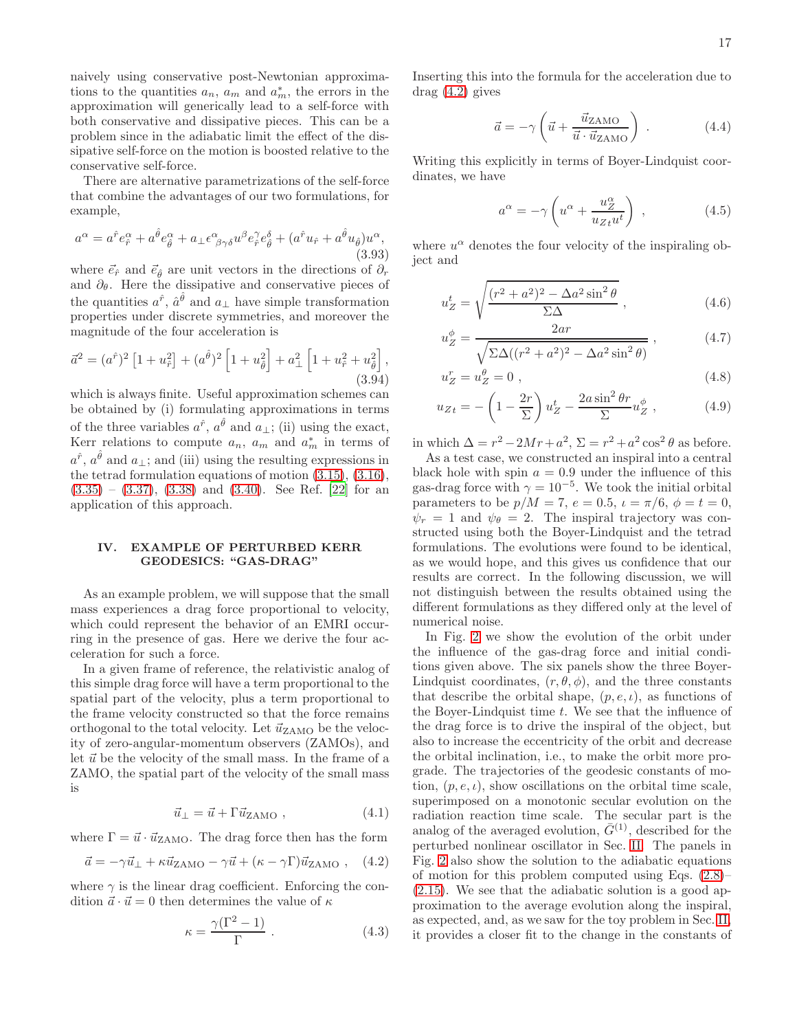naively using conservative post-Newtonian approximations to the quantities  $a_n$ ,  $a_m$  and  $a_m^*$ , the errors in the approximation will generically lead to a self-force with both conservative and dissipative pieces. This can be a problem since in the adiabatic limit the effect of the dissipative self-force on the motion is boosted relative to the conservative self-force.

There are alternative parametrizations of the self-force that combine the advantages of our two formulations, for example,

$$
a^{\alpha} = a^{\hat{r}} e^{\alpha}_{\hat{r}} + a^{\hat{\theta}} e^{\alpha}_{\hat{\theta}} + a_{\perp} \epsilon^{\alpha}_{\beta \gamma \delta} u^{\beta} e^{\gamma}_{\hat{r}} e^{\delta}_{\hat{\theta}} + (a^{\hat{r}} u_{\hat{r}} + a^{\hat{\theta}} u_{\hat{\theta}}) u^{\alpha},
$$
\n(3.93)

where  $\vec{e}_{\hat{r}}$  and  $\vec{e}_{\hat{\theta}}$  are unit vectors in the directions of  $\partial_r$ and  $\partial_{\theta}$ . Here the dissipative and conservative pieces of the quantities  $a^{\hat{r}}$ ,  $\hat{a}^{\hat{\theta}}$  and  $a_{\perp}$  have simple transformation properties under discrete symmetries, and moreover the magnitude of the four acceleration is

$$
\vec{a}^2 = (a^{\hat{r}})^2 \left[ 1 + u_{\hat{r}}^2 \right] + (a^{\hat{\theta}})^2 \left[ 1 + u_{\hat{\theta}}^2 \right] + a_\perp^2 \left[ 1 + u_{\hat{r}}^2 + u_{\hat{\theta}}^2 \right],
$$
\n(3.94)

which is always finite. Useful approximation schemes can be obtained by (i) formulating approximations in terms of the three variables  $a^{\hat{r}}$ ,  $a^{\hat{\theta}}$  and  $a_{\perp}$ ; (ii) using the exact, Kerr relations to compute  $a_n$ ,  $a_m$  and  $a_m^*$  in terms of  $a^{\hat{r}}$ ,  $a^{\hat{\theta}}$  and  $a_{\perp}$ ; and (iii) using the resulting expressions in the tetrad formulation equations of motion [\(3.15\)](#page-8-5), [\(3.16\)](#page-8-1),  $(3.35) - (3.37), (3.38)$  $(3.35) - (3.37), (3.38)$  $(3.35) - (3.37), (3.38)$  $(3.35) - (3.37), (3.38)$  $(3.35) - (3.37), (3.38)$  and  $(3.40)$ . See Ref. [\[22](#page-27-19)] for an application of this approach.

# <span id="page-16-0"></span>IV. EXAMPLE OF PERTURBED KERR GEODESICS: "GAS-DRAG"

As an example problem, we will suppose that the small mass experiences a drag force proportional to velocity, which could represent the behavior of an EMRI occurring in the presence of gas. Here we derive the four acceleration for such a force.

In a given frame of reference, the relativistic analog of this simple drag force will have a term proportional to the spatial part of the velocity, plus a term proportional to the frame velocity constructed so that the force remains orthogonal to the total velocity. Let  $\vec{u}_{ZAMO}$  be the velocity of zero-angular-momentum observers (ZAMOs), and let  $\vec{u}$  be the velocity of the small mass. In the frame of a ZAMO, the spatial part of the velocity of the small mass is

$$
\vec{u}_{\perp} = \vec{u} + \Gamma \vec{u}_{\text{ZAMO}} , \qquad (4.1)
$$

where  $\Gamma = \vec{u} \cdot \vec{u}_{\text{ZAMO}}$ . The drag force then has the form

<span id="page-16-1"></span>
$$
\vec{a} = -\gamma \vec{u}_{\perp} + \kappa \vec{u}_{\text{ZAMO}} - \gamma \vec{u} + (\kappa - \gamma \Gamma) \vec{u}_{\text{ZAMO}} , \quad (4.2)
$$

where  $\gamma$  is the linear drag coefficient. Enforcing the condition  $\vec{a} \cdot \vec{u} = 0$  then determines the value of  $\kappa$ 

$$
\kappa = \frac{\gamma(\Gamma^2 - 1)}{\Gamma} \ . \tag{4.3}
$$

Inserting this into the formula for the acceleration due to drag [\(4.2\)](#page-16-1) gives

$$
\vec{a} = -\gamma \left( \vec{u} + \frac{\vec{u}_{\text{ZAMO}}}{\vec{u} \cdot \vec{u}_{\text{ZAMO}}} \right) \tag{4.4}
$$

Writing this explicitly in terms of Boyer-Lindquist coordinates, we have

$$
a^{\alpha} = -\gamma \left( u^{\alpha} + \frac{u^{\alpha}_{Z}}{u_{Zt}u^{t}} \right) , \qquad (4.5)
$$

where  $u^{\alpha}$  denotes the four velocity of the inspiraling object and

$$
u_Z^t = \sqrt{\frac{(r^2 + a^2)^2 - \Delta a^2 \sin^2 \theta}{\Sigma \Delta}} , \qquad (4.6)
$$

$$
u_Z^{\phi} = \frac{2ar}{\sqrt{\Sigma\Delta((r^2 + a^2)^2 - \Delta a^2 \sin^2 \theta)}},
$$
\n(4.7)

$$
u_Z^r = u_Z^\theta = 0 \tag{4.8}
$$

$$
u_{Zt} = -\left(1 - \frac{2r}{\Sigma}\right)u_Z^t - \frac{2a\sin^2\theta r}{\Sigma}u_Z^{\phi} ,\qquad (4.9)
$$

in which  $\Delta = r^2 - 2Mr + a^2$ ,  $\Sigma = r^2 + a^2 \cos^2 \theta$  as before.

As a test case, we constructed an inspiral into a central black hole with spin  $a = 0.9$  under the influence of this gas-drag force with  $\gamma = 10^{-5}$ . We took the initial orbital parameters to be  $p/M = 7$ ,  $e = 0.5$ ,  $\iota = \pi/6$ ,  $\phi = t = 0$ ,  $\psi_r = 1$  and  $\psi_\theta = 2$ . The inspiral trajectory was constructed using both the Boyer-Lindquist and the tetrad formulations. The evolutions were found to be identical, as we would hope, and this gives us confidence that our results are correct. In the following discussion, we will not distinguish between the results obtained using the different formulations as they differed only at the level of numerical noise.

In Fig. [2](#page-17-0) we show the evolution of the orbit under the influence of the gas-drag force and initial conditions given above. The six panels show the three Boyer-Lindquist coordinates,  $(r, \theta, \phi)$ , and the three constants that describe the orbital shape,  $(p, e, \iota)$ , as functions of the Boyer-Lindquist time  $t$ . We see that the influence of the drag force is to drive the inspiral of the object, but also to increase the eccentricity of the orbit and decrease the orbital inclination, i.e., to make the orbit more prograde. The trajectories of the geodesic constants of motion,  $(p, e, \iota)$ , show oscillations on the orbital time scale, superimposed on a monotonic secular evolution on the radiation reaction time scale. The secular part is the analog of the averaged evolution,  $\bar{G}^{(1)}$ , described for the perturbed nonlinear oscillator in Sec. [II.](#page-3-0) The panels in Fig. [2](#page-17-0) also show the solution to the adiabatic equations of motion for this problem computed using Eqs. [\(2.8\)](#page-3-7)– [\(2.15\)](#page-4-5). We see that the adiabatic solution is a good approximation to the average evolution along the inspiral, as expected, and, as we saw for the toy problem in Sec. [II,](#page-3-0) it provides a closer fit to the change in the constants of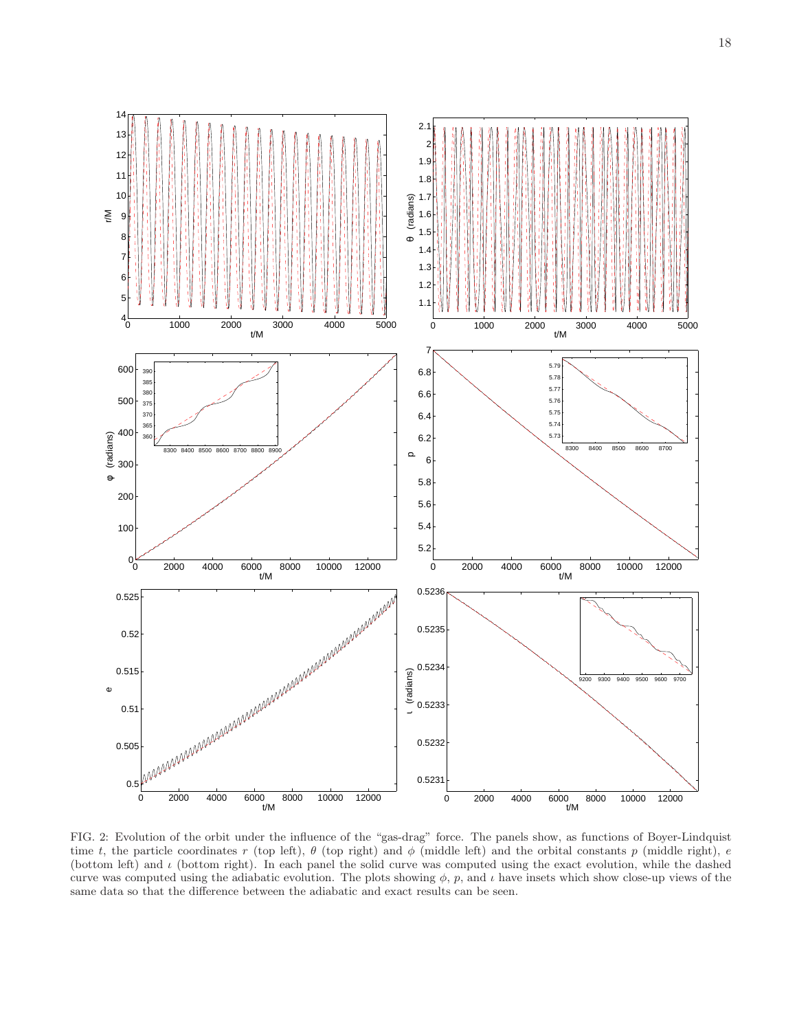

<span id="page-17-0"></span>FIG. 2: Evolution of the orbit under the influence of the "gas-drag" force. The panels show, as functions of Boyer-Lindquist time t, the particle coordinates r (top left),  $\theta$  (top right) and  $\phi$  (middle left) and the orbital constants p (middle right), e (bottom left) and  $\iota$  (bottom right). In each panel the solid curve was computed using the exact evolution, while the dashed curve was computed using the adiabatic evolution. The plots showing  $\phi$ , p, and  $\iota$  have insets which show close-up views of the same data so that the difference between the adiabatic and exact results can be seen.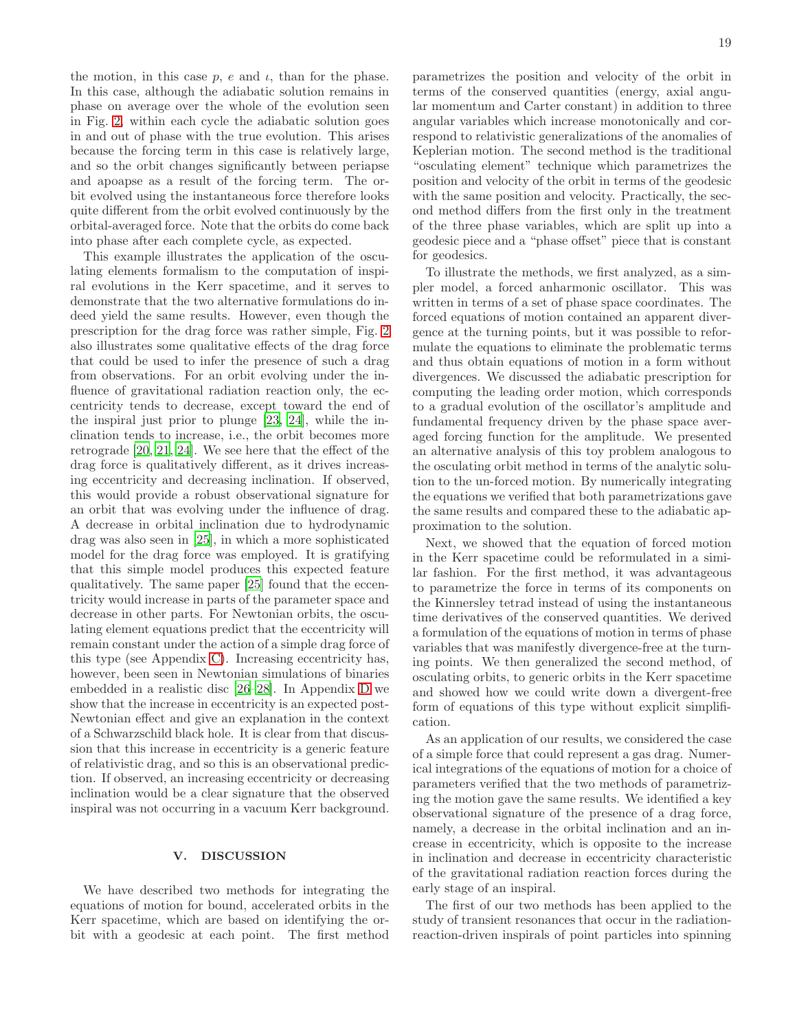the motion, in this case  $p, e$  and  $\iota$ , than for the phase. In this case, although the adiabatic solution remains in phase on average over the whole of the evolution seen in Fig. [2,](#page-17-0) within each cycle the adiabatic solution goes in and out of phase with the true evolution. This arises because the forcing term in this case is relatively large, and so the orbit changes significantly between periapse and apoapse as a result of the forcing term. The orbit evolved using the instantaneous force therefore looks quite different from the orbit evolved continuously by the orbital-averaged force. Note that the orbits do come back into phase after each complete cycle, as expected.

This example illustrates the application of the osculating elements formalism to the computation of inspiral evolutions in the Kerr spacetime, and it serves to demonstrate that the two alternative formulations do indeed yield the same results. However, even though the prescription for the drag force was rather simple, Fig. [2](#page-17-0) also illustrates some qualitative effects of the drag force that could be used to infer the presence of such a drag from observations. For an orbit evolving under the influence of gravitational radiation reaction only, the eccentricity tends to decrease, except toward the end of the inspiral just prior to plunge [\[23,](#page-27-20) [24\]](#page-27-21), while the inclination tends to increase, i.e., the orbit becomes more retrograde [\[20,](#page-27-17) [21,](#page-27-18) [24](#page-27-21)]. We see here that the effect of the drag force is qualitatively different, as it drives increasing eccentricity and decreasing inclination. If observed, this would provide a robust observational signature for an orbit that was evolving under the influence of drag. A decrease in orbital inclination due to hydrodynamic drag was also seen in [\[25](#page-27-22)], in which a more sophisticated model for the drag force was employed. It is gratifying that this simple model produces this expected feature qualitatively. The same paper [\[25](#page-27-22)] found that the eccentricity would increase in parts of the parameter space and decrease in other parts. For Newtonian orbits, the osculating element equations predict that the eccentricity will remain constant under the action of a simple drag force of this type (see Appendix [C\)](#page-24-0). Increasing eccentricity has, however, been seen in Newtonian simulations of binaries embedded in a realistic disc [\[26](#page-27-23)[–28](#page-27-24)]. In Appendix [D](#page-25-0) we show that the increase in eccentricity is an expected post-Newtonian effect and give an explanation in the context of a Schwarzschild black hole. It is clear from that discussion that this increase in eccentricity is a generic feature of relativistic drag, and so this is an observational prediction. If observed, an increasing eccentricity or decreasing inclination would be a clear signature that the observed inspiral was not occurring in a vacuum Kerr background.

## <span id="page-18-0"></span>V. DISCUSSION

We have described two methods for integrating the equations of motion for bound, accelerated orbits in the Kerr spacetime, which are based on identifying the orbit with a geodesic at each point. The first method

parametrizes the position and velocity of the orbit in terms of the conserved quantities (energy, axial angular momentum and Carter constant) in addition to three angular variables which increase monotonically and correspond to relativistic generalizations of the anomalies of Keplerian motion. The second method is the traditional "osculating element" technique which parametrizes the position and velocity of the orbit in terms of the geodesic with the same position and velocity. Practically, the second method differs from the first only in the treatment of the three phase variables, which are split up into a geodesic piece and a "phase offset" piece that is constant for geodesics.

To illustrate the methods, we first analyzed, as a simpler model, a forced anharmonic oscillator. This was written in terms of a set of phase space coordinates. The forced equations of motion contained an apparent divergence at the turning points, but it was possible to reformulate the equations to eliminate the problematic terms and thus obtain equations of motion in a form without divergences. We discussed the adiabatic prescription for computing the leading order motion, which corresponds to a gradual evolution of the oscillator's amplitude and fundamental frequency driven by the phase space averaged forcing function for the amplitude. We presented an alternative analysis of this toy problem analogous to the osculating orbit method in terms of the analytic solution to the un-forced motion. By numerically integrating the equations we verified that both parametrizations gave the same results and compared these to the adiabatic approximation to the solution.

Next, we showed that the equation of forced motion in the Kerr spacetime could be reformulated in a similar fashion. For the first method, it was advantageous to parametrize the force in terms of its components on the Kinnersley tetrad instead of using the instantaneous time derivatives of the conserved quantities. We derived a formulation of the equations of motion in terms of phase variables that was manifestly divergence-free at the turning points. We then generalized the second method, of osculating orbits, to generic orbits in the Kerr spacetime and showed how we could write down a divergent-free form of equations of this type without explicit simplification.

As an application of our results, we considered the case of a simple force that could represent a gas drag. Numerical integrations of the equations of motion for a choice of parameters verified that the two methods of parametrizing the motion gave the same results. We identified a key observational signature of the presence of a drag force, namely, a decrease in the orbital inclination and an increase in eccentricity, which is opposite to the increase in inclination and decrease in eccentricity characteristic of the gravitational radiation reaction forces during the early stage of an inspiral.

The first of our two methods has been applied to the study of transient resonances that occur in the radiationreaction-driven inspirals of point particles into spinning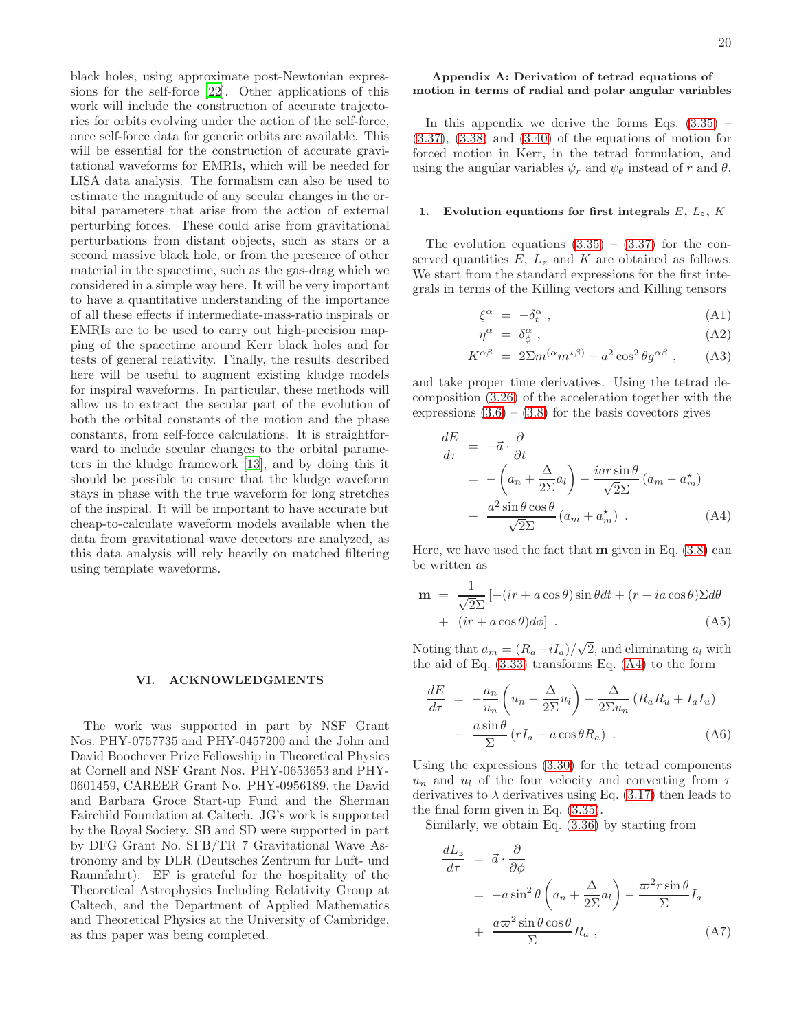black holes, using approximate post-Newtonian expressions for the self-force [\[22](#page-27-19)]. Other applications of this work will include the construction of accurate trajectories for orbits evolving under the action of the self-force, once self-force data for generic orbits are available. This will be essential for the construction of accurate gravitational waveforms for EMRIs, which will be needed for LISA data analysis. The formalism can also be used to estimate the magnitude of any secular changes in the orbital parameters that arise from the action of external perturbing forces. These could arise from gravitational perturbations from distant objects, such as stars or a second massive black hole, or from the presence of other material in the spacetime, such as the gas-drag which we considered in a simple way here. It will be very important to have a quantitative understanding of the importance of all these effects if intermediate-mass-ratio inspirals or EMRIs are to be used to carry out high-precision mapping of the spacetime around Kerr black holes and for tests of general relativity. Finally, the results described here will be useful to augment existing kludge models for inspiral waveforms. In particular, these methods will allow us to extract the secular part of the evolution of both the orbital constants of the motion and the phase constants, from self-force calculations. It is straightforward to include secular changes to the orbital parameters in the kludge framework [\[13\]](#page-27-10), and by doing this it should be possible to ensure that the kludge waveform stays in phase with the true waveform for long stretches of the inspiral. It will be important to have accurate but cheap-to-calculate waveform models available when the data from gravitational wave detectors are analyzed, as this data analysis will rely heavily on matched filtering using template waveforms.

## VI. ACKNOWLEDGMENTS

The work was supported in part by NSF Grant Nos. PHY-0757735 and PHY-0457200 and the John and David Boochever Prize Fellowship in Theoretical Physics at Cornell and NSF Grant Nos. PHY-0653653 and PHY-0601459, CAREER Grant No. PHY-0956189, the David and Barbara Groce Start-up Fund and the Sherman Fairchild Foundation at Caltech. JG's work is supported by the Royal Society. SB and SD were supported in part by DFG Grant No. SFB/TR 7 Gravitational Wave Astronomy and by DLR (Deutsches Zentrum fur Luft- und Raumfahrt). EF is grateful for the hospitality of the Theoretical Astrophysics Including Relativity Group at Caltech, and the Department of Applied Mathematics and Theoretical Physics at the University of Cambridge, as this paper was being completed.

# <span id="page-19-0"></span>Appendix A: Derivation of tetrad equations of motion in terms of radial and polar angular variables

In this appendix we derive the forms Eqs.  $(3.35)$  –  $(3.37)$ ,  $(3.38)$  and  $(3.40)$  of the equations of motion for forced motion in Kerr, in the tetrad formulation, and using the angular variables  $\psi_r$  and  $\psi_\theta$  instead of r and  $\theta$ .

#### 1. Evolution equations for first integrals  $E, L_z, K$

The evolution equations  $(3.35) - (3.37)$  $(3.35) - (3.37)$  for the conserved quantities  $E, L_z$  and  $K$  are obtained as follows. We start from the standard expressions for the first integrals in terms of the Killing vectors and Killing tensors

<span id="page-19-1"></span>
$$
\xi^{\alpha} = -\delta_t^{\alpha} , \qquad (A1)
$$

$$
\eta^{\alpha} = \delta^{\alpha}_{\phi} , \qquad (A2)
$$

$$
K^{\alpha\beta} = 2\Sigma m^{(\alpha} m^{*\beta)} - a^2 \cos^2 \theta g^{\alpha\beta} , \qquad (A3)
$$

and take proper time derivatives. Using the tetrad decomposition [\(3.26\)](#page-9-5) of the acceleration together with the expressions  $(3.6) - (3.8)$  $(3.6) - (3.8)$  for the basis covectors gives

<span id="page-19-2"></span>
$$
\frac{dE}{d\tau} = -\vec{a} \cdot \frac{\partial}{\partial t}
$$
\n
$$
= -\left(a_n + \frac{\Delta}{2\Sigma}a_l\right) - \frac{i a r \sin \theta}{\sqrt{2}\Sigma} (a_m - a_m^*)
$$
\n
$$
+ \frac{a^2 \sin \theta \cos \theta}{\sqrt{2}\Sigma} (a_m + a_m^*) . \tag{A4}
$$

Here, we have used the fact that  **given in Eq.**  $(3.8)$  **can** be written as

$$
\mathbf{m} = \frac{1}{\sqrt{2\Sigma}} \left[ -(ir + a\cos\theta)\sin\theta dt + (r - ia\cos\theta)\Sigma d\theta \right. + (ir + a\cos\theta)d\phi \right].
$$
 (A5)

Noting that  $a_m = (R_a - iI_a)/\sqrt{2}$ , and eliminating  $a_l$  with the aid of Eq. [\(3.33\)](#page-9-6) transforms Eq. [\(A4\)](#page-19-2) to the form

$$
\frac{dE}{d\tau} = -\frac{a_n}{u_n} \left( u_n - \frac{\Delta}{2\Sigma} u_l \right) - \frac{\Delta}{2\Sigma u_n} \left( R_a R_u + I_a I_u \right) \n- \frac{a \sin \theta}{\Sigma} \left( r I_a - a \cos \theta R_a \right) .
$$
\n(A6)

Using the expressions [\(3.30\)](#page-9-7) for the tetrad components  $u_n$  and  $u_l$  of the four velocity and converting from  $\tau$ derivatives to  $\lambda$  derivatives using Eq. [\(3.17\)](#page-8-6) then leads to the final form given in Eq. [\(3.35\)](#page-9-2).

Similarly, we obtain Eq. [\(3.36\)](#page-9-8) by starting from

$$
\frac{dL_z}{d\tau} = \vec{a} \cdot \frac{\partial}{\partial \phi}
$$
\n
$$
= -a \sin^2 \theta \left( a_n + \frac{\Delta}{2\Sigma} a_l \right) - \frac{\varpi^2 r \sin \theta}{\Sigma} I_a
$$
\n
$$
+ \frac{a \varpi^2 \sin \theta \cos \theta}{\Sigma} R_a , \qquad (A7)
$$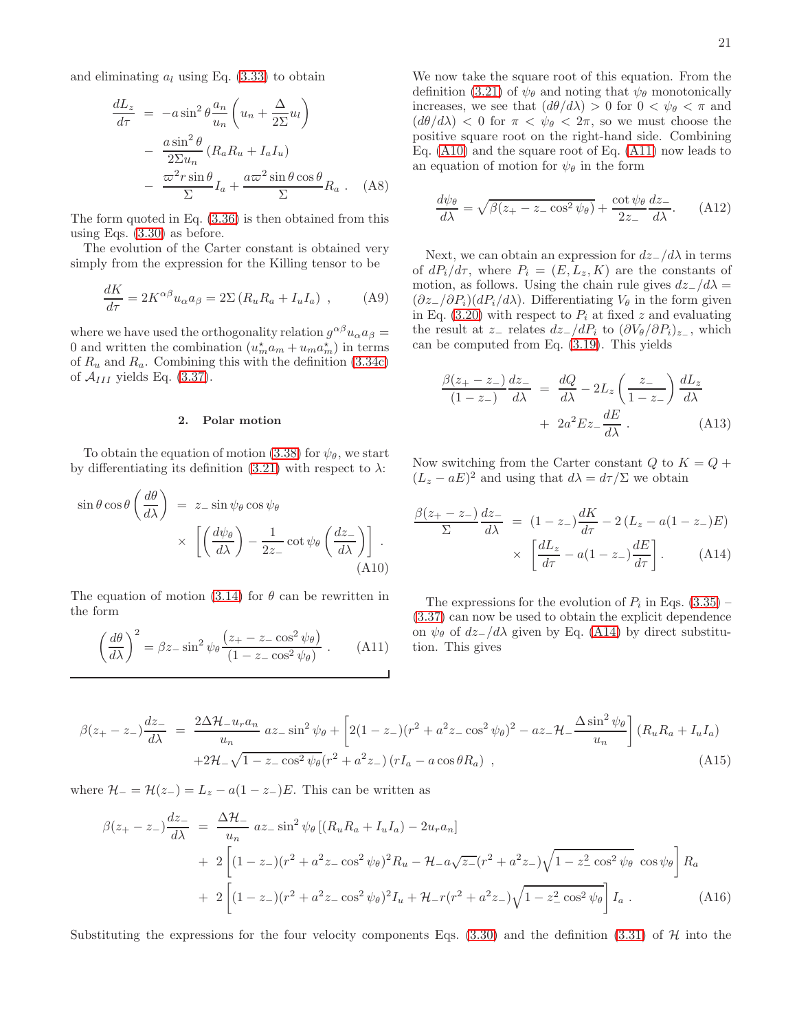and eliminating  $a_l$  using Eq. [\(3.33\)](#page-9-6) to obtain

$$
\frac{dL_z}{d\tau} = -a\sin^2\theta \frac{a_n}{u_n} \left( u_n + \frac{\Delta}{2\Sigma} u_l \right)
$$

$$
- \frac{a\sin^2\theta}{2\Sigma u_n} \left( R_a R_u + I_a I_u \right)
$$

$$
- \frac{\omega^2 r \sin\theta}{\Sigma} I_a + \frac{a\omega^2 \sin\theta \cos\theta}{\Sigma} R_a . \quad (A8)
$$

The form quoted in Eq. [\(3.36\)](#page-9-8) is then obtained from this using Eqs. [\(3.30\)](#page-9-7) as before.

The evolution of the Carter constant is obtained very simply from the expression for the Killing tensor to be

<span id="page-20-0"></span>
$$
\frac{dK}{d\tau} = 2K^{\alpha\beta}u_{\alpha}a_{\beta} = 2\Sigma (R_uR_a + I_uI_a) \quad , \tag{A9}
$$

where we have used the orthogonality relation  $g^{\alpha\beta}u_{\alpha}a_{\beta} =$ 0 and written the combination  $(u_m^{\star} a_m + u_m a_m^{\star})$  in terms of  $R_u$  and  $R_a$ . Combining this with the definition [\(3.34c\)](#page-9-9) of  $A_{III}$  yields Eq. [\(3.37\)](#page-9-3).

## 2. Polar motion

To obtain the equation of motion [\(3.38\)](#page-9-4) for  $\psi_{\theta}$ , we start by differentiating its definition [\(3.21\)](#page-8-3) with respect to  $\lambda$ :

<span id="page-20-1"></span>
$$
\sin \theta \cos \theta \left(\frac{d\theta}{d\lambda}\right) = z_{-} \sin \psi_{\theta} \cos \psi_{\theta}
$$

$$
\times \left[ \left(\frac{d\psi_{\theta}}{d\lambda}\right) - \frac{1}{2z_{-}} \cot \psi_{\theta} \left(\frac{dz_{-}}{d\lambda}\right) \right].
$$
(A10)

The equation of motion [\(3.14\)](#page-8-2) for  $\theta$  can be rewritten in the form

<span id="page-20-2"></span>
$$
\left(\frac{d\theta}{d\lambda}\right)^2 = \beta z_- \sin^2 \psi_\theta \frac{\left(z_+ - z_- \cos^2 \psi_\theta\right)}{\left(1 - z_- \cos^2 \psi_\theta\right)} . \tag{A11}
$$

We now take the square root of this equation. From the definition [\(3.21\)](#page-8-3) of  $\psi_{\theta}$  and noting that  $\psi_{\theta}$  monotonically increases, we see that  $(d\theta/d\lambda) > 0$  for  $0 < \psi_{\theta} < \pi$  and  $(d\theta/d\lambda)$  < 0 for  $\pi < \psi_{\theta} < 2\pi$ , so we must choose the positive square root on the right-hand side. Combining Eq. [\(A10\)](#page-20-1) and the square root of Eq. [\(A11\)](#page-20-2) now leads to an equation of motion for  $\psi_{\theta}$  in the form

<span id="page-20-4"></span>
$$
\frac{d\psi_{\theta}}{d\lambda} = \sqrt{\beta(z_{+} - z_{-} \cos^{2} \psi_{\theta})} + \frac{\cot \psi_{\theta}}{2z_{-}} \frac{dz_{-}}{d\lambda}.
$$
 (A12)

Next, we can obtain an expression for  $dz_{-}/d\lambda$  in terms of  $dP_i/d\tau$ , where  $P_i = (E, L_z, K)$  are the constants of motion, as follows. Using the chain rule gives  $dz_{-}/d\lambda =$  $(\partial z_-/\partial P_i)(dP_i/d\lambda)$ . Differentiating  $V_\theta$  in the form given in Eq.  $(3.20)$  with respect to  $P_i$  at fixed z and evaluating the result at  $z_$  relates  $dz_-/dP_i$  to  $(\partial V_{\theta}/\partial P_i)_{z_-}$ , which can be computed from Eq. [\(3.19\)](#page-8-8). This yields

$$
\frac{\beta(z_{+}-z_{-})}{(1-z_{-})}\frac{dz_{-}}{d\lambda} = \frac{dQ}{d\lambda} - 2L_{z}\left(\frac{z_{-}}{1-z_{-}}\right)\frac{dL_{z}}{d\lambda} + 2a^{2}Ez_{-}\frac{dE}{d\lambda}.
$$
\n(A13)

Now switching from the Carter constant  $Q$  to  $K = Q +$  $(L_z - aE)^2$  and using that  $d\lambda = d\tau/\Sigma$  we obtain

<span id="page-20-3"></span>
$$
\frac{\beta(z_{+}-z_{-})}{\Sigma} \frac{dz_{-}}{d\lambda} = (1-z_{-})\frac{dK}{d\tau} - 2(L_{z}-a(1-z_{-})E)
$$

$$
\times \left[\frac{dL_{z}}{d\tau} - a(1-z_{-})\frac{dE}{d\tau}\right]. \tag{A14}
$$

The expressions for the evolution of  $P_i$  in Eqs. [\(3.35\)](#page-9-2) – [\(3.37\)](#page-9-3) can now be used to obtain the explicit dependence on  $\psi_{\theta}$  of  $dz_{-}/d\lambda$  given by Eq. [\(A14\)](#page-20-3) by direct substitution. This gives

$$
\beta(z_{+}-z_{-})\frac{dz_{-}}{d\lambda} = \frac{2\Delta\mathcal{H}_{-}u_{r}a_{n}}{u_{n}} \;az_{-} \sin^{2}\psi_{\theta} + \left[2(1-z_{-})(r^{2}+a^{2}z_{-}\cos^{2}\psi_{\theta})^{2} - az_{-}\mathcal{H}_{-}\frac{\Delta\sin^{2}\psi_{\theta}}{u_{n}}\right] (R_{u}R_{a} + I_{u}I_{a}) + 2\mathcal{H}_{-}\sqrt{1-z_{-}\cos^{2}\psi_{\theta}}(r^{2}+a^{2}z_{-})(rI_{a}-a\cos\theta R_{a}), \tag{A15}
$$

where  $\mathcal{H}_{-} = \mathcal{H}(z_{-}) = L_{z} - a(1-z_{-})E$ . This can be written as

$$
\beta(z_{+}-z_{-})\frac{dz_{-}}{d\lambda} = \frac{\Delta\mathcal{H}_{-}}{u_{n}} \ a z_{-} \sin^{2}\psi_{\theta} \left[ (R_{u}R_{a} + I_{u}I_{a}) - 2u_{r}a_{n} \right] \n+ 2\left[ (1-z_{-})(r^{2} + a^{2}z_{-} \cos^{2}\psi_{\theta})^{2}R_{u} - \mathcal{H}_{-}a\sqrt{z_{-}}(r^{2} + a^{2}z_{-})\sqrt{1-z_{-}^{2}\cos^{2}\psi_{\theta}} \cos\psi_{\theta} \right] R_{a} \n+ 2\left[ (1-z_{-})(r^{2} + a^{2}z_{-} \cos^{2}\psi_{\theta})^{2}I_{u} + \mathcal{H}_{-}r(r^{2} + a^{2}z_{-})\sqrt{1-z_{-}^{2}\cos^{2}\psi_{\theta}} \right] I_{a} .
$$
\n(A16)

Substituting the expressions for the four velocity components Eqs.  $(3.30)$  and the definition  $(3.31)$  of H into the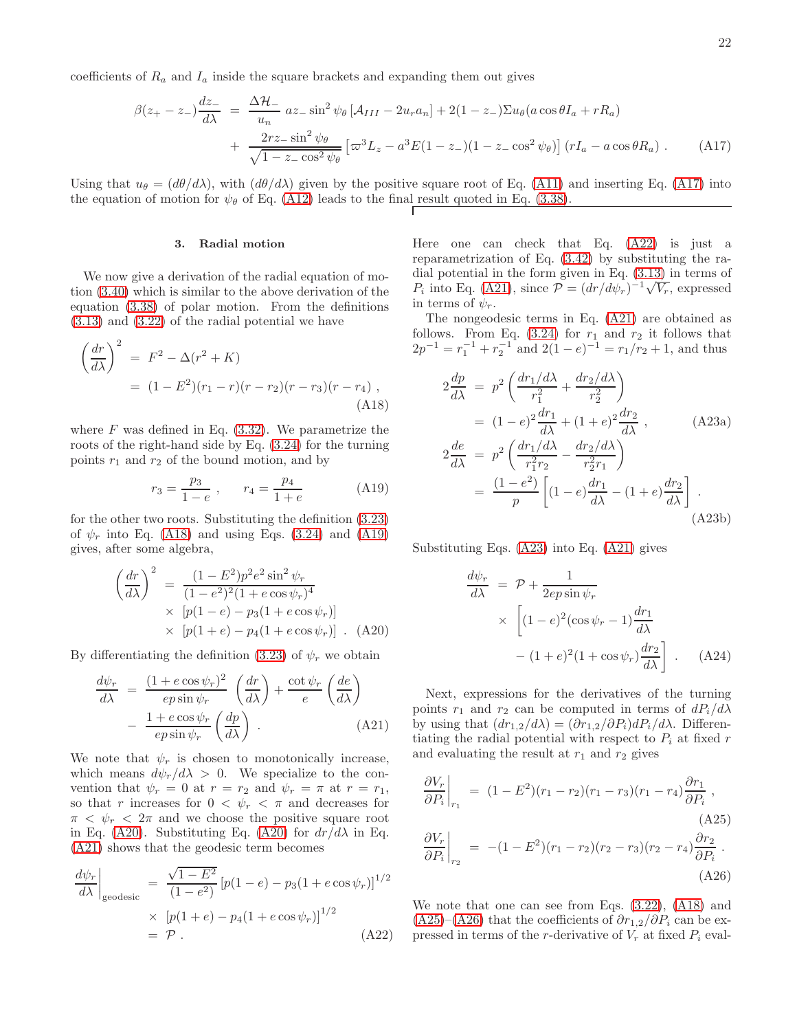coefficients of  $R_a$  and  $I_a$  inside the square brackets and expanding them out gives

<span id="page-21-0"></span>
$$
\beta(z_{+} - z_{-})\frac{dz_{-}}{d\lambda} = \frac{\Delta\mathcal{H}_{-}}{u_{n}} \ a z_{-} \sin^{2}\psi_{\theta} \left[\mathcal{A}_{III} - 2u_{r}a_{n}\right] + 2(1 - z_{-})\Sigma u_{\theta} (a \cos\theta I_{a} + rR_{a}) + \frac{2rz_{-} \sin^{2}\psi_{\theta}}{\sqrt{1 - z_{-} \cos^{2}\psi_{\theta}}} \left[\varpi^{3}L_{z} - a^{3}E(1 - z_{-})(1 - z_{-} \cos^{2}\psi_{\theta})\right] (rI_{a} - a \cos\theta R_{a}). \tag{A17}
$$

Using that  $u_{\theta} = (d\theta/d\lambda)$ , with  $(d\theta/d\lambda)$  given by the positive square root of Eq. [\(A11\)](#page-20-2) and inserting Eq. [\(A17\)](#page-21-0) into the equation of motion for  $\psi_{\theta}$  of Eq. [\(A12\)](#page-20-4) leads to the final result quoted in Eq. [\(3.38\)](#page-9-4).

## 3. Radial motion

We now give a derivation of the radial equation of motion [\(3.40\)](#page-10-1) which is similar to the above derivation of the equation [\(3.38\)](#page-9-4) of polar motion. From the definitions [\(3.13\)](#page-8-0) and [\(3.22\)](#page-8-9) of the radial potential we have

<span id="page-21-1"></span>
$$
\left(\frac{dr}{d\lambda}\right)^2 = F^2 - \Delta(r^2 + K)
$$
  
=  $(1 - E^2)(r_1 - r)(r - r_2)(r - r_3)(r - r_4)$ ,  
(A18)

where  $F$  was defined in Eq. [\(3.32\)](#page-9-11). We parametrize the roots of the right-hand side by Eq. [\(3.24\)](#page-9-0) for the turning points  $r_1$  and  $r_2$  of the bound motion, and by

<span id="page-21-2"></span>
$$
r_3 = \frac{p_3}{1 - e} , \qquad r_4 = \frac{p_4}{1 + e} \tag{A19}
$$

for the other two roots. Substituting the definition [\(3.23\)](#page-8-10) of  $\psi_r$  into Eq. [\(A18\)](#page-21-1) and using Eqs. [\(3.24\)](#page-9-0) and [\(A19\)](#page-21-2) gives, after some algebra,

<span id="page-21-3"></span>
$$
\left(\frac{dr}{d\lambda}\right)^2 = \frac{(1 - E^2)p^2e^2\sin^2\psi_r}{(1 - e^2)^2(1 + e\cos\psi_r)^4} \times [p(1 - e) - p_3(1 + e\cos\psi_r)] \times [p(1 + e) - p_4(1 + e\cos\psi_r)].
$$
 (A20)

By differentiating the definition [\(3.23\)](#page-8-10) of  $\psi_r$  we obtain

<span id="page-21-4"></span>
$$
\frac{d\psi_r}{d\lambda} = \frac{(1 + e \cos \psi_r)^2}{ep \sin \psi_r} \left(\frac{dr}{d\lambda}\right) + \frac{\cot \psi_r}{e} \left(\frac{de}{d\lambda}\right)
$$

$$
- \frac{1 + e \cos \psi_r}{ep \sin \psi_r} \left(\frac{dp}{d\lambda}\right) . \tag{A21}
$$

We note that  $\psi_r$  is chosen to monotonically increase, which means  $d\psi_r/d\lambda > 0$ . We specialize to the convention that  $\psi_r = 0$  at  $r = r_2$  and  $\psi_r = \pi$  at  $r = r_1$ , so that r increases for  $0 < \psi_r < \pi$  and decreases for  $\pi < \psi_r < 2\pi$  and we choose the positive square root in Eq. [\(A20\)](#page-21-3). Substituting Eq. (A20) for  $dr/d\lambda$  in Eq. [\(A21\)](#page-21-4) shows that the geodesic term becomes

<span id="page-21-5"></span>
$$
\frac{d\psi_r}{d\lambda}\Big|_{\text{geodesic}} = \frac{\sqrt{1 - E^2}}{(1 - e^2)} \left[ p(1 - e) - p_3(1 + e \cos \psi_r) \right]^{1/2} \times \left[ p(1 + e) - p_4(1 + e \cos \psi_r) \right]^{1/2} \n= \mathcal{P}.
$$
\n(A22)

Here one can check that Eq. [\(A22\)](#page-21-5) is just a reparametrization of Eq. [\(3.42\)](#page-10-2) by substituting the radial potential in the form given in Eq. [\(3.13\)](#page-8-0) in terms of  $P_i$  into Eq. [\(A21\)](#page-21-4), since  $\mathcal{P} = (dr/d\psi_r)^{-1}\sqrt{V_r}$ , expressed in terms of  $\psi_r$ .

The nongeodesic terms in Eq. [\(A21\)](#page-21-4) are obtained as follows. From Eq.  $(3.24)$  for  $r_1$  and  $r_2$  it follows that  $2p^{-1} = r_1^{-1} + r_2^{-1}$  and  $2(1 - e)^{-1} = r_1/r_2 + 1$ , and thus

<span id="page-21-6"></span>
$$
2\frac{dp}{d\lambda} = p^2 \left(\frac{dr_1/d\lambda}{r_1^2} + \frac{dr_2/d\lambda}{r_2^2}\right)
$$
  
\n
$$
= (1 - e)^2 \frac{dr_1}{d\lambda} + (1 + e)^2 \frac{dr_2}{d\lambda},
$$
 (A23a)  
\n
$$
2\frac{de}{d\lambda} = p^2 \left(\frac{dr_1/d\lambda}{r_1^2 r_2} - \frac{dr_2/d\lambda}{r_2^2 r_1}\right)
$$
  
\n
$$
= \frac{(1 - e^2)}{p} \left[ (1 - e)\frac{dr_1}{d\lambda} - (1 + e)\frac{dr_2}{d\lambda} \right].
$$
 (A23b)

Substituting Eqs. [\(A23\)](#page-21-6) into Eq. [\(A21\)](#page-21-4) gives

$$
\frac{d\psi_r}{d\lambda} = \mathcal{P} + \frac{1}{2ep\sin\psi_r}
$$
  
 
$$
\times \left[ (1-e)^2 (\cos\psi_r - 1) \frac{dr_1}{d\lambda} - (1+e)^2 (1+\cos\psi_r) \frac{dr_2}{d\lambda} \right].
$$
 (A24)

Next, expressions for the derivatives of the turning points  $r_1$  and  $r_2$  can be computed in terms of  $dP_i/d\lambda$ by using that  $(dr_{1,2}/d\lambda) = (\partial r_{1,2}/\partial P_i)dP_i/d\lambda$ . Differentiating the radial potential with respect to  $P_i$  at fixed r and evaluating the result at  $r_1$  and  $r_2$  gives

<span id="page-21-7"></span>
$$
\left. \frac{\partial V_r}{\partial P_i} \right|_{r_1} = (1 - E^2)(r_1 - r_2)(r_1 - r_3)(r_1 - r_4) \frac{\partial r_1}{\partial P_i},
$$
\n(A25)\n
$$
\left. \frac{\partial V_r}{\partial P_i} \right|_{r_2} = -(1 - E^2)(r_1 - r_2)(r_2 - r_3)(r_2 - r_4) \frac{\partial r_2}{\partial P_i}.
$$
\n(A26)

We note that one can see from Eqs. [\(3.22\)](#page-8-9), [\(A18\)](#page-21-1) and  $(A25)$ – $(A26)$  that the coefficients of  $\partial r_{1,2}/\partial P_i$  can be expressed in terms of the r-derivative of  $V_r$  at fixed  $P_i$  eval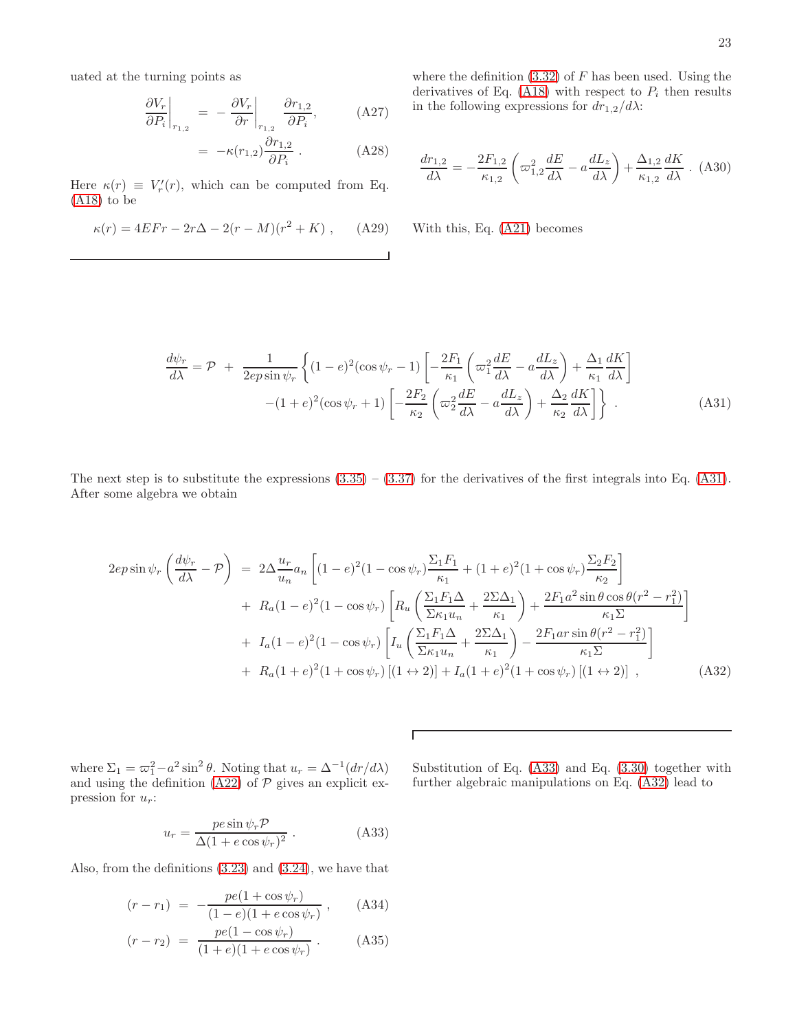uated at the turning points as

$$
\left. \frac{\partial V_r}{\partial P_i} \right|_{r_{1,2}} = -\left. \frac{\partial V_r}{\partial r} \right|_{r_{1,2}} \left. \frac{\partial r_{1,2}}{\partial P_i}, \right. \tag{A27}
$$

$$
= -\kappa(r_{1,2}) \frac{\partial r_{1,2}}{\partial P_i} . \tag{A28}
$$

Here  $\kappa(r) \equiv V'_r(r)$ , which can be computed from Eq. [\(A18\)](#page-21-1) to be

$$
\kappa(r) = 4EFr - 2r\Delta - 2(r - M)(r^2 + K) , \quad (A29)
$$

where the definition  $(3.32)$  of  $F$  has been used. Using the derivatives of Eq. [\(A18\)](#page-21-1) with respect to  $P_i$  then results in the following expressions for  $dr_{1,2}/d\lambda$ :

$$
\frac{dr_{1,2}}{d\lambda} = -\frac{2F_{1,2}}{\kappa_{1,2}} \left( \varpi_{1,2}^2 \frac{dE}{d\lambda} - a \frac{dL_z}{d\lambda} \right) + \frac{\Delta_{1,2}}{\kappa_{1,2}} \frac{dK}{d\lambda} \quad (A30)
$$

With this, Eq. [\(A21\)](#page-21-4) becomes

<span id="page-22-0"></span>
$$
\frac{d\psi_r}{d\lambda} = \mathcal{P} + \frac{1}{2ep\sin\psi_r} \left\{ (1-e)^2(\cos\psi_r - 1) \left[ -\frac{2F_1}{\kappa_1} \left( \varpi_1^2 \frac{dE}{d\lambda} - a \frac{dL_z}{d\lambda} \right) + \frac{\Delta_1}{\kappa_1} \frac{dK}{d\lambda} \right] - (1+e)^2(\cos\psi_r + 1) \left[ -\frac{2F_2}{\kappa_2} \left( \varpi_2^2 \frac{dE}{d\lambda} - a \frac{dL_z}{d\lambda} \right) + \frac{\Delta_2}{\kappa_2} \frac{dK}{d\lambda} \right] \right\}.
$$
\n(A31)

The next step is to substitute the expressions  $(3.35) - (3.37)$  $(3.35) - (3.37)$  for the derivatives of the first integrals into Eq. [\(A31\)](#page-22-0). After some algebra we obtain

<span id="page-22-2"></span>
$$
2ep\sin\psi_r\left(\frac{d\psi_r}{d\lambda} - \mathcal{P}\right) = 2\Delta \frac{u_r}{u_n} a_n \left[ (1 - e)^2 (1 - \cos\psi_r) \frac{\Sigma_1 F_1}{\kappa_1} + (1 + e)^2 (1 + \cos\psi_r) \frac{\Sigma_2 F_2}{\kappa_2} \right] + R_a (1 - e)^2 (1 - \cos\psi_r) \left[ R_u \left( \frac{\Sigma_1 F_1 \Delta}{\Sigma \kappa_1 u_n} + \frac{2 \Sigma \Delta_1}{\kappa_1} \right) + \frac{2F_1 a^2 \sin\theta \cos\theta (r^2 - r_1^2)}{\kappa_1 \Sigma} \right] + I_a (1 - e)^2 (1 - \cos\psi_r) \left[ I_u \left( \frac{\Sigma_1 F_1 \Delta}{\Sigma \kappa_1 u_n} + \frac{2 \Sigma \Delta_1}{\kappa_1} \right) - \frac{2F_1 ar \sin\theta (r^2 - r_1^2)}{\kappa_1 \Sigma} \right] + R_a (1 + e)^2 (1 + \cos\psi_r) \left[ (1 \leftrightarrow 2) \right] + I_a (1 + e)^2 (1 + \cos\psi_r) \left[ (1 \leftrightarrow 2) \right] , \tag{A32}
$$

 $\Gamma$ 

where  $\Sigma_1 = \varpi_1^2 - a^2 \sin^2 \theta$ . Noting that  $u_r = \Delta^{-1}(dr/d\lambda)$ and using the definition [\(A22\)](#page-21-5) of  $P$  gives an explicit expression for  $u_r$ :

<span id="page-22-1"></span>
$$
u_r = \frac{p e \sin \psi_r \mathcal{P}}{\Delta (1 + e \cos \psi_r)^2} . \tag{A33}
$$

Also, from the definitions [\(3.23\)](#page-8-10) and [\(3.24\)](#page-9-0), we have that

<span id="page-22-3"></span>
$$
(r - r_1) = -\frac{pe(1 + \cos \psi_r)}{(1 - e)(1 + e \cos \psi_r)}, \quad \text{(A34)}
$$

$$
(r - r_2) = \frac{pe(1 - \cos \psi_r)}{(1 + e)(1 + e \cos \psi_r)}.
$$
 (A35)

Substitution of Eq. [\(A33\)](#page-22-1) and Eq. [\(3.30\)](#page-9-7) together with further algebraic manipulations on Eq. [\(A32\)](#page-22-2) lead to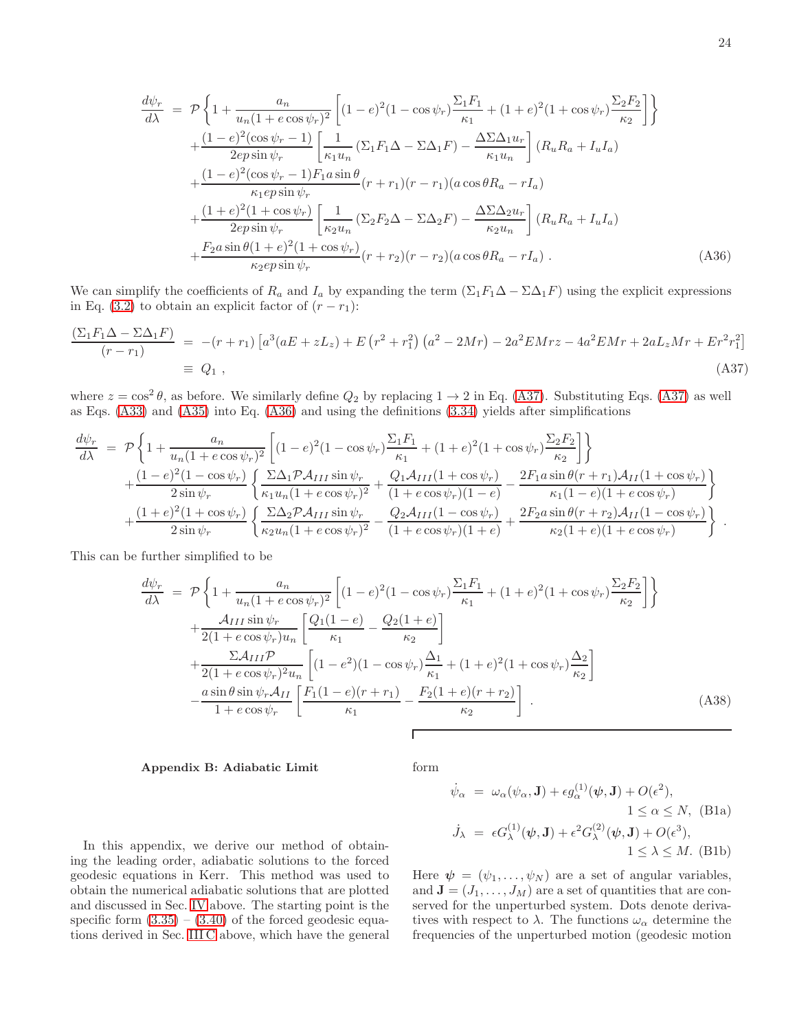<span id="page-23-2"></span>
$$
\frac{d\psi_r}{d\lambda} = \mathcal{P}\left\{1 + \frac{a_n}{u_n(1 + e \cos \psi_r)^2} \left[ (1 - e)^2 (1 - \cos \psi_r) \frac{\Sigma_1 F_1}{\kappa_1} + (1 + e)^2 (1 + \cos \psi_r) \frac{\Sigma_2 F_2}{\kappa_2} \right] \right\} \n+ \frac{(1 - e)^2 (\cos \psi_r - 1)}{2ep \sin \psi_r} \left[ \frac{1}{\kappa_1 u_n} (\Sigma_1 F_1 \Delta - \Sigma \Delta_1 F) - \frac{\Delta \Sigma \Delta_1 u_r}{\kappa_1 u_n} \right] (R_u R_a + I_u I_a) \n+ \frac{(1 - e)^2 (\cos \psi_r - 1) F_1 a \sin \theta}{\kappa_1 ep \sin \psi_r} (r + r_1)(r - r_1)(a \cos \theta R_a - r I_a) \n+ \frac{(1 + e)^2 (1 + \cos \psi_r)}{2ep \sin \psi_r} \left[ \frac{1}{\kappa_2 u_n} (\Sigma_2 F_2 \Delta - \Sigma \Delta_2 F) - \frac{\Delta \Sigma \Delta_2 u_r}{\kappa_2 u_n} \right] (R_u R_a + I_u I_a) \n+ \frac{F_2 a \sin \theta (1 + e)^2 (1 + \cos \psi_r)}{\kappa_2 ep \sin \psi_r} (r + r_2)(r - r_2)(a \cos \theta R_a - r I_a).
$$
\n(A36)

We can simplify the coefficients of  $R_a$  and  $I_a$  by expanding the term  $(\Sigma_1 F_1 \Delta - \Sigma \Delta_1 F)$  using the explicit expressions in Eq. [\(3.2\)](#page-7-4) to obtain an explicit factor of  $(r - r_1)$ :

<span id="page-23-1"></span>
$$
\frac{(\Sigma_1 F_1 \Delta - \Sigma \Delta_1 F)}{(r - r_1)} = -(r + r_1) \left[ a^3 (aE + zL_z) + E (r^2 + r_1^2) (a^2 - 2Mr) - 2a^2 EMrz - 4a^2 EMr + 2aL_zMr + Er^2r_1^2 \right]
$$
  
\n
$$
\equiv Q_1 ,
$$
\n(A37)

where  $z = \cos^2 \theta$ , as before. We similarly define  $Q_2$  by replacing  $1 \rightarrow 2$  in Eq. [\(A37\)](#page-23-1). Substituting Eqs. (A37) as well as Eqs. [\(A33\)](#page-22-1) and [\(A35\)](#page-22-3) into Eq. [\(A36\)](#page-23-2) and using the definitions [\(3.34\)](#page-9-12) yields after simplifications

$$
\frac{d\psi_r}{d\lambda} = \mathcal{P}\left\{1 + \frac{a_n}{u_n(1 + e\cos\psi_r)^2} \left[(1 - e)^2(1 - \cos\psi_r)\frac{\Sigma_1 F_1}{\kappa_1} + (1 + e)^2(1 + \cos\psi_r)\frac{\Sigma_2 F_2}{\kappa_2}\right]\right\} \n+ \frac{(1 - e)^2(1 - \cos\psi_r)}{2\sin\psi_r} \left\{\frac{\Sigma\Delta_1 \mathcal{P}\mathcal{A}_{III}\sin\psi_r}{\kappa_1 u_n(1 + e\cos\psi_r)^2} + \frac{Q_1\mathcal{A}_{III}(1 + \cos\psi_r)}{(1 + e\cos\psi_r)(1 - e)} - \frac{2F_1a\sin\theta(r + r_1)\mathcal{A}_{II}(1 + \cos\psi_r)}{\kappa_1(1 - e)(1 + e\cos\psi_r)}\right\} \n+ \frac{(1 + e)^2(1 + \cos\psi_r)}{2\sin\psi_r} \left\{\frac{\Sigma\Delta_2 \mathcal{P}\mathcal{A}_{III}\sin\psi_r}{\kappa_2 u_n(1 + e\cos\psi_r)^2} - \frac{Q_2\mathcal{A}_{III}(1 - \cos\psi_r)}{(1 + e\cos\psi_r)(1 + e)} + \frac{2F_2a\sin\theta(r + r_2)\mathcal{A}_{II}(1 - \cos\psi_r)}{\kappa_2(1 + e)(1 + e\cos\psi_r)}\right\}.
$$

This can be further simplified to be

$$
\frac{d\psi_r}{d\lambda} = \mathcal{P}\left\{1 + \frac{a_n}{u_n(1 + e \cos \psi_r)^2} \left[ (1 - e)^2 (1 - \cos \psi_r) \frac{\Sigma_1 F_1}{\kappa_1} + (1 + e)^2 (1 + \cos \psi_r) \frac{\Sigma_2 F_2}{\kappa_2} \right] \right\} \n+ \frac{A_{III} \sin \psi_r}{2(1 + e \cos \psi_r) u_n} \left[ \frac{Q_1 (1 - e)}{\kappa_1} - \frac{Q_2 (1 + e)}{\kappa_2} \right] \n+ \frac{\Sigma A_{III} \mathcal{P}}{2(1 + e \cos \psi_r)^2 u_n} \left[ (1 - e^2)(1 - \cos \psi_r) \frac{\Delta_1}{\kappa_1} + (1 + e)^2 (1 + \cos \psi_r) \frac{\Delta_2}{\kappa_2} \right] \n- \frac{a \sin \theta \sin \psi_r A_{II}}{1 + e \cos \psi_r} \left[ \frac{F_1 (1 - e)(r + r_1)}{\kappa_1} - \frac{F_2 (1 + e)(r + r_2)}{\kappa_2} \right] .
$$
\n(A38)

## <span id="page-23-0"></span>Appendix B: Adiabatic Limit

form

Г

<span id="page-23-3"></span>
$$
\dot{\psi}_{\alpha} = \omega_{\alpha}(\psi_{\alpha}, \mathbf{J}) + \epsilon g_{\alpha}^{(1)}(\boldsymbol{\psi}, \mathbf{J}) + O(\epsilon^2),
$$
  
\n
$$
1 \leq \alpha \leq N, \text{ (B1a)}
$$
  
\n
$$
\dot{J}_{\lambda} = \epsilon G_{\lambda}^{(1)}(\boldsymbol{\psi}, \mathbf{J}) + \epsilon^2 G_{\lambda}^{(2)}(\boldsymbol{\psi}, \mathbf{J}) + O(\epsilon^3),
$$
  
\n
$$
1 \leq \lambda \leq M. \text{ (B1b)}
$$

In this appendix, we derive our method of obtaining the leading order, adiabatic solutions to the forced geodesic equations in Kerr. This method was used to obtain the numerical adiabatic solutions that are plotted and discussed in Sec. [IV](#page-16-0) above. The starting point is the specific form  $(3.35) - (3.40)$  $(3.35) - (3.40)$  of the forced geodesic equations derived in Sec. [III C](#page-9-1) above, which have the general

Here  $\psi = (\psi_1, \ldots, \psi_N)$  are a set of angular variables, and  $\mathbf{J} = (J_1, \ldots, J_M)$  are a set of quantities that are conserved for the unperturbed system. Dots denote derivatives with respect to  $\lambda$ . The functions  $\omega_{\alpha}$  determine the frequencies of the unperturbed motion (geodesic motion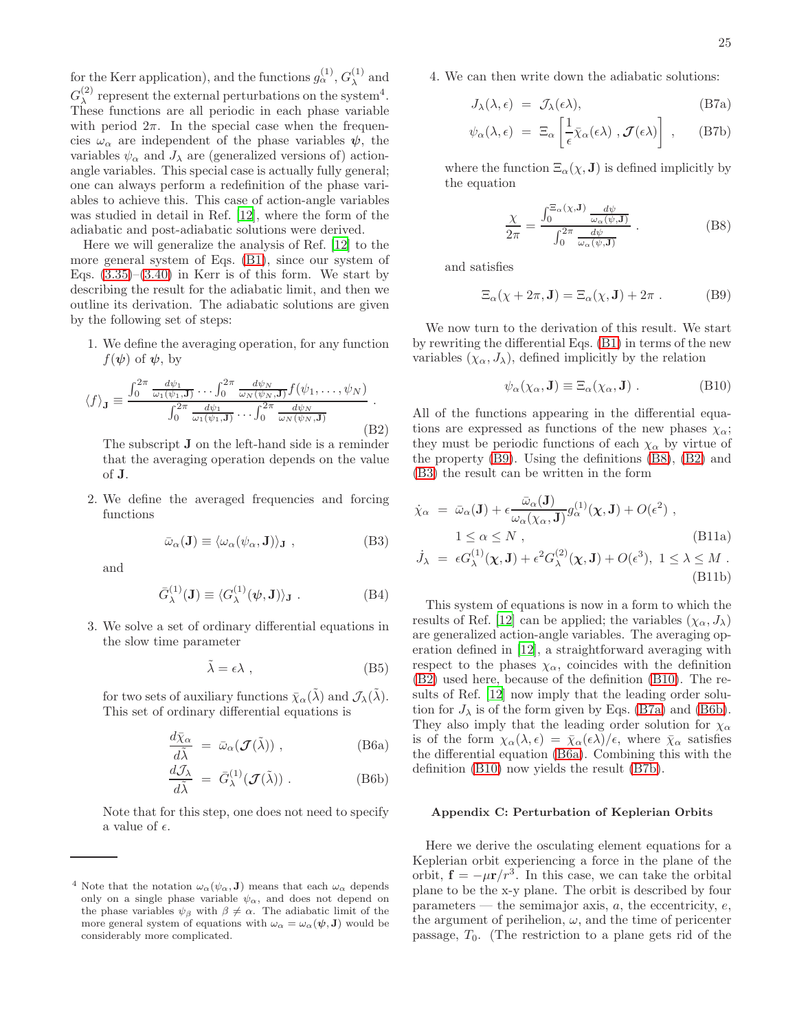for the Kerr application), and the functions  $g_{\alpha}^{(1)}, G_{\lambda}^{(1)}$  $\lambda^{(1)}$  and  $G_\lambda^{(2)}$  $\lambda^{(2)}$  represent the external perturbations on the system<sup>4</sup>. These functions are all periodic in each phase variable with period  $2\pi$ . In the special case when the frequencies  $\omega_{\alpha}$  are independent of the phase variables  $\psi$ , the variables  $\psi_{\alpha}$  and  $J_{\lambda}$  are (generalized versions of) actionangle variables. This special case is actually fully general; one can always perform a redefinition of the phase variables to achieve this. This case of action-angle variables was studied in detail in Ref. [\[12](#page-27-9)], where the form of the adiabatic and post-adiabatic solutions were derived.

Here we will generalize the analysis of Ref. [\[12\]](#page-27-9) to the more general system of Eqs. [\(B1\)](#page-23-3), since our system of Eqs.  $(3.35)$ – $(3.40)$  in Kerr is of this form. We start by describing the result for the adiabatic limit, and then we outline its derivation. The adiabatic solutions are given by the following set of steps:

1. We define the averaging operation, for any function  $f(\psi)$  of  $\psi$ , by

<span id="page-24-3"></span>
$$
\langle f \rangle_{\mathbf{J}} \equiv \frac{\int_0^{2\pi} \frac{d\psi_1}{\omega_1(\psi_1, \mathbf{J})} \cdots \int_0^{2\pi} \frac{d\psi_N}{\omega_N(\psi_N, \mathbf{J})} f(\psi_1, \dots, \psi_N)}{\int_0^{2\pi} \frac{d\psi_1}{\omega_1(\psi_1, \mathbf{J})} \cdots \int_0^{2\pi} \frac{d\psi_N}{\omega_N(\psi_N, \mathbf{J})}}.
$$
\n(B2)

The subscript J on the left-hand side is a reminder that the averaging operation depends on the value of J.

2. We define the averaged frequencies and forcing functions

<span id="page-24-4"></span>
$$
\bar{\omega}_{\alpha}(\mathbf{J}) \equiv \langle \omega_{\alpha}(\psi_{\alpha}, \mathbf{J}) \rangle_{\mathbf{J}} , \qquad (B3)
$$

and

$$
\bar{G}_{\lambda}^{(1)}(\mathbf{J}) \equiv \langle G_{\lambda}^{(1)}(\boldsymbol{\psi}, \mathbf{J}) \rangle_{\mathbf{J}} . \tag{B4}
$$

3. We solve a set of ordinary differential equations in the slow time parameter

$$
\tilde{\lambda} = \epsilon \lambda \tag{B5}
$$

for two sets of auxiliary functions  $\bar{\chi}_{\alpha}(\tilde{\lambda})$  and  $\mathcal{J}_{\lambda}(\tilde{\lambda})$ . This set of ordinary differential equations is

<span id="page-24-7"></span>
$$
\frac{d\bar{\chi}_{\alpha}}{d\tilde{\lambda}} = \bar{\omega}_{\alpha}(\mathcal{J}(\tilde{\lambda})) , \qquad (B6a)
$$

$$
\frac{d\mathcal{J}_{\lambda}}{d\tilde{\lambda}} = \bar{G}_{\lambda}^{(1)}(\mathcal{J}(\tilde{\lambda})) . \tag{B6b}
$$

Note that for this step, one does not need to specify a value of  $\epsilon$ .

4. We can then write down the adiabatic solutions:

<span id="page-24-6"></span>
$$
J_{\lambda}(\lambda,\epsilon) = \mathcal{J}_{\lambda}(\epsilon \lambda), \tag{B7a}
$$

$$
\psi_{\alpha}(\lambda,\epsilon) = \Xi_{\alpha} \left[ \frac{1}{\epsilon} \bar{\chi}_{\alpha}(\epsilon \lambda) , \mathcal{J}(\epsilon \lambda) \right] , \quad (B7b)
$$

where the function  $\Xi_{\alpha}(\chi, \mathbf{J})$  is defined implicitly by the equation

<span id="page-24-2"></span>
$$
\frac{\chi}{2\pi} = \frac{\int_0^{\Xi_\alpha(\chi,\mathbf{J})} \frac{d\psi}{\omega_\alpha(\psi,\mathbf{J})}}{\int_0^{2\pi} \frac{d\psi}{\omega_\alpha(\psi,\mathbf{J})}}.
$$
(B8)

and satisfies

<span id="page-24-1"></span>
$$
\Xi_{\alpha}(\chi + 2\pi, \mathbf{J}) = \Xi_{\alpha}(\chi, \mathbf{J}) + 2\pi . \tag{B9}
$$

We now turn to the derivation of this result. We start by rewriting the differential Eqs. [\(B1\)](#page-23-3) in terms of the new variables  $(\chi_{\alpha}, J_{\lambda})$ , defined implicitly by the relation

<span id="page-24-5"></span>
$$
\psi_{\alpha}(\chi_{\alpha}, \mathbf{J}) \equiv \Xi_{\alpha}(\chi_{\alpha}, \mathbf{J}) . \tag{B10}
$$

All of the functions appearing in the differential equations are expressed as functions of the new phases  $\chi_{\alpha}$ ; they must be periodic functions of each  $\chi_{\alpha}$  by virtue of the property [\(B9\)](#page-24-1). Using the definitions [\(B8\)](#page-24-2), [\(B2\)](#page-24-3) and [\(B3\)](#page-24-4) the result can be written in the form

$$
\dot{\chi}_{\alpha} = \bar{\omega}_{\alpha}(\mathbf{J}) + \epsilon \frac{\bar{\omega}_{\alpha}(\mathbf{J})}{\omega_{\alpha}(\chi_{\alpha}, \mathbf{J})} g_{\alpha}^{(1)}(\boldsymbol{\chi}, \mathbf{J}) + O(\epsilon^{2}) ,
$$
\n
$$
1 \leq \alpha \leq N , \qquad (B11a)
$$

$$
\dot{J}_{\lambda} = \epsilon G_{\lambda}^{(1)}(\mathbf{\chi}, \mathbf{J}) + \epsilon^2 G_{\lambda}^{(2)}(\mathbf{\chi}, \mathbf{J}) + O(\epsilon^3), \ 1 \le \lambda \le M.
$$
\n(B11b)

This system of equations is now in a form to which the results of Ref. [\[12\]](#page-27-9) can be applied; the variables  $(\chi_{\alpha}, J_{\lambda})$ are generalized action-angle variables. The averaging operation defined in [\[12](#page-27-9)], a straightforward averaging with respect to the phases  $\chi_{\alpha}$ , coincides with the definition [\(B2\)](#page-24-3) used here, because of the definition [\(B10\)](#page-24-5). The results of Ref. [\[12](#page-27-9)] now imply that the leading order solution for  $J_{\lambda}$  is of the form given by Eqs. [\(B7a\)](#page-24-6) and [\(B6b\)](#page-24-7). They also imply that the leading order solution for  $\chi_{\alpha}$ is of the form  $\chi_{\alpha}(\lambda, \epsilon) = \bar{\chi}_{\alpha}(\epsilon \lambda)/\epsilon$ , where  $\bar{\chi}_{\alpha}$  satisfies the differential equation [\(B6a\)](#page-24-7). Combining this with the definition [\(B10\)](#page-24-5) now yields the result [\(B7b\)](#page-24-6).

## <span id="page-24-0"></span>Appendix C: Perturbation of Keplerian Orbits

Here we derive the osculating element equations for a Keplerian orbit experiencing a force in the plane of the orbit,  $\mathbf{f} = -\mu \mathbf{r}/r^3$ . In this case, we can take the orbital plane to be the x-y plane. The orbit is described by four  $parameters$  — the semimajor axis,  $a$ , the eccentricity,  $e$ , the argument of perihelion,  $\omega$ , and the time of pericenter passage,  $T_0$ . (The restriction to a plane gets rid of the

<sup>&</sup>lt;sup>4</sup> Note that the notation  $\omega_{\alpha}(\psi_{\alpha}, \mathbf{J})$  means that each  $\omega_{\alpha}$  depends only on a single phase variable  $\psi_{\alpha}$ , and does not depend on the phase variables  $\psi_{\beta}$  with  $\beta \neq \alpha$ . The adiabatic limit of the more general system of equations with  $\omega_{\alpha} = \omega_{\alpha}(\psi, \mathbf{J})$  would be considerably more complicated.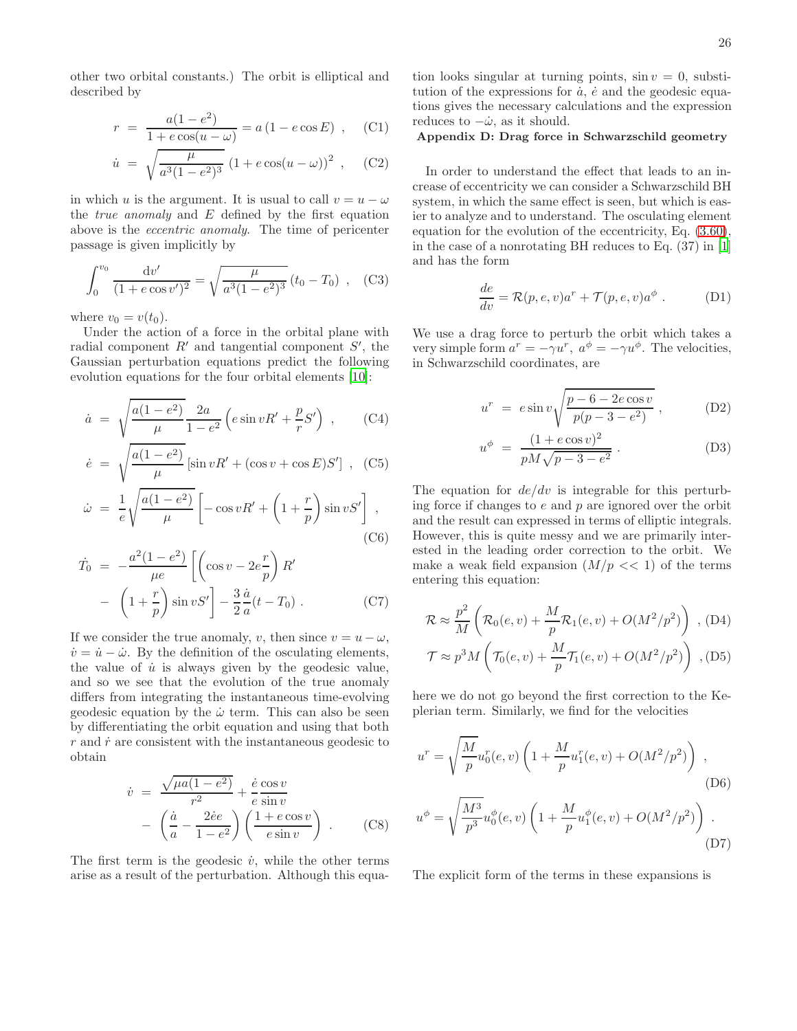other two orbital constants.) The orbit is elliptical and described by

$$
r = \frac{a(1 - e^2)}{1 + e \cos(u - \omega)} = a(1 - e \cos E) , \quad (C1)
$$

$$
\dot{u} = \sqrt{\frac{\mu}{a^3(1 - e^2)^3}} (1 + e \cos(u - \omega))^2 , \quad (C2)
$$

in which u is the argument. It is usual to call  $v = u - \omega$ the *true anomaly* and  $E$  defined by the first equation above is the eccentric anomaly. The time of pericenter passage is given implicitly by

$$
\int_0^{v_0} \frac{\mathrm{d}v'}{(1 + e \cos v')^2} = \sqrt{\frac{\mu}{a^3 (1 - e^2)^3}} \left( t_0 - T_0 \right) , \quad \text{(C3)}
$$

where  $v_0 = v(t_0)$ .

Under the action of a force in the orbital plane with radial component  $R'$  and tangential component  $S'$ , the Gaussian perturbation equations predict the following evolution equations for the four orbital elements [\[10\]](#page-27-7):

<span id="page-25-1"></span>
$$
\dot{a} = \sqrt{\frac{a(1 - e^2)}{\mu}} \frac{2a}{1 - e^2} \left( e \sin v R' + \frac{p}{r} S' \right) , \quad (C4)
$$

$$
\dot{e} = \sqrt{\frac{a(1 - e^2)}{\mu}} [\sin vR' + (\cos v + \cos E)S'] , \quad (C5)
$$

$$
\dot{\omega} = \frac{1}{e} \sqrt{\frac{a(1 - e^2)}{\mu}} \left[ -\cos vR' + \left(1 + \frac{r}{p}\right) \sin vS'\right],\tag{C6}
$$

$$
\dot{T}_0 = -\frac{a^2(1-e^2)}{\mu e} \left[ \left( \cos v - 2e\frac{r}{p} \right) R' - \left( 1 + \frac{r}{p} \right) \sin v S' \right] - \frac{3}{2} \frac{\dot{a}}{a} (t - T_0) . \tag{C7}
$$

If we consider the true anomaly, v, then since  $v = u - \omega$ ,  $\dot{v} = \dot{u} - \dot{\omega}$ . By the definition of the osculating elements, the value of  $\dot{u}$  is always given by the geodesic value, and so we see that the evolution of the true anomaly differs from integrating the instantaneous time-evolving geodesic equation by the  $\dot{\omega}$  term. This can also be seen by differentiating the orbit equation and using that both  $r$  and  $\dot{r}$  are consistent with the instantaneous geodesic to obtain

$$
\dot{v} = \frac{\sqrt{\mu a (1 - e^2)}}{r^2} + \frac{\dot{e}}{e} \frac{\cos v}{\sin v} \n- \left(\frac{\dot{a}}{a} - \frac{2\dot{e}e}{1 - e^2}\right) \left(\frac{1 + e \cos v}{e \sin v}\right) .
$$
\n(C8)

The first term is the geodesic  $\dot{v}$ , while the other terms arise as a result of the perturbation. Although this equation looks singular at turning points,  $\sin v = 0$ , substitution of the expressions for  $\dot{a}$ ,  $\dot{e}$  and the geodesic equations gives the necessary calculations and the expression reduces to  $-\dot{\omega}$ , as it should.

## <span id="page-25-0"></span>Appendix D: Drag force in Schwarzschild geometry

In order to understand the effect that leads to an increase of eccentricity we can consider a Schwarzschild BH system, in which the same effect is seen, but which is easier to analyze and to understand. The osculating element equation for the evolution of the eccentricity, Eq. [\(3.60\)](#page-12-3), in the case of a nonrotating BH reduces to Eq. (37) in [\[1](#page-27-0)] and has the form

$$
\frac{de}{dv} = \mathcal{R}(p, e, v)a^r + \mathcal{T}(p, e, v)a^\phi.
$$
 (D1)

We use a drag force to perturb the orbit which takes a very simple form  $a^r = -\gamma u^r$ ,  $a^\phi = -\gamma u^\phi$ . The velocities, in Schwarzschild coordinates, are

$$
u^{r} = e \sin v \sqrt{\frac{p - 6 - 2e \cos v}{p(p - 3 - e^{2})}} , \qquad (D2)
$$

$$
u^{\phi} = \frac{(1 + e \cos v)^2}{pM\sqrt{p - 3 - e^2}}.
$$
 (D3)

The equation for  $de/dv$  is integrable for this perturbing force if changes to  $e$  and  $p$  are ignored over the orbit and the result can expressed in terms of elliptic integrals. However, this is quite messy and we are primarily interested in the leading order correction to the orbit. We make a weak field expansion  $(M/p \ll 1)$  of the terms entering this equation:

$$
\mathcal{R} \approx \frac{p^2}{M} \left( \mathcal{R}_0(e, v) + \frac{M}{p} \mathcal{R}_1(e, v) + O(M^2/p^2) \right) , \text{(D4)}
$$
  

$$
\mathcal{T} \approx p^3 M \left( \mathcal{T}_0(e, v) + \frac{M}{p} \mathcal{T}_1(e, v) + O(M^2/p^2) \right) , \text{(D5)}
$$

here we do not go beyond the first correction to the Keplerian term. Similarly, we find for the velocities

$$
u^{r} = \sqrt{\frac{M}{p}} u_{0}^{r}(e, v) \left( 1 + \frac{M}{p} u_{1}^{r}(e, v) + O(M^{2}/p^{2}) \right) ,
$$
\n(D6)\n
$$
u^{\phi} = \sqrt{\frac{M^{3}}{p^{3}}} u_{0}^{\phi}(e, v) \left( 1 + \frac{M}{p} u_{1}^{\phi}(e, v) + O(M^{2}/p^{2}) \right) .
$$
\n(D7)

The explicit form of the terms in these expansions is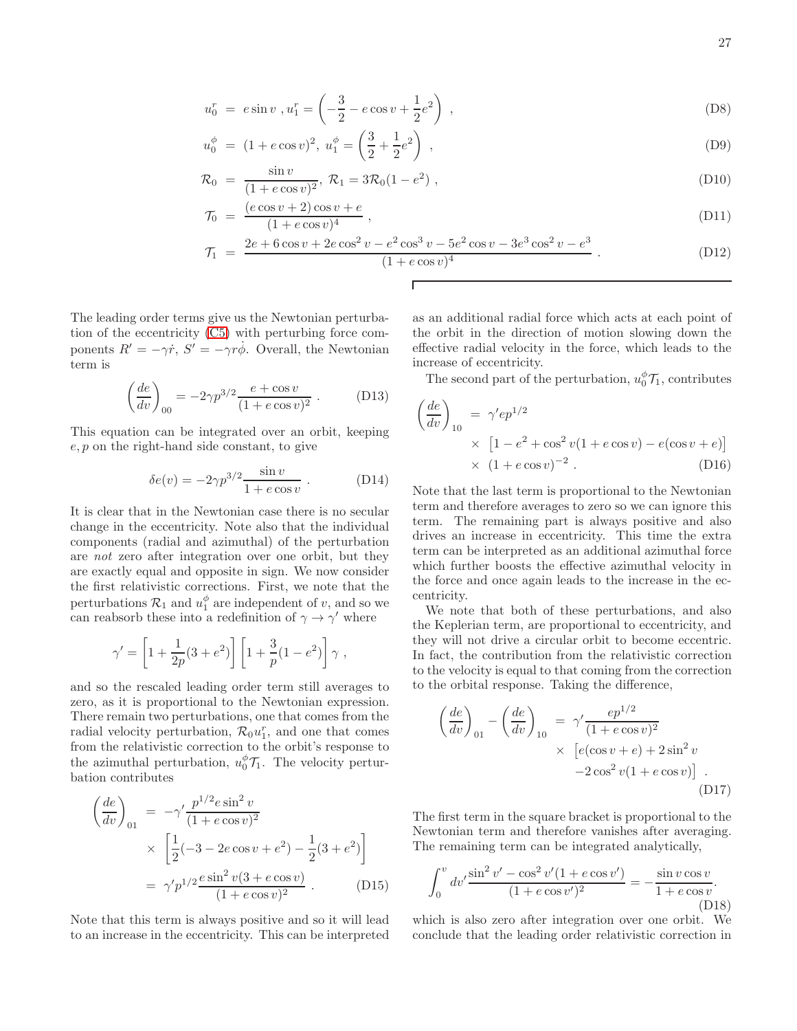$$
u_0^r = e \sin v , u_1^r = \left(-\frac{3}{2} - e \cos v + \frac{1}{2}e^2\right) ,
$$
 (D8)

$$
u_0^{\phi} = (1 + e \cos v)^2, \ u_1^{\phi} = \left(\frac{3}{2} + \frac{1}{2}e^2\right) \,, \tag{D9}
$$

$$
\mathcal{R}_0 = \frac{\sin v}{(1 + e \cos v)^2}, \mathcal{R}_1 = 3\mathcal{R}_0(1 - e^2) , \qquad (D10)
$$

$$
\mathcal{T}_0 = \frac{(e \cos v + 2) \cos v + e}{(1 + e \cos v)^4}, \tag{D11}
$$

$$
\mathcal{T}_1 = \frac{2e + 6\cos v + 2e\cos^2 v - e^2\cos^3 v - 5e^2\cos v - 3e^3\cos^2 v - e^3}{(1 + e\cos v)^4}.
$$
\n(D12)

Г

The leading order terms give us the Newtonian perturbation of the eccentricity [\(C5\)](#page-25-1) with perturbing force components  $R' = -\gamma \dot{r}$ ,  $S' = -\gamma r \dot{\phi}$ . Overall, the Newtonian term is

$$
\left(\frac{de}{dv}\right)_{00} = -2\gamma p^{3/2} \frac{e + \cos v}{(1 + e \cos v)^2} .
$$
 (D13)

This equation can be integrated over an orbit, keeping e, p on the right-hand side constant, to give

$$
\delta e(v) = -2\gamma p^{3/2} \frac{\sin v}{1 + e \cos v} . \tag{D14}
$$

It is clear that in the Newtonian case there is no secular change in the eccentricity. Note also that the individual components (radial and azimuthal) of the perturbation are not zero after integration over one orbit, but they are exactly equal and opposite in sign. We now consider the first relativistic corrections. First, we note that the perturbations  $\mathcal{R}_1$  and  $u_1^{\phi}$  are independent of v, and so we can reabsorb these into a redefinition of  $\gamma \rightarrow \gamma'$  where

$$
\gamma' = \left[1 + \frac{1}{2p}(3 + e^2)\right] \left[1 + \frac{3}{p}(1 - e^2)\right] \gamma ,
$$

and so the rescaled leading order term still averages to zero, as it is proportional to the Newtonian expression. There remain two perturbations, one that comes from the radial velocity perturbation,  $\mathcal{R}_0 u_1^r$ , and one that comes from the relativistic correction to the orbit's response to the azimuthal perturbation,  $u_0^{\phi} \mathcal{T}_1$ . The velocity perturbation contributes

$$
\left(\frac{de}{dv}\right)_{01} = -\gamma' \frac{p^{1/2}e\sin^2 v}{(1 + e\cos v)^2} \times \left[\frac{1}{2}(-3 - 2e\cos v + e^2) - \frac{1}{2}(3 + e^2)\right] \n= \gamma' p^{1/2} \frac{e\sin^2 v (3 + e\cos v)}{(1 + e\cos v)^2} .
$$
\n(D15)

Note that this term is always positive and so it will lead to an increase in the eccentricity. This can be interpreted as an additional radial force which acts at each point of the orbit in the direction of motion slowing down the effective radial velocity in the force, which leads to the increase of eccentricity.

The second part of the perturbation,  $u_0^{\phi} \mathcal{T}_1$ , contributes

$$
\left(\frac{de}{dv}\right)_{10} = \gamma' ep^{1/2}
$$
\n
$$
\times \left[1 - e^2 + \cos^2 v(1 + e \cos v) - e(\cos v + e)\right]
$$
\n
$$
\times \left(1 + e \cos v\right)^{-2}.
$$
\n(D16)

Note that the last term is proportional to the Newtonian term and therefore averages to zero so we can ignore this term. The remaining part is always positive and also drives an increase in eccentricity. This time the extra term can be interpreted as an additional azimuthal force which further boosts the effective azimuthal velocity in the force and once again leads to the increase in the eccentricity.

We note that both of these perturbations, and also the Keplerian term, are proportional to eccentricity, and they will not drive a circular orbit to become eccentric. In fact, the contribution from the relativistic correction to the velocity is equal to that coming from the correction to the orbital response. Taking the difference,

$$
\left(\frac{de}{dv}\right)_{01} - \left(\frac{de}{dv}\right)_{10} = \gamma' \frac{ep^{1/2}}{(1 + e \cos v)^2}
$$

$$
\times \left[e(\cos v + e) + 2\sin^2 v - 2\cos^2 v(1 + e \cos v)\right].
$$
\n(D17)

The first term in the square bracket is proportional to the Newtonian term and therefore vanishes after averaging. The remaining term can be integrated analytically,

$$
\int_0^v dv' \frac{\sin^2 v' - \cos^2 v'(1 + e \cos v')}{(1 + e \cos v')^2} = -\frac{\sin v \cos v}{1 + e \cos v}.
$$
\n(D18)

which is also zero after integration over one orbit. We conclude that the leading order relativistic correction in